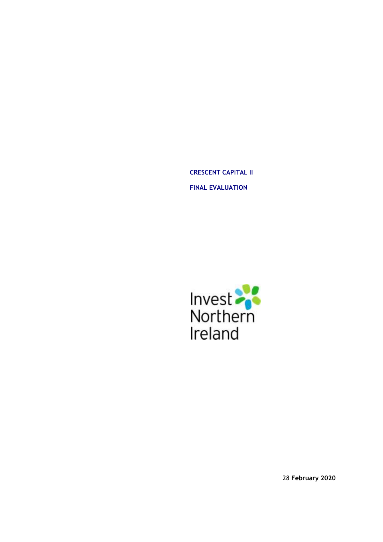**CRESCENT CAPITAL II FINAL EVALUATION** 



28 **February 2020**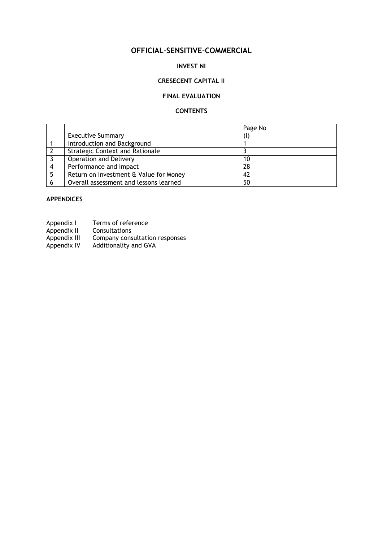# **OFFICIAL-SENSITIVE-COMMERCIAL**

## **INVEST NI**

## **CRESECENT CAPITAL II**

## **FINAL EVALUATION**

## **CONTENTS**

|                                        | Page No |
|----------------------------------------|---------|
| <b>Executive Summary</b>               |         |
| Introduction and Background            |         |
| <b>Strategic Context and Rationale</b> |         |
| Operation and Delivery                 | 10      |
| Performance and Impact                 | 28      |
| Return on Investment & Value for Money | 42      |
| Overall assessment and lessons learned | 50      |

## **APPENDICES**

| Appendix I | Terms of reference |
|------------|--------------------|
|------------|--------------------|

- Company consultation responses
- Appendix II Consultations<br>Appendix III Company cons<br>Appendix IV Additionality Additionality and GVA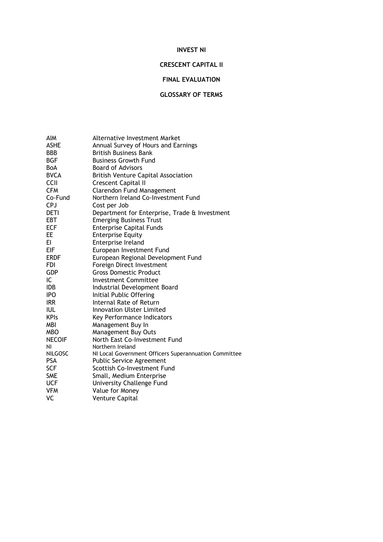## **INVEST NI**

## **CRESCENT CAPITAL II**

## **FINAL EVALUATION**

## **GLOSSARY OF TERMS**

| AIM            | <b>Alternative Investment Market</b>                  |
|----------------|-------------------------------------------------------|
| <b>ASHE</b>    | Annual Survey of Hours and Earnings                   |
| BBB            | <b>British Business Bank</b>                          |
| <b>BGF</b>     | <b>Business Growth Fund</b>                           |
| BoA            | <b>Board of Advisors</b>                              |
| <b>BVCA</b>    | <b>British Venture Capital Association</b>            |
| CCII           | Crescent Capital II                                   |
| <b>CFM</b>     | <b>Clarendon Fund Management</b>                      |
| Co-Fund        | Northern Ireland Co-Investment Fund                   |
| <b>CPJ</b>     | Cost per Job                                          |
| DETI           | Department for Enterprise, Trade & Investment         |
| EBT            | <b>Emerging Business Trust</b>                        |
| <b>ECF</b>     | <b>Enterprise Capital Funds</b>                       |
| EE             | <b>Enterprise Equity</b>                              |
| EI.            | Enterprise Ireland                                    |
| <b>EIF</b>     | European Investment Fund                              |
| <b>ERDF</b>    | European Regional Development Fund                    |
| <b>FDI</b>     | Foreign Direct Investment                             |
| <b>GDP</b>     | <b>Gross Domestic Product</b>                         |
| IC             | <b>Investment Committee</b>                           |
| <b>IDB</b>     | Industrial Development Board                          |
| <b>IPO</b>     | Initial Public Offering                               |
| <b>IRR</b>     | Internal Rate of Return                               |
| <b>IUL</b>     | <b>Innovation Ulster Limited</b>                      |
| <b>KPIs</b>    | Key Performance Indicators                            |
| MBI            | Management Buy In                                     |
| <b>MBO</b>     | Management Buy Outs                                   |
| <b>NECOIF</b>  | North East Co-Investment Fund                         |
| ΝI             | Northern Ireland                                      |
| <b>NILGOSC</b> | NI Local Government Officers Superannuation Committee |
| <b>PSA</b>     | <b>Public Service Agreement</b>                       |
| <b>SCF</b>     | Scottish Co-Investment Fund                           |
| <b>SME</b>     | Small, Medium Enterprise                              |
| <b>UCF</b>     | University Challenge Fund                             |
| <b>VFM</b>     | Value for Money                                       |
| VC             | Venture Capital                                       |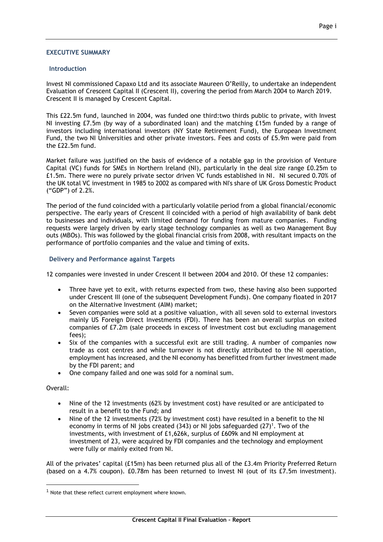#### **EXECUTIVE SUMMARY**

#### **Introduction**

Invest NI commissioned Capaxo Ltd and its associate Maureen O'Reilly, to undertake an independent Evaluation of Crescent Capital II (Crescent II), covering the period from March 2004 to March 2019. Crescent II is managed by Crescent Capital.

This £22.5m fund, launched in 2004, was funded one third:two thirds public to private, with Invest NI investing £7.5m (by way of a subordinated loan) and the matching £15m funded by a range of investors including international investors (NY State Retirement Fund), the European Investment Fund, the two NI Universities and other private investors. Fees and costs of £5.9m were paid from the £22.5m fund.

Market failure was justified on the basis of evidence of a notable gap in the provision of Venture Capital (VC) funds for SMEs in Northern Ireland (NI), particularly in the deal size range £0.25m to £1.5m. There were no purely private sector driven VC funds established in NI. NI secured 0.70% of the UK total VC investment in 1985 to 2002 as compared with NI's share of UK Gross Domestic Product ("GDP") of 2.2%.

The period of the fund coincided with a particularly volatile period from a global financial/economic perspective. The early years of Crescent II coincided with a period of high availability of bank debt to businesses and individuals, with limited demand for funding from mature companies. Funding requests were largely driven by early stage technology companies as well as two Management Buy outs (MBOs). This was followed by the global financial crisis from 2008, with resultant impacts on the performance of portfolio companies and the value and timing of exits.

#### **Delivery and Performance against Targets**

12 companies were invested in under Crescent II between 2004 and 2010. Of these 12 companies:

- Three have yet to exit, with returns expected from two, these having also been supported under Crescent III (one of the subsequent Development Funds). One company floated in 2017 on the Alternative Investment (AIM) market;
- Seven companies were sold at a positive valuation, with all seven sold to external investors mainly US Foreign Direct Investments (FDI). There has been an overall surplus on exited companies of £7.2m (sale proceeds in excess of investment cost but excluding management fees);
- Six of the companies with a successful exit are still trading. A number of companies now trade as cost centres and while turnover is not directly attributed to the NI operation, employment has increased, and the NI economy has benefitted from further investment made by the FDI parent; and
- One company failed and one was sold for a nominal sum.

#### Overall:

<u>.</u>

- Nine of the 12 investments (62% by investment cost) have resulted or are anticipated to result in a benefit to the Fund; and
- Nine of the 12 investments (72% by investment cost) have resulted in a benefit to the NI economy in terms of NI jobs created (343) or NI jobs safeguarded  $(27)^{1}$ . Two of the investments, with investment of £1,626k, surplus of £609k and NI employment at investment of 23, were acquired by FDI companies and the technology and employment were fully or mainly exited from NI.

All of the privates' capital (£15m) has been returned plus all of the £3.4m Priority Preferred Return (based on a 4.7% coupon). £0.78m has been returned to Invest NI (out of its £7.5m investment).

 $1$  Note that these reflect current employment where known.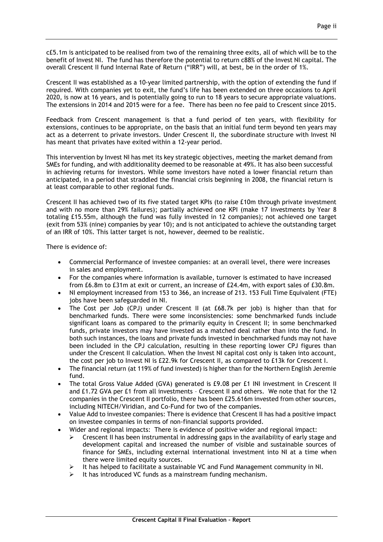c£5.1m is anticipated to be realised from two of the remaining three exits, all of which will be to the benefit of Invest NI. The fund has therefore the potential to return c88% of the Invest NI capital. The overall Crescent II fund Internal Rate of Return ("IRR") will, at best, be in the order of 1%.

Crescent II was established as a 10-year limited partnership, with the option of extending the fund if required. With companies yet to exit, the fund's life has been extended on three occasions to April 2020, is now at 16 years, and is potentially going to run to 18 years to secure appropriate valuations. The extensions in 2014 and 2015 were for a fee. There has been no fee paid to Crescent since 2015.

Feedback from Crescent management is that a fund period of ten years, with flexibility for extensions, continues to be appropriate, on the basis that an initial fund term beyond ten years may act as a deterrent to private investors. Under Crescent II, the subordinate structure with Invest NI has meant that privates have exited within a 12-year period.

This intervention by Invest NI has met its key strategic objectives, meeting the market demand from SMEs for funding, and with additionality deemed to be reasonable at 49%. It has also been successful in achieving returns for investors. While some investors have noted a lower financial return than anticipated, in a period that straddled the financial crisis beginning in 2008, the financial return is at least comparable to other regional funds.

Crescent II has achieved two of its five stated target KPIs (to raise £10m through private investment and with no more than 29% failures); partially achieved one KPI (make 17 investments by Year 8 totaling £15.55m, although the fund was fully invested in 12 companies); not achieved one target (exit from 53% (nine) companies by year 10); and is not anticipated to achieve the outstanding target of an IRR of 10%. This latter target is not, however, deemed to be realistic.

There is evidence of:

- Commercial Performance of investee companies: at an overall level, there were increases in sales and employment.
- For the companies where information is available, turnover is estimated to have increased from £6.8m to £31m at exit or current, an increase of £24.4m, with export sales of £30.8m.
- NI employment increased from 153 to 366, an increase of 213. 153 Full Time Equivalent (FTE) jobs have been safeguarded in NI.
- The Cost per Job (CPJ) under Crescent II (at £68.7k per job) is higher than that for benchmarked funds. There were some inconsistencies: some benchmarked funds include significant loans as compared to the primarily equity in Crescent II; in some benchmarked funds, private investors may have invested as a matched deal rather than into the fund. In both such instances, the loans and private funds invested in benchmarked funds may not have been included in the CPJ calculation, resulting in these reporting lower CPJ figures than under the Crescent II calculation. When the Invest NI capital cost only is taken into account, the cost per job to Invest NI is £22.9k for Crescent II, as compared to £13k for Crescent I.
- The financial return (at 119% of fund invested) is higher than for the Northern English Jeremie fund.
- The total Gross Value Added (GVA) generated is £9.08 per £1 INI investment in Crescent II and £1.72 GVA per £1 from all investments – Crescent II and others. We note that for the 12 companies in the Crescent II portfolio, there has been £25.616m invested from other sources, including NITECH/Viridian, and Co-Fund for two of the companies.
- Value Add to investee companies: There is evidence that Crescent II has had a positive impact on investee companies in terms of non-financial supports provided.
- Wider and regional impacts: There is evidence of positive wider and regional impact:
	- $\triangleright$  Crescent II has been instrumental in addressing gaps in the availability of early stage and development capital and increased the number of visible and sustainable sources of finance for SMEs, including external international investment into NI at a time when there were limited equity sources.
	- It has helped to facilitate a sustainable VC and Fund Management community in NI.
	- It has introduced VC funds as a mainstream funding mechanism.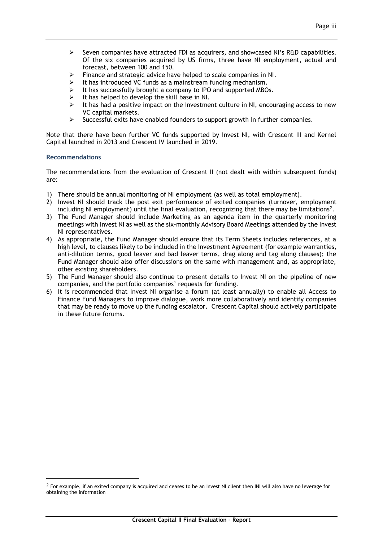- $\triangleright$  Seven companies have attracted FDI as acquirers, and showcased NI's R&D capabilities. Of the six companies acquired by US firms, three have NI employment, actual and forecast, between 100 and 150.
- Finance and strategic advice have helped to scale companies in NI.<br>
It has introduced VC funds as a mainstream funding mechanism
- It has introduced VC funds as a mainstream funding mechanism.
- It has successfully brought a company to IPO and supported MBOs.<br>
It has beloed to develop the skill base in NI
- It has helped to develop the skill base in NI.
- $\triangleright$  It has had a positive impact on the investment culture in NI, encouraging access to new VC capital markets.
- $\triangleright$  Successful exits have enabled founders to support growth in further companies.

Note that there have been further VC funds supported by Invest NI, with Crescent III and Kernel Capital launched in 2013 and Crescent IV launched in 2019.

## **Recommendations**

<u>.</u>

The recommendations from the evaluation of Crescent II (not dealt with within subsequent funds) are:

- 1) There should be annual monitoring of NI employment (as well as total employment).
- 2) Invest NI should track the post exit performance of exited companies (turnover, employment including NI employment) until the final evaluation, recognizing that there may be limitations<sup>2</sup>.
- 3) The Fund Manager should include Marketing as an agenda item in the quarterly monitoring meetings with Invest NI as well as the six-monthly Advisory Board Meetings attended by the Invest NI representatives.
- 4) As appropriate, the Fund Manager should ensure that its Term Sheets includes references, at a high level, to clauses likely to be included in the Investment Agreement (for example warranties, anti-dilution terms, good leaver and bad leaver terms, drag along and tag along clauses); the Fund Manager should also offer discussions on the same with management and, as appropriate, other existing shareholders.
- 5) The Fund Manager should also continue to present details to Invest NI on the pipeline of new companies, and the portfolio companies' requests for funding.
- 6) It is recommended that Invest NI organise a forum (at least annually) to enable all Access to Finance Fund Managers to improve dialogue, work more collaboratively and identify companies that may be ready to move up the funding escalator. Crescent Capital should actively participate in these future forums.

<sup>&</sup>lt;sup>2</sup> For example, if an exited company is acquired and ceases to be an Invest NI client then INI will also have no leverage for obtaining the information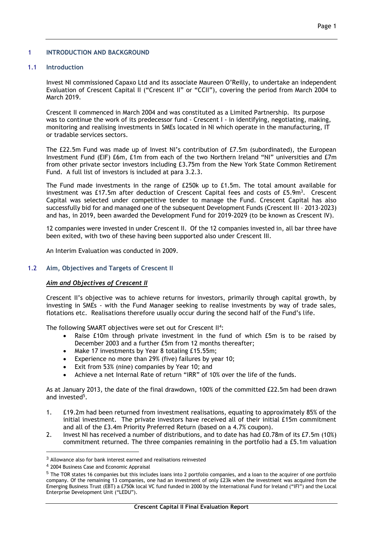### 1 **INTRODUCTION AND BACKGROUND**

## 1.1 **Introduction**

Invest NI commissioned Capaxo Ltd and its associate Maureen O'Reilly, to undertake an independent Evaluation of Crescent Capital II ("Crescent II" or "CCII"), covering the period from March 2004 to March 2019.

Crescent II commenced in March 2004 and was constituted as a Limited Partnership. Its purpose was to continue the work of its predecessor fund - Crescent I - in identifying, negotiating, making, monitoring and realising investments in SMEs located in NI which operate in the manufacturing, IT or tradable services sectors.

The £22.5m Fund was made up of Invest NI's contribution of £7.5m (subordinated), the European Investment Fund (EIF) £6m, £1m from each of the two Northern Ireland "NI" universities and £7m from other private sector investors including £3.75m from the New York State Common Retirement Fund. A full list of investors is included at para 3.2.3.

The Fund made investments in the range of £250k up to £1.5m. The total amount available for investment was £17.5m after deduction of Crescent Capital fees and costs of  $£5.9m<sup>3</sup>$ . Crescent Capital was selected under competitive tender to manage the Fund. Crescent Capital has also successfully bid for and managed one of the subsequent Development Funds (Crescent III – 2013-2023) and has, in 2019, been awarded the Development Fund for 2019-2029 (to be known as Crescent IV).

12 companies were invested in under Crescent II. Of the 12 companies invested in, all bar three have been exited, with two of these having been supported also under Crescent III.

An Interim Evaluation was conducted in 2009.

#### 1.2 **Aim, Objectives and Targets of Crescent II**

## *Aim and Objectives of Crescent II*

Crescent II's objective was to achieve returns for investors, primarily through capital growth, by investing in SMEs - with the Fund Manager seeking to realise investments by way of trade sales, flotations etc. Realisations therefore usually occur during the second half of the Fund's life.

The following SMART objectives were set out for Crescent II<sup>4</sup>:

- Raise £10m through private investment in the fund of which £5m is to be raised by December 2003 and a further £5m from 12 months thereafter;
- Make 17 investments by Year 8 totaling £15.55m;
- Experience no more than 29% (five) failures by year 10;
- Exit from 53% (nine) companies by Year 10; and
- Achieve a net Internal Rate of return "IRR" of 10% over the life of the funds.

As at January 2013, the date of the final drawdown, 100% of the committed £22.5m had been drawn and invested<sup>5</sup>.

- 1. £19.2m had been returned from investment realisations, equating to approximately 85% of the initial investment. The private investors have received all of their initial £15m commitment and all of the £3.4m Priority Preferred Return (based on a 4.7% coupon).
- 2. Invest NI has received a number of distributions, and to date has had £0.78m of its £7.5m (10%) commitment returned. The three companies remaining in the portfolio had a £5.1m valuation

1

<sup>&</sup>lt;sup>3</sup> Allowance also for bank interest earned and realisations reinvested

<sup>4</sup> 2004 Business Case and Economic Appraisal

<sup>5</sup> The TOR states 16 companies but this includes loans into 2 portfolio companies, and a loan to the acquirer of one portfolio company. Of the remaining 13 companies, one had an investment of only £23k when the investment was acquired from the Emerging Business Trust (EBT) a £750k local VC fund funded in 2000 by the International Fund for Ireland ("IFI") and the Local Enterprise Development Unit ("LEDU").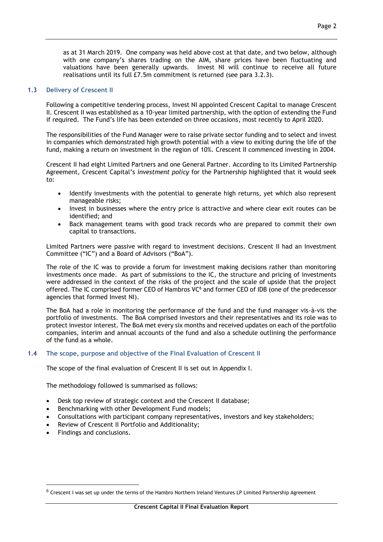as at 31 March 2019. One company was held above cost at that date, and two below, although with one company's shares trading on the AIM, share prices have been fluctuating and valuations have been generally upwards. Invest NI will continue to receive all future realisations until its full £7.5m commitment is returned (see para 3.2.3).

## 1.3 **Delivery of Crescent II**

Following a competitive tendering process, Invest NI appointed Crescent Capital to manage Crescent II. Crescent II was established as a 10-year limited partnership, with the option of extending the Fund if required. The Fund's life has been extended on three occasions, most recently to April 2020.

The responsibilities of the Fund Manager were to raise private sector funding and to select and invest in companies which demonstrated high growth potential with a view to exiting during the life of the fund, making a return on investment in the region of 10%. Crescent II commenced investing in 2004.

Crescent II had eight Limited Partners and one General Partner. According to its Limited Partnership Agreement, Crescent Capital's *investment policy* for the Partnership highlighted that it would seek to:

- Identify investments with the potential to generate high returns, yet which also represent manageable risks;
- Invest in businesses where the entry price is attractive and where clear exit routes can be identified; and
- Back management teams with good track records who are prepared to commit their own capital to transactions.

Limited Partners were passive with regard to investment decisions. Crescent II had an Investment Committee ("IC") and a Board of Advisors ("BoA").

The role of the IC was to provide a forum for investment making decisions rather than monitoring investments once made. As part of submissions to the IC, the structure and pricing of investments were addressed in the context of the risks of the project and the scale of upside that the project offered. The IC comprised former CEO of Hambros VC<sup>6</sup> and former CEO of IDB (one of the predecessor agencies that formed Invest NI).

The BoA had a role in monitoring the performance of the fund and the fund manager vis-à-vis the portfolio of investments. The BoA comprised investors and their representatives and its role was to protect investor interest. The BoA met every six months and received updates on each of the portfolio companies, interim and annual accounts of the fund and also a schedule outlining the performance of the fund as a whole.

## 1.4 **The scope, purpose and objective of the Final Evaluation of Crescent II**

The scope of the final evaluation of Crescent II is set out in Appendix I.

The methodology followed is summarised as follows:

- Desk top review of strategic context and the Crescent II database;
- Benchmarking with other Development Fund models;
- Consultations with participant company representatives, investors and key stakeholders;
- Review of Crescent II Portfolio and Additionality;
- Findings and conclusions.

<u>.</u>

<sup>6</sup> Crescent I was set up under the terms of the Hambro Northern Ireland Ventures LP Limited Partnership Agreement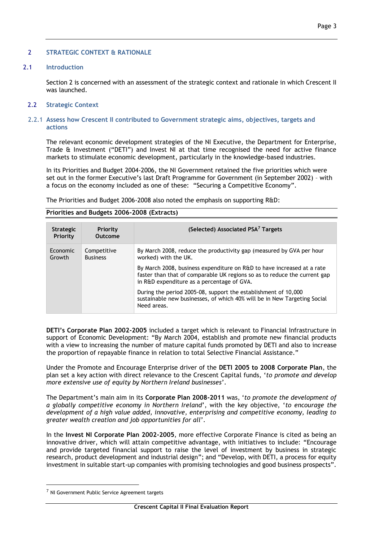## 2 **STRATEGIC CONTEXT & RATIONALE**

### 2.1 **Introduction**

Section 2 is concerned with an assessment of the strategic context and rationale in which Crescent II was launched.

#### 2.2 **Strategic Context**

#### 2.2.1 **Assess how Crescent II contributed to Government strategic aims, objectives, targets and actions**

The relevant economic development strategies of the NI Executive, the Department for Enterprise, Trade & Investment ("DETI") and Invest NI at that time recognised the need for active finance markets to stimulate economic development, particularly in the knowledge-based industries.

In its Priorities and Budget 2004-2006, the NI Government retained the five priorities which were set out in the former Executive's last Draft Programme for Government (in September 2002) – with a focus on the economy included as one of these: "Securing a Competitive Economy".

The Priorities and Budget 2006-2008 also noted the emphasis on supporting R&D:

## **Priorities and Budgets 2006-2008 (Extracts)**

| <b>Strategic</b><br>Priority | <b>Priority</b><br>Outcome     | (Selected) Associated PSA <sup>7</sup> Targets                                                                                                                                                    |
|------------------------------|--------------------------------|---------------------------------------------------------------------------------------------------------------------------------------------------------------------------------------------------|
| Economic<br>Growth           | Competitive<br><b>Business</b> | By March 2008, reduce the productivity gap (measured by GVA per hour<br>worked) with the UK.                                                                                                      |
|                              |                                | By March 2008, business expenditure on R&D to have increased at a rate<br>faster than that of comparable UK regions so as to reduce the current gap<br>in R&D expenditure as a percentage of GVA. |
|                              |                                | During the period 2005-08, support the establishment of 10,000<br>sustainable new businesses, of which 40% will be in New Targeting Social<br>Need areas.                                         |

**DETI's Corporate Plan 2002-2005** included a target which is relevant to Financial Infrastructure in support of Economic Development: "By March 2004, establish and promote new financial products with a view to increasing the number of mature capital funds promoted by DETI and also to increase the proportion of repayable finance in relation to total Selective Financial Assistance."

Under the Promote and Encourage Enterprise driver of the **DETI 2005 to 2008 Corporate Plan**, the plan set a key action with direct relevance to the Crescent Capital funds, '*to promote and develop more extensive use of equity by Northern Ireland businesses*'.

The Department's main aim in its **Corporate Plan 2008-2011** was, '*to promote the development of a globally competitive economy in Northern Ireland*', with the key objective, '*to encourage the development of a high value added, innovative, enterprising and competitive economy, leading to greater wealth creation and job opportunities for all*'.

In the **Invest NI Corporate Plan 2002-2005**, more effective Corporate Finance is cited as being an innovative driver, which will attain competitive advantage, with initiatives to include: "Encourage and provide targeted financial support to raise the level of investment by business in strategic research, product development and industrial design"; and "Develop, with DETI, a process for equity investment in suitable start-up companies with promising technologies and good business prospects".

<u>.</u>

<sup>7</sup> NI Government Public Service Agreement targets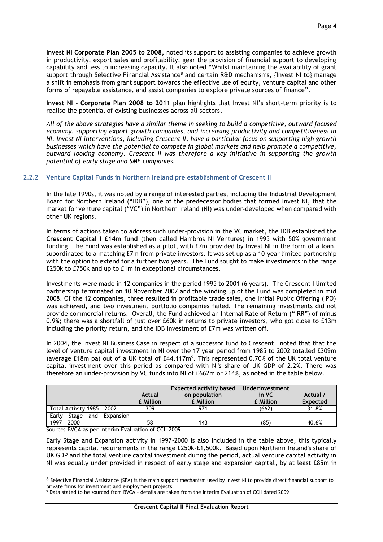**Invest NI Corporate Plan 2005 to 2008,** noted its support to assisting companies to achieve growth in productivity, export sales and profitability, gear the provision of financial support to developing capability and less to increasing capacity. It also noted "Whilst maintaining the availability of grant support through Selective Financial Assistance<sup>8</sup> and certain R&D mechanisms, {Invest NI to} manage a shift in emphasis from grant support towards the effective use of equity, venture capital and other forms of repayable assistance, and assist companies to explore private sources of finance".

**Invest NI - Corporate Plan 2008 to 2011** plan highlights that Invest NI's short-term priority is to realise the potential of existing businesses across all sectors.

*All of the above strategies have a similar theme in seeking to build a competitive, outward focused economy, supporting export growth companies, and increasing productivity and competitiveness in NI. Invest NI interventions, including Crescent II, have a particular focus on supporting high growth businesses which have the potential to compete in global markets and help promote a competitive, outward looking economy. Crescent II was therefore a key initiative in supporting the growth potential of early stage and SME companies.*

## 2.2.2 **Venture Capital Funds in Northern Ireland pre establishment of Crescent II**

In the late 1990s, it was noted by a range of interested parties, including the Industrial Development Board for Northern Ireland ("IDB"), one of the predecessor bodies that formed Invest NI, that the market for venture capital ("VC") in Northern Ireland (NI) was under-developed when compared with other UK regions.

In terms of actions taken to address such under-provision in the VC market, the IDB established the **Crescent Capital I £14m fund** (then called Hambros NI Ventures) in 1995 with 50% government funding. The Fund was established as a pilot, with £7m provided by Invest NI in the form of a loan, subordinated to a matching £7m from private investors. It was set up as a 10-year limited partnership with the option to extend for a further two years. The Fund sought to make investments in the range £250k to £750k and up to £1m in exceptional circumstances.

Investments were made in 12 companies in the period 1995 to 2001 (6 years). The Crescent I limited partnership terminated on 10 November 2007 and the winding up of the Fund was completed in mid 2008. Of the 12 companies, three resulted in profitable trade sales, one Initial Public Offering (IPO) was achieved, and two investment portfolio companies failed. The remaining investments did not provide commercial returns. Overall, the Fund achieved an Internal Rate of Return ("IRR") of minus 0.9%; there was a shortfall of just over £60k in returns to private investors, who got close to £13m including the priority return, and the IDB investment of £7m was written off.

In 2004, the Invest NI Business Case in respect of a successor fund to Crescent I noted that that the level of venture capital investment in NI over the 17 year period from 1985 to 2002 totalled £309m (average £18m pa) out of a UK total of  $E44,117m^9$ . This represented 0.70% of the UK total venture capital investment over this period as compared with NI's share of UK GDP of 2.2%. There was therefore an under-provision by VC funds into NI of £662m or 214%, as noted in the table below.

|                                                | Actual<br><b>£</b> Million | <b>Expected activity based</b><br>on population<br>£ Million | Underinvestment<br>in VC<br>£ Million | Actual /<br><b>Expected</b> |
|------------------------------------------------|----------------------------|--------------------------------------------------------------|---------------------------------------|-----------------------------|
| Total Activity 1985 - 2002                     | 309                        | 971                                                          | (662)                                 | 31.8%                       |
| Early<br>Expansion<br>Stage and<br>1997 - 2000 | 58                         | 143                                                          | (85)                                  | 40.6%                       |

Source: BVCA as per Interim Evaluation of CCII 2009

1

Early Stage and Expansion activity in 1997-2000 is also included in the table above, this typically represents capital requirements in the range £250k-£1,500k. Based upon Northern Ireland's share of UK GDP and the total venture capital investment during the period, actual venture capital activity in NI was equally under provided in respect of early stage and expansion capital, by at least £85m in

<sup>&</sup>lt;sup>8</sup> Selective Financial Assistance (SFA) is the main support mechanism used by Invest NI to provide direct financial support to private firms for investment and employment projects.

 $^9$  Data stated to be sourced from BVCA - details are taken from the Interim Evaluation of CCII dated 2009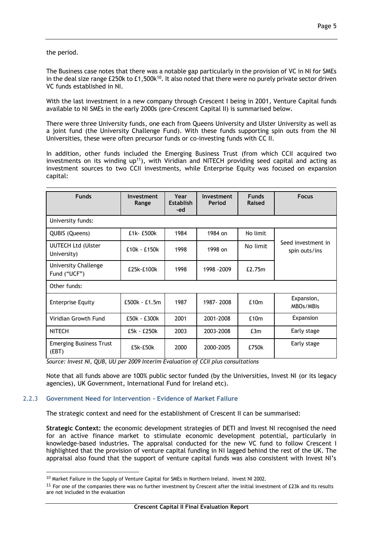### the period.

The Business case notes that there was a notable gap particularly in the provision of VC in NI for SMEs in the deal size range £250k to  $£1,500k^{10}$ . It also noted that there were no purely private sector driven VC funds established in NI.

With the last investment in a new company through Crescent I being in 2001, Venture Capital funds available to NI SMEs in the early 2000s (pre-Crescent Capital II) is summarised below.

There were three University funds, one each from Queens University and Ulster University as well as a joint fund (the University Challenge Fund). With these funds supporting spin outs from the NI Universities, these were often precursor funds or co-investing funds with CC II.

In addition, other funds included the Emerging Business Trust (from which CCII acquired two investments on its winding  $up^{11}$ ), with Viridian and NITECH providing seed capital and acting as investment sources to two CCII investments, while Enterprise Equity was focused on expansion capital:

| <b>Funds</b>                             | Investment<br>Range | Year<br><b>Establish</b><br>-ed | Investment<br>Period | <b>Funds</b><br>Raised | <b>Focus</b>                        |
|------------------------------------------|---------------------|---------------------------------|----------------------|------------------------|-------------------------------------|
| University funds:                        |                     |                                 |                      |                        |                                     |
| QUBIS (Queens)                           | £1k-£500k           | 1984                            | 1984 on              | No limit               |                                     |
| <b>UUTECH Ltd (Ulster</b><br>University) | £10k - £150k        | 1998                            | 1998 on              | No limit               | Seed investment in<br>spin outs/ins |
| University Challenge<br>Fund ("UCF")     | £25k-£100k          | 1998                            | 1998 - 2009          | £2.75m                 |                                     |
| Other funds:                             |                     |                                 |                      |                        |                                     |
| <b>Enterprise Equity</b>                 | £500k - £1.5m       | 1987                            | 1987-2008            | £10m                   | Expansion,<br>MBOs/MBIs             |
| Viridian Growth Fund                     | £50k - £300k        | 2001                            | 2001-2008            | £10m                   | Expansion                           |
| <b>NITECH</b>                            | £5k - £250k         | 2003                            | 2003-2008            | E3m                    | Early stage                         |
| <b>Emerging Business Trust</b><br>(EBT)  | £5k-£50k            | 2000                            | 2000-2005            | £750k                  | Early stage                         |

*Source: Invest NI, QUB, UU per 2009 Interim Evaluation of CCII plus consultations*

Note that all funds above are 100% public sector funded (by the Universities, Invest NI (or its legacy agencies), UK Government, International Fund for Ireland etc).

## 2.2.3 **Government Need for Intervention - Evidence of Market Failure**

1

The strategic context and need for the establishment of Crescent II can be summarised:

**Strategic Context:** the economic development strategies of DETI and Invest NI recognised the need for an active finance market to stimulate economic development potential, particularly in knowledge-based industries. The appraisal conducted for the new VC fund to follow Crescent I highlighted that the provision of venture capital funding in NI lagged behind the rest of the UK. The appraisal also found that the support of venture capital funds was also consistent with Invest NI's

<sup>&</sup>lt;sup>10</sup> Market Failure in the Supply of Venture Capital for SMEs in Northern Ireland. Invest NI 2002.

 $11$  For one of the companies there was no further investment by Crescent after the initial investment of £23k and its results are not included in the evaluation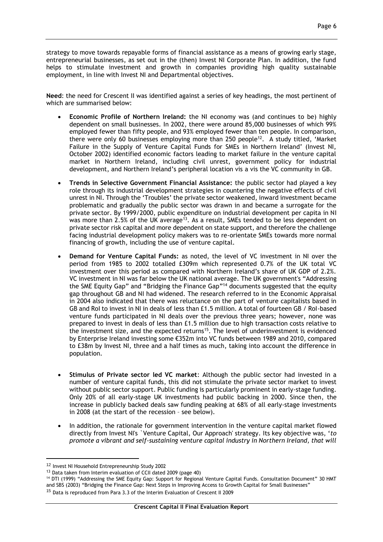strategy to move towards repayable forms of financial assistance as a means of growing early stage, entrepreneurial businesses, as set out in the (then) Invest NI Corporate Plan. In addition, the fund helps to stimulate investment and growth in companies providing high quality sustainable employment, in line with Invest NI and Departmental objectives.

**Need**: the need for Crescent II was identified against a series of key headings, the most pertinent of which are summarised below:

- **Economic Profile of Northern Ireland:** the NI economy was (and continues to be) highly dependent on small businesses. In 2002, there were around 85,000 businesses of which 99% employed fewer than fifty people, and 93% employed fewer than ten people. In comparison, there were only 60 businesses employing more than  $250$  people<sup>12</sup>. A study titled, 'Market Failure in the Supply of Venture Capital Funds for SMEs in Northern Ireland' (Invest NI, October 2002) identified economic factors leading to market failure in the venture capital market in Northern Ireland, including civil unrest, government policy for industrial development, and Northern Ireland's peripheral location vis a vis the VC community in GB.
- **Trends in Selective Government Financial Assistance:** the public sector had played a key role through its industrial development strategies in countering the negative effects of civil unrest in NI. Through the 'Troubles' the private sector weakened, inward investment became problematic and gradually the public sector was drawn in and became a surrogate for the private sector. By 1999/2000, public expenditure on industrial development per capita in NI was more than  $2.5\%$  of the UK average<sup>13</sup>. As a result, SMEs tended to be less dependent on private sector risk capital and more dependent on state support, and therefore the challenge facing industrial development policy makers was to re-orientate SMEs towards more normal financing of growth, including the use of venture capital.
- **Demand for Venture Capital Funds:** as noted, the level of VC investment in NI over the period from 1985 to 2002 totalled £309m which represented 0.7% of the UK total VC investment over this period as compared with Northern Ireland's share of UK GDP of 2.2%. VC investment in NI was far below the UK national average. The UK government's "Addressing the SME Equity Gap" and "Bridging the Finance Gap"<sup>14</sup> documents suggested that the equity gap throughout GB and NI had widened. The research referred to in the Economic Appraisal in 2004 also indicated that there was reluctance on the part of venture capitalists based in GB and RoI to invest in NI in deals of less than £1.5 million. A total of fourteen GB / RoI-based venture funds participated in NI deals over the previous three years; however, none was prepared to invest in deals of less than £1.5 million due to high transaction costs relative to the investment size, and the expected returns<sup>15</sup>. The level of underinvestment is evidenced by Enterprise Ireland investing some €352m into VC funds between 1989 and 2010, compared to £38m by Invest NI, three and a half times as much, taking into account the difference in population.
- **Stimulus of Private sector led VC market**: Although the public sector had invested in a number of venture capital funds, this did not stimulate the private sector market to invest without public sector support. Public funding is particularly prominent in early-stage funding. Only 20% of all early-stage UK investments had public backing in 2000. Since then, the increase in publicly backed deals saw funding peaking at 68% of all early-stage investments in 2008 (at the start of the recession – see below).
- In addition, the rationale for government intervention in the venture capital market flowed directly from Invest NI's `Venture Capital, Our Approach' strategy. Its key objective was, '*to promote a vibrant and self-sustaining venture capital industry in Northern Ireland, that will*

<u>.</u>

<sup>12</sup> Invest NI Household Entrepreneurship Study 2002

<sup>13</sup> Data taken from Interim evaluation of CCII dated 2009 (page 40)

<sup>14</sup> DTI (1999) "Addressing the SME Equity Gap: Support for Regional Venture Capital Funds. Consultation Document" 30 HMT and SBS (2003) "Bridging the Finance Gap: Next Steps in Improving Access to Growth Capital for Small Businesses"

<sup>15</sup> Data is reproduced from Para 3.3 of the Interim Evaluation of Crescent II 2009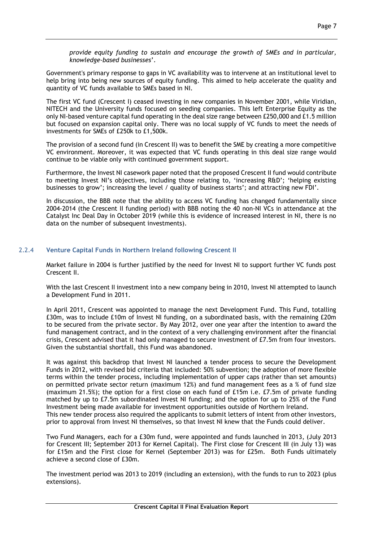*provide equity funding to sustain and encourage the growth of SMEs and in particular, knowledge-based businesses*'.

Government's primary response to gaps in VC availability was to intervene at an institutional level to help bring into being new sources of equity funding. This aimed to help accelerate the quality and quantity of VC funds available to SMEs based in NI.

The first VC fund (Crescent I) ceased investing in new companies in November 2001, while Viridian, NITECH and the University funds focused on seeding companies. This left Enterprise Equity as the only NI-based venture capital fund operating in the deal size range between £250,000 and £1.5 million but focused on expansion capital only. There was no local supply of VC funds to meet the needs of investments for SMEs of £250k to £1,500k.

The provision of a second fund (in Crescent II) was to benefit the SME by creating a more competitive VC environment. Moreover, it was expected that VC funds operating in this deal size range would continue to be viable only with continued government support.

Furthermore, the Invest NI casework paper noted that the proposed Crescent II fund would contribute to meeting Invest NI's objectives, including those relating to, 'increasing R&D'; 'helping existing businesses to grow'; increasing the level / quality of business starts'; and attracting new FDI'.

In discussion, the BBB note that the ability to access VC funding has changed fundamentally since 2004-2014 (the Crescent II funding period) with BBB noting the 40 non-NI VCs in attendance at the Catalyst Inc Deal Day in October 2019 (while this is evidence of increased interest in NI, there is no data on the number of subsequent investments).

## 2.2.4 **Venture Capital Funds in Northern Ireland following Crescent II**

Market failure in 2004 is further justified by the need for Invest NI to support further VC funds post Crescent II.

With the last Crescent II investment into a new company being in 2010, Invest NI attempted to launch a Development Fund in 2011.

In April 2011, Crescent was appointed to manage the next Development Fund. This Fund, totalling £30m, was to include £10m of Invest NI funding, on a subordinated basis, with the remaining £20m to be secured from the private sector. By May 2012, over one year after the intention to award the fund management contract, and in the context of a very challenging environment after the financial crisis, Crescent advised that it had only managed to secure investment of £7.5m from four investors. Given the substantial shortfall, this Fund was abandoned.

It was against this backdrop that Invest NI launched a tender process to secure the Development Funds in 2012, with revised bid criteria that included: 50% subvention; the adoption of more flexible terms within the tender process, including implementation of upper caps (rather than set amounts) on permitted private sector return (maximum 12%) and fund management fees as a % of fund size (maximum 21.5%); the option for a first close on each fund of £15m i.e. £7.5m of private funding matched by up to £7.5m subordinated Invest NI funding; and the option for up to 25% of the Fund Investment being made available for investment opportunities outside of Northern Ireland. This new tender process also required the applicants to submit letters of intent from other investors, prior to approval from Invest NI themselves, so that Invest NI knew that the Funds could deliver.

Two Fund Managers, each for a £30m fund, were appointed and funds launched in 2013, (July 2013 for Crescent III; September 2013 for Kernel Capital). The First close for Crescent III (in July 13) was for £15m and the First close for Kernel (September 2013) was for £25m. Both Funds ultimately achieve a second close of £30m.

The investment period was 2013 to 2019 (including an extension), with the funds to run to 2023 (plus extensions).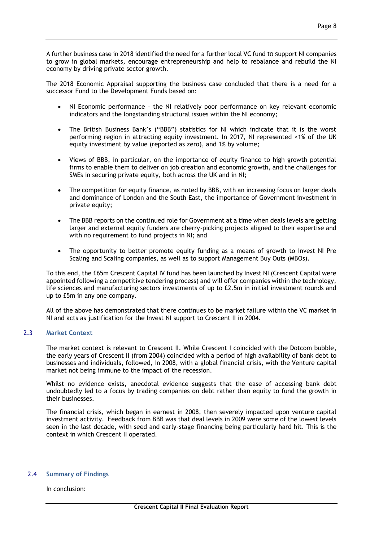A further business case in 2018 identified the need for a further local VC fund to support NI companies to grow in global markets, encourage entrepreneurship and help to rebalance and rebuild the NI economy by driving private sector growth.

The 2018 Economic Appraisal supporting the business case concluded that there is a need for a successor Fund to the Development Funds based on:

- NI Economic performance the NI relatively poor performance on key relevant economic indicators and the longstanding structural issues within the NI economy;
- The British Business Bank's ("BBB") statistics for NI which indicate that it is the worst performing region in attracting equity investment. In 2017, NI represented <1% of the UK equity investment by value (reported as zero), and 1% by volume;
- Views of BBB, in particular, on the importance of equity finance to high growth potential firms to enable them to deliver on job creation and economic growth, and the challenges for SMEs in securing private equity, both across the UK and in NI;
- The competition for equity finance, as noted by BBB, with an increasing focus on larger deals and dominance of London and the South East, the importance of Government investment in private equity;
- The BBB reports on the continued role for Government at a time when deals levels are getting larger and external equity funders are cherry-picking projects aligned to their expertise and with no requirement to fund projects in NI; and
- The opportunity to better promote equity funding as a means of growth to Invest NI Pre Scaling and Scaling companies, as well as to support Management Buy Outs (MBOs).

To this end, the £65m Crescent Capital IV fund has been launched by Invest NI (Crescent Capital were appointed following a competitive tendering process) and will offer companies within the technology, life sciences and manufacturing sectors investments of up to £2.5m in initial investment rounds and up to £5m in any one company.

All of the above has demonstrated that there continues to be market failure within the VC market in NI and acts as justification for the Invest NI support to Crescent II in 2004.

## 2.3 **Market Context**

The market context is relevant to Crescent II. While Crescent I coincided with the Dotcom bubble, the early years of Crescent II (from 2004) coincided with a period of high availability of bank debt to businesses and individuals, followed, in 2008, with a global financial crisis, with the Venture capital market not being immune to the impact of the recession.

Whilst no evidence exists, anecdotal evidence suggests that the ease of accessing bank debt undoubtedly led to a focus by trading companies on debt rather than equity to fund the growth in their businesses.

The financial crisis, which began in earnest in 2008, then severely impacted upon venture capital investment activity. Feedback from BBB was that deal levels in 2009 were some of the lowest levels seen in the last decade, with seed and early-stage financing being particularly hard hit. This is the context in which Crescent II operated.

#### 2.4 **Summary of Findings**

In conclusion: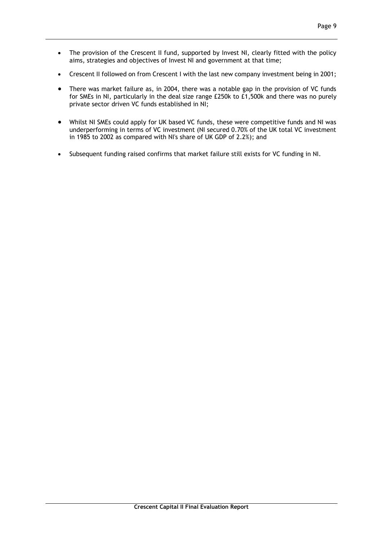- The provision of the Crescent II fund, supported by Invest NI, clearly fitted with the policy aims, strategies and objectives of Invest NI and government at that time;
- Crescent II followed on from Crescent I with the last new company investment being in 2001;
- There was market failure as, in 2004, there was a notable gap in the provision of VC funds for SMEs in NI, particularly in the deal size range £250k to £1,500k and there was no purely private sector driven VC funds established in NI;
- Whilst NI SMEs could apply for UK based VC funds, these were competitive funds and NI was underperforming in terms of VC investment (NI secured 0.70% of the UK total VC investment in 1985 to 2002 as compared with NI's share of UK GDP of 2.2%); and
- Subsequent funding raised confirms that market failure still exists for VC funding in NI.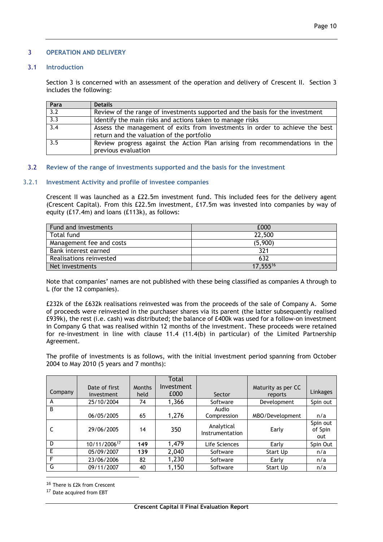### 3 **OPERATION AND DELIVERY**

### 3.1 **Introduction**

Section 3 is concerned with an assessment of the operation and delivery of Crescent II. Section 3 includes the following:

| Para             | <b>Details</b>                                                                                                            |
|------------------|---------------------------------------------------------------------------------------------------------------------------|
| 3.2              | Review of the range of investments supported and the basis for the investment                                             |
| $\overline{3.3}$ | Identify the main risks and actions taken to manage risks                                                                 |
| 3.4              | Assess the management of exits from investments in order to achieve the best<br>return and the valuation of the portfolio |
| 3.5              | Review progress against the Action Plan arising from recommendations in the<br>previous evaluation                        |

### 3.2 **Review of the range of investments supported and the basis for the investment**

### 3.2.1 **Investment Activity and profile of investee companies**

Crescent II was launched as a £22.5m investment fund. This included fees for the delivery agent (Crescent Capital). From this £22.5m investment, £17.5m was invested into companies by way of equity (£17.4m) and loans (£113k), as follows:

| Fund and investments     | £000     |
|--------------------------|----------|
| Total fund               | 22,500   |
| Management fee and costs | (5,900)  |
| Bank interest earned     | 321      |
| Realisations reinvested  | 632      |
| Net investments          | 17,55516 |

Note that companies' names are not published with these being classified as companies A through to L (for the 12 companies).

£232k of the £632k realisations reinvested was from the proceeds of the sale of Company A. Some of proceeds were reinvested in the purchaser shares via its parent (the latter subsequently realised £939k), the rest (i.e. cash) was distributed; the balance of £400k was used for a follow-on investment in Company G that was realised within 12 months of the investment. These proceeds were retained for re-investment in line with clause 11.4 (11.4(b) in particular) of the Limited Partnership Agreement.

The profile of investments is as follows, with the initial investment period spanning from October 2004 to May 2010 (5 years and 7 months):

|         |                             |                       | Total              |                               |                               |                            |
|---------|-----------------------------|-----------------------|--------------------|-------------------------------|-------------------------------|----------------------------|
| Company | Date of first<br>investment | <b>Months</b><br>held | Investment<br>£000 | Sector                        | Maturity as per CC<br>reports | Linkages                   |
| A       | 25/10/2004                  | 74                    | 1,366              | Software                      | Development                   | Spin out                   |
| B       | 06/05/2005                  | 65                    | 1,276              | Audio<br>Compression          | MBO/Development               | n/a                        |
| C       | 29/06/2005                  | 14                    | 350                | Analytical<br>Instrumentation | Early                         | Spin out<br>of Spin<br>out |
| D       | 10/11/200617                | 149                   | 1,479              | Life Sciences                 | Early                         | Spin Out                   |
| E       | 05/09/2007                  | 139                   | 2,040              | Software                      | Start Up                      | n/a                        |
| F       | 23/06/2006                  | 82                    | 1,230              | Software                      | Early                         | n/a                        |
| G       | 09/11/2007                  | 40                    | 1,150              | Software                      | Start Up                      | n/a                        |

1 16 There is £2k from Crescent

17 Date acquired from EBT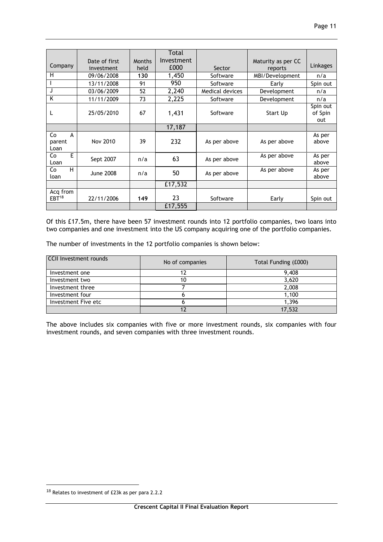|                   |                  |               | Total      |                 |                    |          |
|-------------------|------------------|---------------|------------|-----------------|--------------------|----------|
|                   | Date of first    | <b>Months</b> | Investment |                 | Maturity as per CC |          |
| Company           | investment       | held          | £000       | Sector          | reports            | Linkages |
| н                 | 09/06/2008       | 130           | 1,450      | Software        | MBI/Development    | n/a      |
|                   | 13/11/2008       | 91            | 950        | Software        | Early              | Spin out |
| J                 | 03/06/2009       | 52            | 2,240      | Medical devices | Development        | n/a      |
| K                 | 11/11/2009       | 73            | 2,225      | Software        | Development        | n/a      |
|                   |                  |               |            |                 |                    | Spin out |
| L                 | 25/05/2010       | 67            | 1,431      | Software        | Start Up           | of Spin  |
|                   |                  |               |            |                 |                    | out      |
|                   |                  |               | 17,187     |                 |                    |          |
| Co<br>A           |                  |               |            |                 |                    | As per   |
| parent            | Nov 2010         | 39            | 232        | As per above    | As per above       | above    |
| Loan              |                  |               |            |                 |                    |          |
| E<br>Co           | Sept 2007        | n/a           | 63         | As per above    | As per above       | As per   |
| Loan              |                  |               |            |                 |                    | above    |
| н<br>Co           | <b>June 2008</b> | n/a           | 50         | As per above    | As per above       | As per   |
| loan              |                  |               |            |                 |                    | above    |
|                   |                  |               | £17,532    |                 |                    |          |
| Acq from          |                  |               |            |                 |                    |          |
| EBT <sup>18</sup> | 22/11/2006       | 149           | 23         | Software        | Early              | Spin out |
|                   |                  |               | £17,555    |                 |                    |          |

Of this £17.5m, there have been 57 investment rounds into 12 portfolio companies, two loans into two companies and one investment into the US company acquiring one of the portfolio companies.

The number of investments in the 12 portfolio companies is shown below:

| <b>CCII Investment rounds</b> | No of companies | Total Funding (£000) |  |
|-------------------------------|-----------------|----------------------|--|
| Investment one                |                 | 9,408                |  |
| Investment two                | 10              | 3,620                |  |
| Investment three              |                 | 2,008                |  |
| Investment four               |                 | 1.100                |  |
| Investment Five etc           |                 | 1,396                |  |
|                               |                 | 17,532               |  |

The above includes six companies with five or more investment rounds, six companies with four investment rounds, and seven companies with three investment rounds.

<u>.</u>

<sup>18</sup> Relates to investment of £23k as per para 2.2.2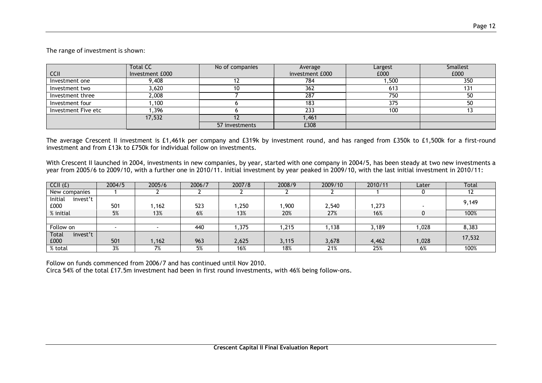## The range of investment is shown:

|                     | <b>Total CC</b> | No of companies | Average         | Largest | Smallest |
|---------------------|-----------------|-----------------|-----------------|---------|----------|
| <b>CCII</b>         | Investment £000 |                 | investment £000 | £000    | £000     |
| Investment one      | 9,408           |                 | 784             | ,500    | 350      |
| Investment two      | 3,620           |                 | 362             | 613     | 131      |
| Investment three    | 2,008           |                 | 287             | 750     | 50       |
| Investment four     | ,100            |                 | 183             | 375     | 50       |
| Investment Five etc | ,396            |                 | 233             | 100     |          |
|                     | 17,532          |                 | 461, ا          |         |          |
|                     |                 | 57 investments  | £308            |         |          |

The average Crescent II investment is £1,461k per company and £319k by investment round, and has ranged from £350k to £1,500k for a first-round investment and from £13k to £750k for individual follow on investments.

With Crescent II launched in 2004, investments in new companies, by year, started with one company in 2004/5, has been steady at two new investments a year from 2005/6 to 2009/10, with a further one in 2010/11. Initial investment by year peaked in 2009/10, with the last initial investment in 2010/11:

| CCH(f)                   | 2004/5 | 2005/6 | 2006/7 | 2007/8 | 2008/9 | 2009/10 | 2010/11 | Later | Total  |
|--------------------------|--------|--------|--------|--------|--------|---------|---------|-------|--------|
| New companies            |        |        |        |        |        |         |         |       |        |
| Initial<br>invest't      |        |        |        |        |        |         |         |       | 9,149  |
| £000                     | 501    | 1,162  | 523    | ,250   | .900   | 2,540   | .273    |       |        |
| % initial                | 5%     | 13%    | 6%     | 13%    | 20%    | 27%     | 16%     |       | 100%   |
|                          |        |        |        |        |        |         |         |       |        |
| Follow on                |        |        | 440    | ,375   | ,215   | .138    | 3,189   | ,028  | 8,383  |
| <b>Total</b><br>invest't |        |        |        |        |        |         |         |       | 17,532 |
| £000                     | 501    | 1,162  | 963    | 2,625  | 3,115  | 3,678   | 4,462   | 1,028 |        |
| % total                  | 3%     | 7%     | 5%     | 16%    | 18%    | 21%     | 25%     | 6%    | 100%   |

Follow on funds commenced from 2006/7 and has continued until Nov 2010.

Circa 54% of the total £17.5m investment had been in first round investments, with 46% being follow-ons.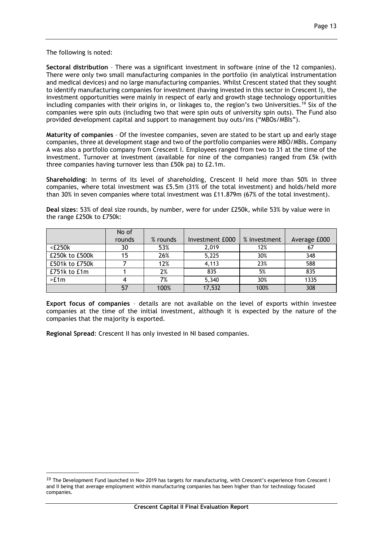The following is noted:

1

**Sectoral distribution** – There was a significant investment in software (nine of the 12 companies). There were only two small manufacturing companies in the portfolio (in analytical instrumentation and medical devices) and no large manufacturing companies. Whilst Crescent stated that they sought to identify manufacturing companies for investment (having invested in this sector in Crescent I), the investment opportunities were mainly in respect of early and growth stage technology opportunities including companies with their origins in, or linkages to, the region's two Universities.<sup>19</sup> Six of the companies were spin outs (including two that were spin outs of university spin outs). The Fund also provided development capital and support to management buy outs/ins ("MBOs/MBIs").

**Maturity of companies** – Of the investee companies, seven are stated to be start up and early stage companies, three at development stage and two of the portfolio companies were MBO/MBIs. Company A was also a portfolio company from Crescent I. Employees ranged from two to 31 at the time of the investment. Turnover at investment (available for nine of the companies) ranged from £5k (with three companies having turnover less than £50k pa) to £2.1m.

**Shareholding**: In terms of its level of shareholding, Crescent II held more than 50% in three companies, where total investment was £5.5m (31% of the total investment) and holds/held more than 30% in seven companies where total investment was £11.879m (67% of the total investment).

**Deal sizes**: 53% of deal size rounds, by number, were for under £250k, while 53% by value were in the range £250k to £750k:

|                | No of  |          |                 |              |              |
|----------------|--------|----------|-----------------|--------------|--------------|
|                | rounds | % rounds | Investment £000 | % investment | Average £000 |
| $<$ £250 $k$   | 30     | 53%      | 2.019           | 12%          | 67           |
| £250k to £500k | 15     | 26%      | 5,225           | 30%          | 348          |
| £501k to £750k |        | 12%      | 4,113           | 23%          | 588          |
| £751k to £1m   |        | 2%       | 835             | 5%           | 835          |
| >E1m           |        | 7%       | 5,340           | 30%          | 1335         |
|                | 57     | 100%     | 17,532          | 100%         | 308          |

**Export focus of companies** – details are not available on the level of exports within investee companies at the time of the initial investment, although it is expected by the nature of the companies that the majority is exported.

**Regional Spread**: Crescent II has only invested in NI based companies.

<sup>&</sup>lt;sup>19</sup> The Development Fund launched in Nov 2019 has targets for manufacturing, with Crescent's experience from Crescent I and II being that average employment within manufacturing companies has been higher than for technology focused companies.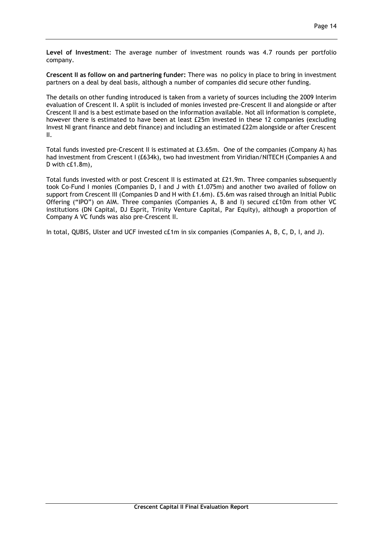**Level of Investment**: The average number of investment rounds was 4.7 rounds per portfolio company.

**Crescent II as follow on and partnering funder:** There was no policy in place to bring in investment partners on a deal by deal basis, although a number of companies did secure other funding.

The details on other funding introduced is taken from a variety of sources including the 2009 Interim evaluation of Crescent II. A split is included of monies invested pre-Crescent II and alongside or after Crescent II and is a best estimate based on the information available. Not all information is complete, however there is estimated to have been at least £25m invested in these 12 companies (excluding Invest NI grant finance and debt finance) and including an estimated £22m alongside or after Crescent II.

Total funds invested pre-Crescent II is estimated at £3.65m. One of the companies (Company A) has had investment from Crescent I (£634k), two had investment from Viridian/NITECH (Companies A and D with c£1.8m),

Total funds invested with or post Crescent II is estimated at £21.9m. Three companies subsequently took Co-Fund I monies (Companies D, I and J with £1.075m) and another two availed of follow on support from Crescent III (Companies D and H with £1.6m). £5.6m was raised through an Initial Public Offering ("IPO") on AIM. Three companies (Companies A, B and I) secured c£10m from other VC institutions (DN Capital, DJ Esprit, Trinity Venture Capital, Par Equity), although a proportion of Company A VC funds was also pre-Crescent II.

In total, QUBIS, Ulster and UCF invested c£1m in six companies (Companies A, B, C, D, I, and J).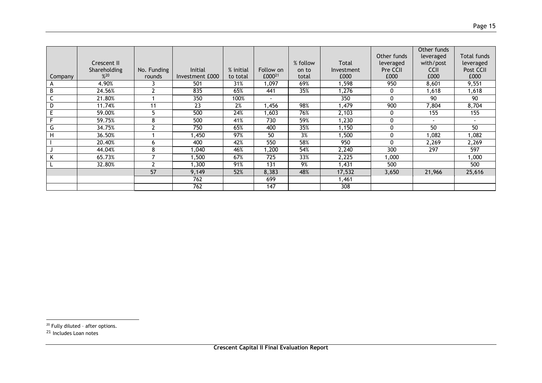|                               |                    |             |                 |           |                    |          |              |              | Other funds              |                    |
|-------------------------------|--------------------|-------------|-----------------|-----------|--------------------|----------|--------------|--------------|--------------------------|--------------------|
|                               |                    |             |                 |           |                    |          |              | Other funds  | leveraged                | <b>Total funds</b> |
|                               | <b>Crescent II</b> |             |                 |           |                    | % follow | <b>Total</b> | leveraged    | with/post                | leveraged          |
|                               | Shareholding       | No. Funding | <b>Initial</b>  | % initial | Follow on          | on to    | Investment   | Pre CCII     | <b>CCII</b>              | Post CCII          |
| Company                       | %20                | rounds      | Investment £000 | to total  | £000 <sup>21</sup> | total    | £000         | £000         | £000                     | £000               |
| A                             | 4.90%              |             | 501             | 31%       | 1,097              | 69%      | 598. ا       | 950          | 8,601                    | 9,551              |
| B                             | 24.56%             |             | 835             | 65%       | 441                | 35%      | 1,276        | $\Omega$     | 1,618                    | 1,618              |
| $\overline{\phantom{0}}$<br>J | 21.80%             |             | 350             | 100%      | $\blacksquare$     |          | 350          | $\mathbf{0}$ | 90                       | 90                 |
| D                             | 11.74%             | 11          | 23              | 2%        | ,456               | 98%      | ,479         | 900          | 7,804                    | 8,704              |
| E                             | 59.00%             | 5           | 500             | 24%       | ,603               | 76%      | 2,103        | $\Omega$     | 155                      | 155                |
| Е                             | 59.75%             | 8           | 500             | 41%       | 730                | 59%      | ,230         | $\Omega$     | $\overline{\phantom{a}}$ | $\blacksquare$     |
| G                             | 34.75%             | ີ           | 750             | 65%       | 400                | 35%      | 1,150        | $\Omega$     | 50                       | 50                 |
| H                             | 36.50%             |             | ,450            | 97%       | 50                 | 3%       | ,500         | $\Omega$     | 082, ا                   | 1,082              |
|                               | 20.40%             | ь           | 400             | 42%       | 550                | 58%      | 950          | $\Omega$     | 2,269                    | 2,269              |
|                               | 44.04%             | 8           | 1,040           | 46%       | 1,200              | 54%      | 2,240        | 300          | 297                      | 597                |
| n.                            | 65.73%             |             | ,500            | 67%       | 725                | 33%      | 2,225        | 1,000        |                          | 1,000              |
|                               | 32.80%             | ີ           | ,300            | 91%       | 131                | 9%       | 1,431        | 500          |                          | 500                |
|                               |                    | 57          | 9,149           | 52%       | 8,383              | 48%      | 17,532       | 3,650        | 21,966                   | 25,616             |
|                               |                    |             | 762             |           | 699                |          | 1,461        |              |                          |                    |
|                               |                    |             | 762             |           | 147                |          | 308          |              |                          |                    |

 $20$  Fully diluted - after options.

1

<sup>&</sup>lt;sup>21</sup> Includes Loan notes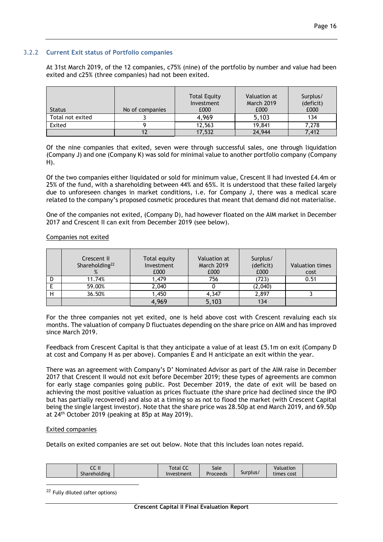## 3.2.2 **Current Exit status of Portfolio companies**

At 31st March 2019, of the 12 companies, c75% (nine) of the portfolio by number and value had been exited and c25% (three companies) had not been exited.

| <b>Status</b>    | No of companies | <b>Total Equity</b><br>Investment<br>£000 | Valuation at<br><b>March 2019</b><br>£000 | Surplus/<br>(deficit)<br>£000 |
|------------------|-----------------|-------------------------------------------|-------------------------------------------|-------------------------------|
| Total not exited |                 | 4,969                                     | 5,103                                     | 134                           |
| Exited           |                 | 12,563                                    | 19,841                                    | 7.278                         |
|                  |                 | 17,532                                    | 24,944                                    | 7.412                         |

Of the nine companies that exited, seven were through successful sales, one through liquidation (Company J) and one (Company K) was sold for minimal value to another portfolio company (Company H).

Of the two companies either liquidated or sold for minimum value, Crescent II had invested £4.4m or 25% of the fund, with a shareholding between 44% and 65%. It is understood that these failed largely due to unforeseen changes in market conditions, i.e. for Company J, there was a medical scare related to the company's proposed cosmetic procedures that meant that demand did not materialise.

One of the companies not exited, (Company D), had however floated on the AIM market in December 2017 and Crescent II can exit from December 2019 (see below).

Companies not exited

|   | Crescent II<br>Shareholding <sup>22</sup> | Total equity<br>Investment<br>£000 | Valuation at<br><b>March 2019</b><br>£000 | Surplus/<br>(deficit)<br>£000 | Valuation times<br>cost |
|---|-------------------------------------------|------------------------------------|-------------------------------------------|-------------------------------|-------------------------|
| D | 11.74%                                    | 1,479                              | 756                                       | (723)                         | 0.51                    |
|   | 59.00%                                    | 2,040                              |                                           | (2,040)                       |                         |
| н | 36.50%                                    | 1,450                              | 4,347                                     | 2,897                         |                         |
|   |                                           | 4,969                              | 5,103                                     | 134                           |                         |

For the three companies not yet exited, one is held above cost with Crescent revaluing each six months. The valuation of company D fluctuates depending on the share price on AIM and has improved since March 2019.

Feedback from Crescent Capital is that they anticipate a value of at least £5.1m on exit (Company D at cost and Company H as per above). Companies E and H anticipate an exit within the year.

There was an agreement with Company's D' Nominated Advisor as part of the AIM raise in December 2017 that Crescent II would not exit before December 2019; these types of agreements are common for early stage companies going public. Post December 2019, the date of exit will be based on achieving the most positive valuation as prices fluctuate (the share price had declined since the IPO but has partially recovered) and also at a timing so as not to flood the market (with Crescent Capital being the single largest investor). Note that the share price was 28.50p at end March 2019, and 69.50p at 24<sup>th</sup> October 2019 (peaking at 85p at May 2019).

#### Exited companies

<u>.</u>

Details on exited companies are set out below. Note that this includes loan notes repaid.

| $\sim$ $\sim$ $\sim$<br>יי יי<br>Shareholding | $\epsilon$<br><b>Total CL</b><br>Investment | Sale<br>Proceeds | Surplus/ | Valuation<br>times cost |  |
|-----------------------------------------------|---------------------------------------------|------------------|----------|-------------------------|--|
|-----------------------------------------------|---------------------------------------------|------------------|----------|-------------------------|--|

<sup>22</sup> Fully diluted (after options)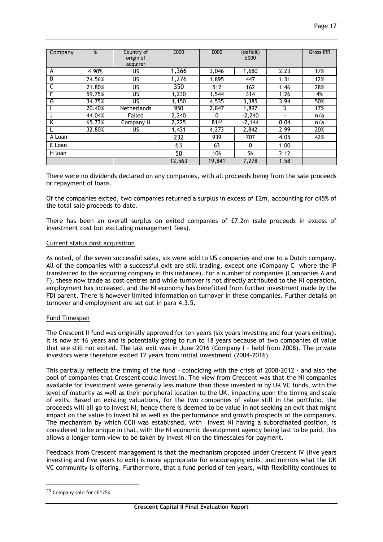| Company | %      | Country of<br>origin of<br>acquirer | £000   | £000      | (deficit)<br>£000 |      | <b>Gross IRR</b> |
|---------|--------|-------------------------------------|--------|-----------|-------------------|------|------------------|
| A       | 4.90%  | US                                  | 1,366  | 3,046     | 1,680             | 2.23 | 17%              |
| B       | 24.56% | US                                  | 1,276  | 1,895     | 447               | 1.31 | 12%              |
| C       | 21.80% | US                                  | 350    | 512       | 162               | 1.46 | 28%              |
| F       | 59.75% | US                                  | 1,230  | 1,544     | 314               | 1.26 | 4%               |
| G       | 34.75% | US                                  | 1,150  | 4,535     | 3,385             | 3.94 | 50%              |
|         | 20.40% | Netherlands                         | 950    | 2,847     | 1.897             |      | 17%              |
|         | 44.04% | Failed                              | 2,240  | 0         | $-2,240$          |      | n/a              |
| K       | 65.73% | Company H                           | 2,225  | $81^{23}$ | $-2,144$          | 0.04 | n/a              |
|         | 32.80% | US                                  | 1,431  | 4,273     | 2,842             | 2.99 | 20%              |
| A Loan  |        |                                     | 232    | 939       | 707               | 4.05 | 42%              |
| E Loan  |        |                                     | 63     | 63        | 0                 | 1.00 |                  |
| H loan  |        |                                     | 50     | 106       | 56                | 2.12 |                  |
|         |        |                                     | 12,563 | 19.841    | 7.278             | 1.58 |                  |

There were no dividends declared on any companies, with all proceeds being from the sale proceeds or repayment of loans.

Of the companies exited, two companies returned a surplus in excess of £2m, accounting for c45% of the total sale proceeds to date.

There has been an overall surplus on exited companies of £7.2m (sale proceeds in excess of investment cost but excluding management fees).

#### Current status post acquisition

As noted, of the seven successful sales, six were sold to US companies and one to a Dutch company. All of the companies with a successful exit are still trading, except one (Company C– where the IP transferred to the acquiring company in this instance). For a number of companies (Companies A and F), these now trade as cost centres and while turnover is not directly attributed to the NI operation, employment has increased, and the NI economy has benefitted from further investment made by the FDI parent. There is however limited information on turnover in these companies. Further details on turnover and employment are set out in para 4.3.5.

#### Fund Timespan

The Crescent II fund was originally approved for ten years (six years investing and four years exiting). It is now at 16 years and is potentially going to run to 18 years because of two companies of value that are still not exited. The last exit was in June 2016 (Company I – held from 2008). The private investors were therefore exited 12 years from initial investment (2004-2016).

This partially reflects the timing of the fund – coinciding with the crisis of 2008-2012 - and also the pool of companies that Crescent could invest in. The view from Crescent was that the NI companies available for investment were generally less mature than those invested in by UK VC funds, with the level of maturity as well as their peripheral location to the UK, impacting upon the timing and scale of exits. Based on existing valuations, for the two companies of value still in the portfolio, the proceeds will all go to Invest NI, hence there is deemed to be value in not seeking an exit that might impact on the value to Invest NI as well as the performance and growth prospects of the companies. The mechanism by which CCII was established, with Invest NI having a subordinated position, is considered to be unique in that, with the NI economic development agency being last to be paid, this allows a longer term view to be taken by Invest NI on the timescales for payment.

Feedback from Crescent management is that the mechanism proposed under Crescent IV (five years investing and five years to exit) is more appropriate for encouraging exits, and mirrors what the UK VC community is offering. Furthermore, that a fund period of ten years, with flexibility continues to

<u>.</u>

<sup>23</sup> Company sold for c£125k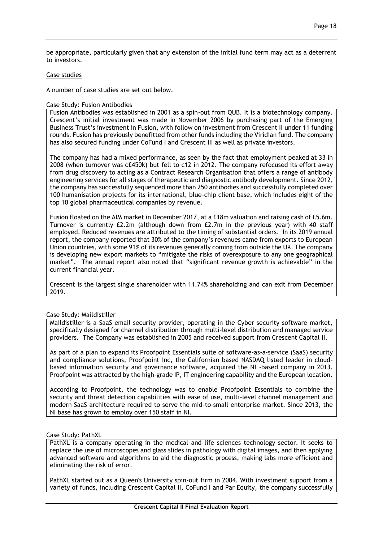be appropriate, particularly given that any extension of the initial fund term may act as a deterrent to investors.

## Case studies

A number of case studies are set out below.

## Case Study: Fusion Antibodies

Fusion Antibodies was established in 2001 as a spin-out from QUB. It is a biotechnology company. Crescent's initial investment was made in November 2006 by purchasing part of the Emerging Business Trust's investment in Fusion, with follow on investment from Crescent II under 11 funding rounds. Fusion has previously benefitted from other funds including the Viridian fund. The company has also secured funding under CoFund I and Crescent III as well as private investors.

The company has had a mixed performance, as seen by the fact that employment peaked at 33 in 2008 (when turnover was c£450k) but fell to c12 in 2012. The company refocused its effort away from drug discovery to acting as a Contract Research Organisation that offers a range of antibody engineering services for all stages of therapeutic and diagnostic antibody development. Since 2012, the company has successfully sequenced more than 250 antibodies and successfully completed over 100 humanisation projects for its international, blue-chip client base, which includes eight of the top 10 global pharmaceutical companies by revenue.

Fusion floated on the AIM market in December 2017, at a £18m valuation and raising cash of £5.6m. Turnover is currently £2.2m (although down from £2.7m in the previous year) with 40 staff employed. Reduced revenues are attributed to the timing of substantial orders. In its 2019 annual report, the company reported that 30% of the company's revenues came from exports to European Union countries, with some 91% of its revenues generally coming from outside the UK. The company is developing new export markets to "mitigate the risks of overexposure to any one geographical market". The annual report also noted that "significant revenue growth is achievable" in the current financial year.

Crescent is the largest single shareholder with 11.74% shareholding and can exit from December 2019.

#### Case Study: Maildistiller

Maildistiller is a SaaS email security provider, operating in the Cyber security software market, specifically designed for channel distribution through multi-level distribution and managed service providers. The Company was established in 2005 and received support from Crescent Capital II.

As part of a plan to expand its Proofpoint Essentials suite of software-as-a-service (SaaS) security and compliance solutions, Proofpoint Inc, the Californian based NASDAQ listed leader in cloudbased information security and governance software, acquired the NI -based company in 2013. Proofpoint was attracted by the high-grade IP, IT engineering capability and the European location.

According to Proofpoint, the technology was to enable Proofpoint Essentials to combine the security and threat detection capabilities with ease of use, multi-level channel management and modern SaaS architecture required to serve the mid-to-small enterprise market. Since 2013, the NI base has grown to employ over 150 staff in NI.

#### Case Study: PathXL

PathXL is a company operating in the medical and life sciences technology sector. It seeks to replace the use of microscopes and glass slides in pathology with digital images, and then applying advanced software and algorithms to aid the diagnostic process, making labs more efficient and eliminating the risk of error.

PathXL started out as a Queen's University spin-out firm in 2004. With investment support from a variety of funds, including Crescent Capital II, CoFund I and Par Equity, the company successfully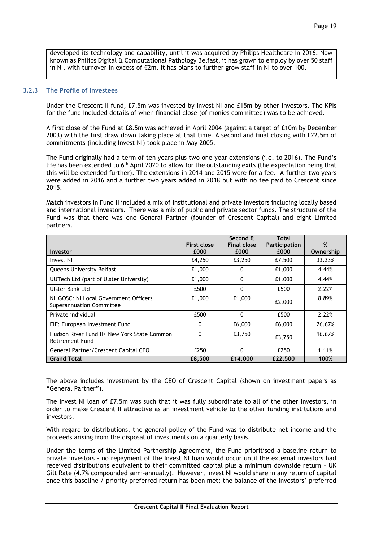developed its technology and capability, until it was acquired by Philips Healthcare in 2016. Now known as Philips Digital & Computational Pathology Belfast, it has grown to employ by over 50 staff in NI, with turnover in excess of  $\epsilon$ 2m. It has plans to further grow staff in NI to over 100.

## 3.2.3 **The Profile of Investees**

Under the Crescent II fund, £7.5m was invested by Invest NI and £15m by other investors. The KPIs for the fund included details of when financial close (of monies committed) was to be achieved.

A first close of the Fund at £8.5m was achieved in April 2004 (against a target of £10m by December 2003) with the first draw down taking place at that time. A second and final closing with £22.5m of commitments (including Invest NI) took place in May 2005.

The Fund originally had a term of ten years plus two one-year extensions (i.e. to 2016). The Fund's life has been extended to 6<sup>th</sup> April 2020 to allow for the outstanding exits (the expectation being that this will be extended further). The extensions in 2014 and 2015 were for a fee. A further two years were added in 2016 and a further two years added in 2018 but with no fee paid to Crescent since 2015.

Match investors in Fund II included a mix of institutional and private investors including locally based and international investors. There was a mix of public and private sector funds. The structure of the Fund was that there was one General Partner (founder of Crescent Capital) and eight Limited partners.

|                                                                       | First close | Second &<br><b>Final close</b> | Total<br>Participation | %         |
|-----------------------------------------------------------------------|-------------|--------------------------------|------------------------|-----------|
| Investor                                                              | £000        | £000                           | £000                   | Ownership |
| Invest NI                                                             | £4,250      | £3,250                         | £7,500                 | 33.33%    |
| Queens University Belfast                                             | £1,000      | 0                              | £1,000                 | 4.44%     |
| UUTech Ltd (part of Ulster University)                                | £1,000      | 0                              | £1,000                 | 4.44%     |
| <b>Ulster Bank Ltd</b>                                                | £500        | 0                              | £500                   | 2.22%     |
| NILGOSC: NI Local Government Officers<br>Superannuation Committee     | £1,000      | £1,000                         | £2,000                 | 8.89%     |
| Private individual                                                    | £500        | 0                              | £500                   | 2.22%     |
| EIF: European Investment Fund                                         | 0           | £6,000                         | £6,000                 | 26.67%    |
| Hudson River Fund II/ New York State Common<br><b>Retirement Fund</b> | 0           | £3,750                         | £3,750                 | 16.67%    |
| General Partner/Crescent Capital CEO                                  | £250        | 0                              | £250                   | 1.11%     |
| <b>Grand Total</b>                                                    | £8,500      | £14,000                        | £22,500                | 100%      |

The above includes investment by the CEO of Crescent Capital (shown on investment papers as "General Partner").

The Invest NI loan of £7.5m was such that it was fully subordinate to all of the other investors, in order to make Crescent II attractive as an investment vehicle to the other funding institutions and investors.

With regard to distributions, the general policy of the Fund was to distribute net income and the proceeds arising from the disposal of investments on a quarterly basis.

Under the terms of the Limited Partnership Agreement, the Fund prioritised a baseline return to private investors - no repayment of the Invest NI loan would occur until the external investors had received distributions equivalent to their committed capital plus a minimum downside return – UK Gilt Rate (4.7% compounded semi-annually). However, Invest NI would share in any return of capital once this baseline / priority preferred return has been met; the balance of the investors' preferred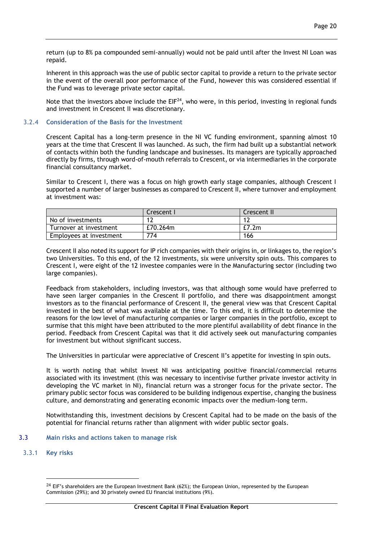return (up to 8% pa compounded semi-annually) would not be paid until after the Invest NI Loan was repaid.

Inherent in this approach was the use of public sector capital to provide a return to the private sector in the event of the overall poor performance of the Fund, however this was considered essential if the Fund was to leverage private sector capital.

Note that the investors above include the  $EIF^{24}$ , who were, in this period, investing in regional funds and investment in Crescent II was discretionary.

## 3.2.4 **Consideration of the Basis for the Investment**

Crescent Capital has a long-term presence in the NI VC funding environment, spanning almost 10 years at the time that Crescent II was launched. As such, the firm had built up a substantial network of contacts within both the funding landscape and businesses. Its managers are typically approached directly by firms, through word-of-mouth referrals to Crescent, or via intermediaries in the corporate financial consultancy market.

Similar to Crescent I, there was a focus on high growth early stage companies, although Crescent I supported a number of larger businesses as compared to Crescent II, where turnover and employment at investment was:

|                         | Crescent I | Crescent II |
|-------------------------|------------|-------------|
| No of investments       |            |             |
| Turnover at investment  | £70.264m   | E7.2m       |
| Employees at investment | 774        | 166         |

Crescent II also noted its support for IP rich companies with their origins in, or linkages to, the region's two Universities. To this end, of the 12 investments, six were university spin outs. This compares to Crescent I, were eight of the 12 investee companies were in the Manufacturing sector (including two large companies).

Feedback from stakeholders, including investors, was that although some would have preferred to have seen larger companies in the Crescent II portfolio, and there was disappointment amongst investors as to the financial performance of Crescent II, the general view was that Crescent Capital invested in the best of what was available at the time. To this end, it is difficult to determine the reasons for the low level of manufacturing companies or larger companies in the portfolio, except to surmise that this might have been attributed to the more plentiful availability of debt finance in the period. Feedback from Crescent Capital was that it did actively seek out manufacturing companies for investment but without significant success.

The Universities in particular were appreciative of Crescent II's appetite for investing in spin outs.

It is worth noting that whilst Invest NI was anticipating positive financial/commercial returns associated with its investment (this was necessary to incentivise further private investor activity in developing the VC market in NI), financial return was a stronger focus for the private sector. The primary public sector focus was considered to be building indigenous expertise, changing the business culture, and demonstrating and generating economic impacts over the medium-long term.

Notwithstanding this, investment decisions by Crescent Capital had to be made on the basis of the potential for financial returns rather than alignment with wider public sector goals.

## 3.3 **Main risks and actions taken to manage risk**

3.3.1 **Key risks** 

<u>.</u>

 $24$  EIF's shareholders are the European Investment Bank (62%); the European Union, represented by the European Commission (29%); and 30 privately owned EU financial institutions (9%).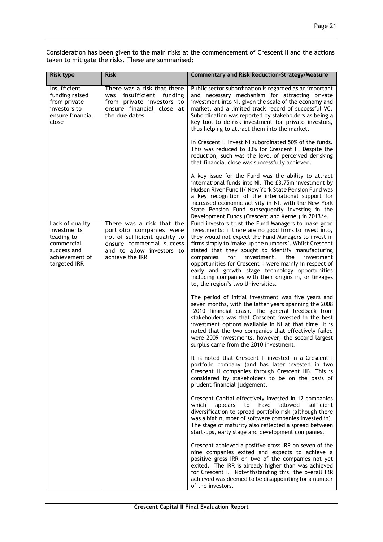Consideration has been given to the main risks at the commencement of Crescent II and the actions taken to mitigate the risks. These are summarised:

| <b>Risk type</b>                                                                                            | <b>Risk</b>                                                                                                                                                        | <b>Commentary and Risk Reduction-Strategy/Measure</b>                                                                                                                                                                                                                                                                                                                                                                                                                                                                                                       |
|-------------------------------------------------------------------------------------------------------------|--------------------------------------------------------------------------------------------------------------------------------------------------------------------|-------------------------------------------------------------------------------------------------------------------------------------------------------------------------------------------------------------------------------------------------------------------------------------------------------------------------------------------------------------------------------------------------------------------------------------------------------------------------------------------------------------------------------------------------------------|
| Insufficient<br>funding raised<br>from private<br>investors to<br>ensure financial<br>close                 | There was a risk that there<br>insufficient<br>funding<br>was<br>from private investors to<br>ensure financial close at<br>the due dates                           | Public sector subordination is regarded as an important<br>and necessary mechanism for attracting private<br>investment into NI, given the scale of the economy and<br>market, and a limited track record of successful VC.<br>Subordination was reported by stakeholders as being a<br>key tool to de-risk investment for private investors,<br>thus helping to attract them into the market.                                                                                                                                                              |
|                                                                                                             |                                                                                                                                                                    | In Crescent I, Invest NI subordinated 50% of the funds.<br>This was reduced to 33% for Crescent II. Despite the<br>reduction, such was the level of perceived derisking<br>that financial close was successfully achieved.                                                                                                                                                                                                                                                                                                                                  |
|                                                                                                             |                                                                                                                                                                    | A key issue for the Fund was the ability to attract<br>international funds into NI. The £3.75m investment by<br>Hudson River Fund II/ New York State Pension Fund was<br>a key recognition of the international support for<br>increased economic activity in NI, with the New York<br>State Pension Fund subsequently investing in the<br>Development Funds (Crescent and Kernel) in 2013/4.                                                                                                                                                               |
| Lack of quality<br>investments<br>leading to<br>commercial<br>success and<br>achievement of<br>targeted IRR | There was a risk that the<br>portfolio companies were<br>not of sufficient quality to<br>ensure commercial success<br>and to allow investors to<br>achieve the IRR | Fund investors trust the Fund Managers to make good<br>investments; if there are no good firms to invest into,<br>they would not expect the Fund Managers to invest in<br>firms simply to 'make up the numbers'. Whilst Crescent<br>stated that they sought to identify manufacturing<br>companies<br>for<br>investment,<br>investment<br>the<br>opportunities for Crescent II were mainly in respect of<br>early and growth stage technology opportunities<br>including companies with their origins in, or linkages<br>to, the region's two Universities. |
|                                                                                                             |                                                                                                                                                                    | The period of initial investment was five years and<br>seven months, with the latter years spanning the 2008<br>-2010 financial crash. The general feedback from<br>stakeholders was that Crescent invested in the best<br>investment options available in NI at that time. It is<br>noted that the two companies that effectively failed<br>were 2009 investments, however, the second largest<br>surplus came from the 2010 investment.                                                                                                                   |
|                                                                                                             |                                                                                                                                                                    | It is noted that Crescent II invested in a Crescent I<br>portfolio company (and has later invested in two<br>Crescent II companies through Crescent III). This is<br>considered by stakeholders to be on the basis of<br>prudent financial judgement.                                                                                                                                                                                                                                                                                                       |
|                                                                                                             |                                                                                                                                                                    | Crescent Capital effectively invested in 12 companies<br>allowed<br>sufficient<br>which<br>appears<br>to<br>have<br>diversification to spread portfolio risk (although there<br>was a high number of software companies invested in).<br>The stage of maturity also reflected a spread between<br>start-ups, early stage and development companies.                                                                                                                                                                                                         |
|                                                                                                             |                                                                                                                                                                    | Crescent achieved a positive gross IRR on seven of the<br>nine companies exited and expects to achieve a<br>positive gross IRR on two of the companies not yet<br>exited. The IRR is already higher than was achieved<br>for Crescent I. Notwithstanding this, the overall IRR<br>achieved was deemed to be disappointing for a number<br>of the investors.                                                                                                                                                                                                 |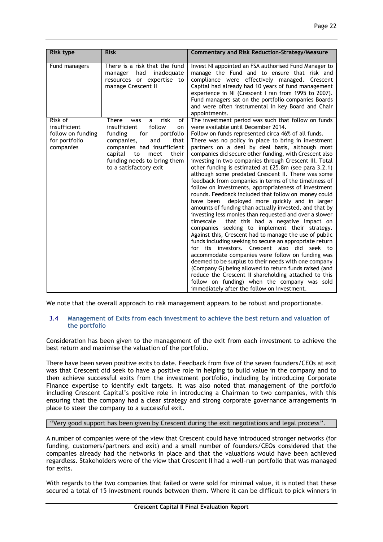| Risk type                                                                  | <b>Risk</b>                                                                                                                                                                                                                                          | <b>Commentary and Risk Reduction-Strategy/Measure</b>                                                                                                                                                                                                                                                                                                                                                                                                                                                                                                                                                                                                                                                                                                                                                                                                                                                                                                                                                                                                                                                                                                                                                                                                                                                                                                                                                                                                 |
|----------------------------------------------------------------------------|------------------------------------------------------------------------------------------------------------------------------------------------------------------------------------------------------------------------------------------------------|-------------------------------------------------------------------------------------------------------------------------------------------------------------------------------------------------------------------------------------------------------------------------------------------------------------------------------------------------------------------------------------------------------------------------------------------------------------------------------------------------------------------------------------------------------------------------------------------------------------------------------------------------------------------------------------------------------------------------------------------------------------------------------------------------------------------------------------------------------------------------------------------------------------------------------------------------------------------------------------------------------------------------------------------------------------------------------------------------------------------------------------------------------------------------------------------------------------------------------------------------------------------------------------------------------------------------------------------------------------------------------------------------------------------------------------------------------|
|                                                                            |                                                                                                                                                                                                                                                      |                                                                                                                                                                                                                                                                                                                                                                                                                                                                                                                                                                                                                                                                                                                                                                                                                                                                                                                                                                                                                                                                                                                                                                                                                                                                                                                                                                                                                                                       |
| Fund managers                                                              | There is a risk that the fund<br>had<br>inadequate<br>manager<br>resources or expertise to<br>manage Crescent II                                                                                                                                     | Invest NI appointed an FSA authorised Fund Manager to<br>manage the Fund and to ensure that risk and<br>compliance were effectively managed. Crescent<br>Capital had already had 10 years of fund management<br>experience in NI (Crescent I ran from 1995 to 2007).<br>Fund managers sat on the portfolio companies Boards<br>and were often instrumental in key Board and Chair<br>appointments.                                                                                                                                                                                                                                                                                                                                                                                                                                                                                                                                                                                                                                                                                                                                                                                                                                                                                                                                                                                                                                                    |
| Risk of<br>insufficient<br>follow on funding<br>for portfolio<br>companies | There<br>risk<br>of<br>was<br>a<br>follow<br>insufficient<br>on<br>for<br>funding<br>portfolio<br>companies,<br>and<br>that<br>companies had insufficient<br>capital<br>their<br>to<br>meet<br>funding needs to bring them<br>to a satisfactory exit | The investment period was such that follow on funds<br>were available until December 2014.<br>Follow on funds represented circa 46% of all funds.<br>There was no policy in place to bring in investment<br>partners on a deal by deal basis, although most<br>companies did secure other funding, with Crescent also<br>investing in two companies through Crescent III. Total<br>other funding is estimated at £25.8m (see para 3.2.1)<br>although some predated Crescent II. There was some<br>feedback from companies in terms of the timeliness of<br>follow on investments, appropriateness of investment<br>rounds. Feedback included that follow on money could<br>deployed more quickly and in larger<br>have been<br>amounts of funding than actually invested, and that by<br>investing less monies than requested and over a slower<br>that this had a negative impact on<br>timescale<br>companies seeking to implement their strategy.<br>Against this, Crescent had to manage the use of public<br>funds including seeking to secure an appropriate return<br>for its investors. Crescent also did seek to<br>accommodate companies were follow on funding was<br>deemed to be surplus to their needs with one company<br>(Company G) being allowed to return funds raised (and<br>reduce the Crescent II shareholding attached to this<br>follow on funding) when the company was sold<br>immediately after the follow on investment. |

We note that the overall approach to risk management appears to be robust and proportionate.

## 3.4 **Management of Exits from each investment to achieve the best return and valuation of the portfolio**

Consideration has been given to the management of the exit from each investment to achieve the best return and maximise the valuation of the portfolio.

There have been seven positive exits to date. Feedback from five of the seven founders/CEOs at exit was that Crescent did seek to have a positive role in helping to build value in the company and to then achieve successful exits from the investment portfolio, including by introducing Corporate Finance expertise to identify exit targets. It was also noted that management of the portfolio including Crescent Capital's positive role in introducing a Chairman to two companies, with this ensuring that the company had a clear strategy and strong corporate governance arrangements in place to steer the company to a successful exit.

## "Very good support has been given by Crescent during the exit negotiations and legal process".

A number of companies were of the view that Crescent could have introduced stronger networks (for funding, customers/partners and exit) and a small number of founders/CEOs considered that the companies already had the networks in place and that the valuations would have been achieved regardless. Stakeholders were of the view that Crescent II had a well-run portfolio that was managed for exits.

With regards to the two companies that failed or were sold for minimal value, it is noted that these secured a total of 15 investment rounds between them. Where it can be difficult to pick winners in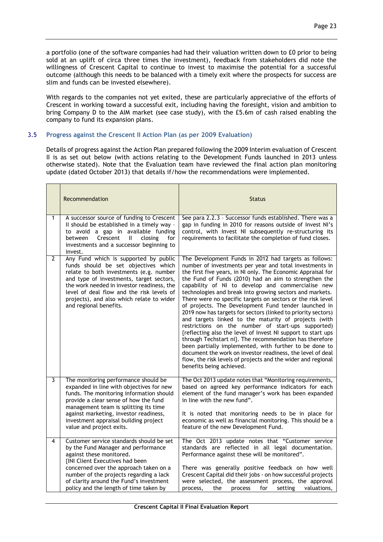a portfolio (one of the software companies had had their valuation written down to £0 prior to being sold at an uplift of circa three times the investment), feedback from stakeholders did note the willingness of Crescent Capital to continue to invest to maximise the potential for a successful outcome (although this needs to be balanced with a timely exit where the prospects for success are slim and funds can be invested elsewhere).

With regards to the companies not yet exited, these are particularly appreciative of the efforts of Crescent in working toward a successful exit, including having the foresight, vision and ambition to bring Company D to the AIM market (see case study), with the £5.6m of cash raised enabling the company to fund its expansion plans.

## 3.5 **Progress against the Crescent II Action Plan (as per 2009 Evaluation)**

Details of progress against the Action Plan prepared following the 2009 Interim evaluation of Crescent II is as set out below (with actions relating to the Development Funds launched in 2013 unless otherwise stated). Note that the Evaluation team have reviewed the final action plan monitoring update (dated October 2013) that details if/how the recommendations were implemented.

|              | Recommendation                                                                                                                                                                                                                                                                                                                         | <b>Status</b>                                                                                                                                                                                                                                                                                                                                                                                                                                                                                                                                                                                                                                                                                                                                                                                                                                                                                                                                                                                                   |
|--------------|----------------------------------------------------------------------------------------------------------------------------------------------------------------------------------------------------------------------------------------------------------------------------------------------------------------------------------------|-----------------------------------------------------------------------------------------------------------------------------------------------------------------------------------------------------------------------------------------------------------------------------------------------------------------------------------------------------------------------------------------------------------------------------------------------------------------------------------------------------------------------------------------------------------------------------------------------------------------------------------------------------------------------------------------------------------------------------------------------------------------------------------------------------------------------------------------------------------------------------------------------------------------------------------------------------------------------------------------------------------------|
| 1            | A successor source of funding to Crescent<br>II should be established in a timely way -<br>to avoid a gap in available funding<br>Crescent<br>closing<br>for<br>between<br>H.<br>investments and a successor beginning to<br>invest.                                                                                                   | See para 2.2.3 - Successor funds established. There was a<br>gap in funding in 2010 for reasons outside of Invest NI's<br>control, with Invest NI subsequently re-structuring its<br>requirements to facilitate the completion of fund closes.                                                                                                                                                                                                                                                                                                                                                                                                                                                                                                                                                                                                                                                                                                                                                                  |
| $\mathbf{2}$ | Any Fund which is supported by public<br>funds should be set objectives which<br>relate to both investments (e.g. number<br>and type of investments, target sectors,<br>the work needed in investor readiness, the<br>level of deal flow and the risk levels of<br>projects), and also which relate to wider<br>and regional benefits. | The Development Funds in 2012 had targets as follows:<br>number of investments per year and total investments in<br>the first five years, in NI only. The Economic Appraisal for<br>the Fund of Funds (2010) had an aim to strengthen the<br>capability of NI to develop and commercialise new<br>technologies and break into growing sectors and markets.<br>There were no specific targets on sectors or the risk level<br>of projects. The Development Fund tender launched in<br>2019 now has targets for sectors (linked to priority sectors)<br>and targets linked to the maturity of projects (with<br>restrictions on the number of start-ups supported)<br>{reflecting also the level of Invest NI support to start ups<br>through Techstart ni}. The recommendation has therefore<br>been partially implemented, with further to be done to<br>document the work on investor readiness, the level of deal<br>flow, the risk levels of projects and the wider and regional<br>benefits being achieved. |
| 3            | The monitoring performance should be<br>expanded in line with objectives for new<br>funds. The monitoring information should<br>provide a clear sense of how the fund<br>management team is splitting its time<br>against marketing, investor readiness,<br>investment appraisal building project<br>value and project exits.          | The Oct 2013 update notes that "Monitoring requirements,<br>based on agreed key performance indicators for each<br>element of the fund manager's work has been expanded<br>in line with the new fund".<br>It is noted that monitoring needs to be in place for<br>economic as well as financial monitoring. This should be a<br>feature of the new Development Fund.                                                                                                                                                                                                                                                                                                                                                                                                                                                                                                                                                                                                                                            |
| 4            | Customer service standards should be set<br>by the Fund Manager and performance<br>against these monitored.<br>{INI Client Executives had been<br>concerned over the approach taken on a<br>number of the projects regarding a lack<br>of clarity around the Fund's investment<br>policy and the length of time taken by               | The Oct 2013 update notes that "Customer service<br>standards are reflected in all legal documentation.<br>Performance against these will be monitored".<br>There was generally positive feedback on how well<br>Crescent Capital did their jobs - on how successful projects<br>were selected, the assessment process, the approval<br>for<br>setting<br>valuations,<br>process,<br>the<br>process                                                                                                                                                                                                                                                                                                                                                                                                                                                                                                                                                                                                             |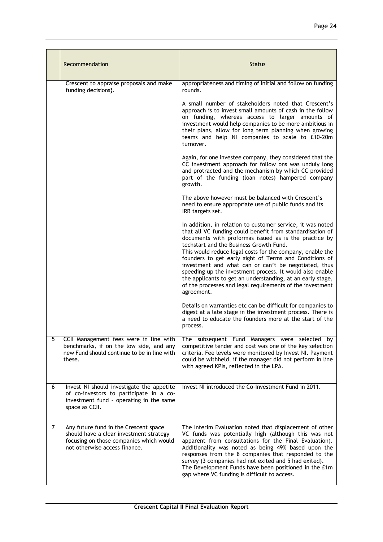|   | Recommendation                                                                                                                                               | <b>Status</b>                                                                                                                                                                                                                                                                                                                                                                                                                                                                                                                                                                                                   |
|---|--------------------------------------------------------------------------------------------------------------------------------------------------------------|-----------------------------------------------------------------------------------------------------------------------------------------------------------------------------------------------------------------------------------------------------------------------------------------------------------------------------------------------------------------------------------------------------------------------------------------------------------------------------------------------------------------------------------------------------------------------------------------------------------------|
|   | Crescent to appraise proposals and make<br>funding decisions}.                                                                                               | appropriateness and timing of initial and follow on funding<br>rounds.                                                                                                                                                                                                                                                                                                                                                                                                                                                                                                                                          |
|   |                                                                                                                                                              | A small number of stakeholders noted that Crescent's<br>approach is to invest small amounts of cash in the follow<br>on funding, whereas access to larger amounts of<br>investment would help companies to be more ambitious in<br>their plans, allow for long term planning when growing<br>teams and help NI companies to scale to £10-20m<br>turnover.                                                                                                                                                                                                                                                       |
|   |                                                                                                                                                              | Again, for one investee company, they considered that the<br>CC investment approach for follow ons was unduly long<br>and protracted and the mechanism by which CC provided<br>part of the funding (loan notes) hampered company<br>growth.                                                                                                                                                                                                                                                                                                                                                                     |
|   |                                                                                                                                                              | The above however must be balanced with Crescent's<br>need to ensure appropriate use of public funds and its<br>IRR targets set.                                                                                                                                                                                                                                                                                                                                                                                                                                                                                |
|   |                                                                                                                                                              | In addition, in relation to customer service, it was noted<br>that all VC funding could benefit from standardisation of<br>documents with proformas issued as is the practice by<br>techstart and the Business Growth Fund.<br>This would reduce legal costs for the company, enable the<br>founders to get early sight of Terms and Conditions of<br>investment and what can or can't be negotiated, thus<br>speeding up the investment process. It would also enable<br>the applicants to get an understanding, at an early stage,<br>of the processes and legal requirements of the investment<br>agreement. |
|   |                                                                                                                                                              | Details on warranties etc can be difficult for companies to<br>digest at a late stage in the investment process. There is<br>a need to educate the founders more at the start of the<br>process.                                                                                                                                                                                                                                                                                                                                                                                                                |
| 5 | CCII Management fees were in line with<br>benchmarks, if on the low side, and any<br>new Fund should continue to be in line with<br>these.                   | The subsequent Fund Managers were selected by<br>competitive tender and cost was one of the key selection<br>criteria. Fee levels were monitored by Invest NI. Payment<br>could be withheld, if the manager did not perform in line<br>with agreed KPIs, reflected in the LPA.                                                                                                                                                                                                                                                                                                                                  |
| 6 | Invest NI should investigate the appetite<br>of co-investors to participate in a co-<br>investment fund - operating in the same<br>space as CCII.            | Invest NI introduced the Co-Investment Fund in 2011.                                                                                                                                                                                                                                                                                                                                                                                                                                                                                                                                                            |
| 7 | Any future fund in the Crescent space<br>should have a clear investment strategy<br>focusing on those companies which would<br>not otherwise access finance. | The Interim Evaluation noted that displacement of other<br>VC funds was potentially high (although this was not<br>apparent from consultations for the Final Evaluation).<br>Additionality was noted as being 49% based upon the<br>responses from the 8 companies that responded to the<br>survey (3 companies had not exited and 5 had exited).<br>The Development Funds have been positioned in the £1m<br>gap where VC funding is difficult to access.                                                                                                                                                      |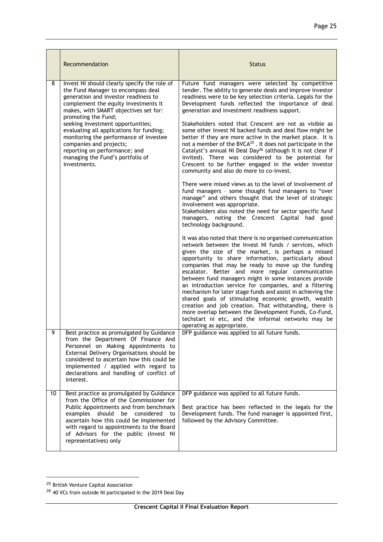|    | Recommendation                                                                                                                                                                                                                                                                                                                                                                                                                                                                | <b>Status</b>                                                                                                                                                                                                                                                                                                                                                                                                                                                                                                                                                                                                                                                                                                                                                                                                                                                                                                                                                                                                                                                                                                                                                                                                                                                                                                                                                                                                                                                                                                                                                                                                                                                                                                                                                                                                                                                                                                 |
|----|-------------------------------------------------------------------------------------------------------------------------------------------------------------------------------------------------------------------------------------------------------------------------------------------------------------------------------------------------------------------------------------------------------------------------------------------------------------------------------|---------------------------------------------------------------------------------------------------------------------------------------------------------------------------------------------------------------------------------------------------------------------------------------------------------------------------------------------------------------------------------------------------------------------------------------------------------------------------------------------------------------------------------------------------------------------------------------------------------------------------------------------------------------------------------------------------------------------------------------------------------------------------------------------------------------------------------------------------------------------------------------------------------------------------------------------------------------------------------------------------------------------------------------------------------------------------------------------------------------------------------------------------------------------------------------------------------------------------------------------------------------------------------------------------------------------------------------------------------------------------------------------------------------------------------------------------------------------------------------------------------------------------------------------------------------------------------------------------------------------------------------------------------------------------------------------------------------------------------------------------------------------------------------------------------------------------------------------------------------------------------------------------------------|
| 8  | Invest NI should clearly specify the role of<br>the Fund Manager to encompass deal<br>generation and investor readiness to<br>complement the equity investments it<br>makes, with SMART objectives set for:<br>promoting the Fund;<br>seeking investment opportunities;<br>evaluating all applications for funding;<br>monitoring the performance of investee<br>companies and projects;<br>reporting on performance; and<br>managing the Fund's portfolio of<br>investments. | Future fund managers were selected by competitive<br>tender. The ability to generate deals and improve investor<br>readiness were to be key selection criteria. Legals for the<br>Development funds reflected the importance of deal<br>generation and investment readiness support.<br>Stakeholders noted that Crescent are not as visible as<br>some other Invest NI backed funds and deal flow might be<br>better if they are more active in the market place. It is<br>not a member of the BVCA <sup>25</sup> . It does not participate in the<br>Catalyst's annual NI Deal Day <sup>26</sup> (although it is not clear if<br>invited). There was considered to be potential for<br>Crescent to be further engaged in the wider investor<br>community and also do more to co-invest.<br>There were mixed views as to the level of involvement of<br>fund managers - some thought fund managers to "over<br>manage" and others thought that the level of strategic<br>involvement was appropriate.<br>Stakeholders also noted the need for sector specific fund<br>managers, noting the Crescent Capital had good<br>technology background.<br>It was also noted that there is no organised communication<br>network between the Invest NI funds / services, which<br>given the size of the market, is perhaps a missed<br>opportunity to share information, particularly about<br>companies that may be ready to move up the funding<br>escalator. Better and more regular communication<br>between fund managers might in some instances provide<br>an introduction service for companies, and a filtering<br>mechanism for later stage funds and assist in achieving the<br>shared goals of stimulating economic growth, wealth<br>creation and job creation. That withstanding, there is<br>more overlap between the Development Funds, Co-Fund,<br>techstart ni etc, and the informal networks may be |
| 9  | Best practice as promulgated by Guidance<br>from the Department Of Finance And<br>Personnel on Making Appointments to<br>External Delivery Organisations should be<br>considered to ascertain how this could be<br>implemented / applied with regard to<br>declarations and handling of conflict of<br>interest.                                                                                                                                                              | operating as appropriate.<br>DFP guidance was applied to all future funds.                                                                                                                                                                                                                                                                                                                                                                                                                                                                                                                                                                                                                                                                                                                                                                                                                                                                                                                                                                                                                                                                                                                                                                                                                                                                                                                                                                                                                                                                                                                                                                                                                                                                                                                                                                                                                                    |
| 10 | Best practice as promulgated by Guidance<br>from the Office of the Commissioner for<br>Public Appointments and from benchmark<br>examples<br>should<br>be<br>considered<br>to<br>ascertain how this could be implemented<br>with regard to appointments to the Board<br>of Advisors for the public (Invest NI<br>representatives) only                                                                                                                                        | DFP guidance was applied to all future funds.<br>Best practice has been reflected in the legals for the<br>Development funds. The fund manager is appointed first,<br>followed by the Advisory Committee.                                                                                                                                                                                                                                                                                                                                                                                                                                                                                                                                                                                                                                                                                                                                                                                                                                                                                                                                                                                                                                                                                                                                                                                                                                                                                                                                                                                                                                                                                                                                                                                                                                                                                                     |

1

<sup>&</sup>lt;sup>25</sup> British Venture Capital Association

<sup>&</sup>lt;sup>26</sup> 40 VCs from outside NI participated in the 2019 Deal Day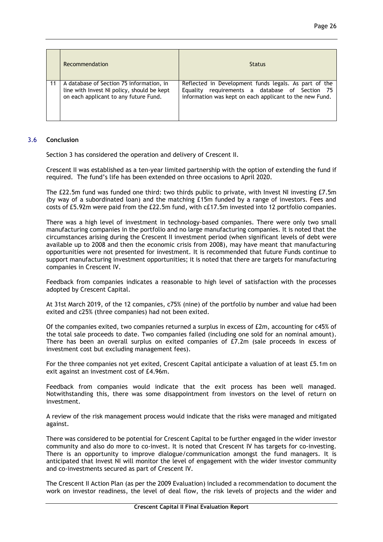|    | Recommendation                                                                                                                  | <b>Status</b>                                                                                                                                                      |
|----|---------------------------------------------------------------------------------------------------------------------------------|--------------------------------------------------------------------------------------------------------------------------------------------------------------------|
| 11 | A database of Section 75 information, in<br>line with Invest NI policy, should be kept<br>on each applicant to any future Fund. | Reflected in Development funds legals. As part of the<br>Equality requirements a database of Section 75<br>information was kept on each applicant to the new Fund. |

## 3.6 **Conclusion**

Section 3 has considered the operation and delivery of Crescent II.

Crescent II was established as a ten-year limited partnership with the option of extending the fund if required. The fund's life has been extended on three occasions to April 2020.

The £22.5m fund was funded one third: two thirds public to private, with Invest NI investing £7.5m (by way of a subordinated loan) and the matching £15m funded by a range of investors. Fees and costs of £5.92m were paid from the £22.5m fund, with c£17.5m invested into 12 portfolio companies.

There was a high level of investment in technology-based companies. There were only two small manufacturing companies in the portfolio and no large manufacturing companies. It is noted that the circumstances arising during the Crescent II investment period (when significant levels of debt were available up to 2008 and then the economic crisis from 2008), may have meant that manufacturing opportunities were not presented for investment. It is recommended that future Funds continue to support manufacturing investment opportunities; it is noted that there are targets for manufacturing companies in Crescent IV.

Feedback from companies indicates a reasonable to high level of satisfaction with the processes adopted by Crescent Capital.

At 31st March 2019, of the 12 companies, c75% (nine) of the portfolio by number and value had been exited and c25% (three companies) had not been exited.

Of the companies exited, two companies returned a surplus in excess of £2m, accounting for c45% of the total sale proceeds to date. Two companies failed (including one sold for an nominal amount). There has been an overall surplus on exited companies of £7.2m (sale proceeds in excess of investment cost but excluding management fees).

For the three companies not yet exited, Crescent Capital anticipate a valuation of at least £5.1m on exit against an investment cost of £4.96m.

Feedback from companies would indicate that the exit process has been well managed. Notwithstanding this, there was some disappointment from investors on the level of return on investment.

A review of the risk management process would indicate that the risks were managed and mitigated against.

There was considered to be potential for Crescent Capital to be further engaged in the wider investor community and also do more to co-invest. It is noted that Crescent IV has targets for co-investing. There is an opportunity to improve dialogue/communication amongst the fund managers. It is anticipated that Invest NI will monitor the level of engagement with the wider investor community and co-investments secured as part of Crescent IV.

The Crescent II Action Plan (as per the 2009 Evaluation) included a recommendation to document the work on investor readiness, the level of deal flow, the risk levels of projects and the wider and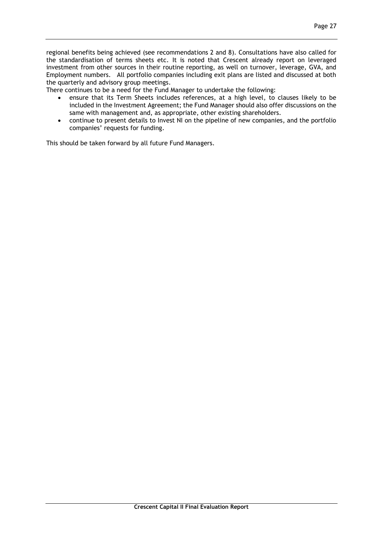regional benefits being achieved (see recommendations 2 and 8). Consultations have also called for the standardisation of terms sheets etc. It is noted that Crescent already report on leveraged investment from other sources in their routine reporting, as well on turnover, leverage, GVA, and Employment numbers. All portfolio companies including exit plans are listed and discussed at both the quarterly and advisory group meetings.

There continues to be a need for the Fund Manager to undertake the following:

- ensure that its Term Sheets includes references, at a high level, to clauses likely to be included in the Investment Agreement; the Fund Manager should also offer discussions on the same with management and, as appropriate, other existing shareholders.
- continue to present details to Invest NI on the pipeline of new companies, and the portfolio companies' requests for funding.

This should be taken forward by all future Fund Managers.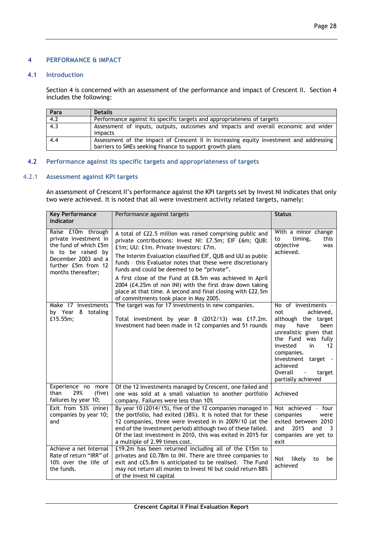## 4 **PERFORMANCE & IMPACT**

## 4.1 **Introduction**

Section 4 is concerned with an assessment of the performance and impact of Crescent II. Section 4 includes the following:

| Para | <b>Details</b>                                                                                                                                     |
|------|----------------------------------------------------------------------------------------------------------------------------------------------------|
| 4.2  | Performance against its specific targets and appropriateness of targets                                                                            |
| 4.3  | Assessment of inputs, outputs, outcomes and impacts and overall economic and wider<br>impacts                                                      |
| 4.4  | Assessment of the impact of Crescent II in increasing equity investment and addressing<br>barriers to SMEs seeking finance to support growth plans |

## 4.2 **Performance against its specific targets and appropriateness of targets**

### 4.2.1 **Assessment against KPI targets**

An assessment of Crescent II's performance against the KPI targets set by Invest NI indicates that only two were achieved. It is noted that all were investment activity related targets, namely:

| <b>Key Performance</b>                                                                                                                                         | Performance against targets                                                                                                                                                                                                                                                                                                                                                                                                                                                                                                                                             | <b>Status</b>                                                                                                                                                                                                                                                               |  |
|----------------------------------------------------------------------------------------------------------------------------------------------------------------|-------------------------------------------------------------------------------------------------------------------------------------------------------------------------------------------------------------------------------------------------------------------------------------------------------------------------------------------------------------------------------------------------------------------------------------------------------------------------------------------------------------------------------------------------------------------------|-----------------------------------------------------------------------------------------------------------------------------------------------------------------------------------------------------------------------------------------------------------------------------|--|
| <b>Indicator</b>                                                                                                                                               |                                                                                                                                                                                                                                                                                                                                                                                                                                                                                                                                                                         |                                                                                                                                                                                                                                                                             |  |
| Raise £10m through<br>private investment in<br>the fund of which £5m<br>is to be raised by<br>December 2003 and a<br>further £5m from 12<br>months thereafter; | A total of £22.5 million was raised comprising public and<br>private contributions: Invest NI: £7.5m; EIF £6m; QUB:<br>£1m; UU: £1m. Private investors: £7m.<br>The Interim Evaluation classified EIF, QUB and UU as public<br>funds - this Evaluator notes that these were discretionary<br>funds and could be deemed to be "private".<br>A first close of the Fund at £8.5m was achieved in April<br>2004 (£4.25m of non INI) with the first draw down taking<br>place at that time. A second and final closing with £22.5m<br>of commitments took place in May 2005. | With a minor change<br>timing,<br>this<br>to<br>objective<br>was<br>achieved.                                                                                                                                                                                               |  |
| Make 17 investments<br>by Year 8 totaling<br>£15.55m;                                                                                                          | The target was for 17 investments in new companies.<br>Total investment by year 8 (2012/13) was £17.2m.<br>Investment had been made in 12 companies and 51 rounds                                                                                                                                                                                                                                                                                                                                                                                                       | No of investments -<br>achieved,<br>not<br>although the target<br>been<br>may<br>have<br>unrealistic given that<br>the Fund was fully<br>invested<br>in<br>12<br>companies.<br>Investment target -<br>achieved<br>Overall<br>target<br>$\blacksquare$<br>partially achieved |  |
| Experience no more<br>than<br>29%<br>(five)<br>failures by year 10;                                                                                            | Of the 12 investments managed by Crescent, one failed and<br>one was sold at a small valuation to another portfolio<br>company. Failures were less than 10%                                                                                                                                                                                                                                                                                                                                                                                                             | Achieved                                                                                                                                                                                                                                                                    |  |
| Exit from 53% (nine)<br>companies by year 10;<br>and                                                                                                           | By year 10 (2014/15), five of the 12 companies managed in<br>the portfolio, had exited (38%). It is noted that for these<br>12 companies, three were invested in in 2009/10 (at the<br>end of the investment period) although two of these failed.<br>Of the last investment in 2010, this was exited in 2015 for<br>a multiple of 2.99 times cost.                                                                                                                                                                                                                     | Not achieved - four<br>companies<br>were<br>exited between 2010<br>2015<br>and<br>and<br>$\overline{\mathbf{3}}$<br>companies are yet to<br>exit                                                                                                                            |  |
| Achieve a net Internal<br>Rate of return "IRR" of<br>10% over the life of<br>the funds.                                                                        | £19.2m has been returned including all of the £15m to<br>privates and £0.78m to INI. There are three companies to<br>exit and cf5.8m is anticipated to be realised. The Fund<br>may not return all monies to Invest NI but could return 88%<br>of the Invest NI capital                                                                                                                                                                                                                                                                                                 | Not<br>likely<br>to<br>be<br>achieved                                                                                                                                                                                                                                       |  |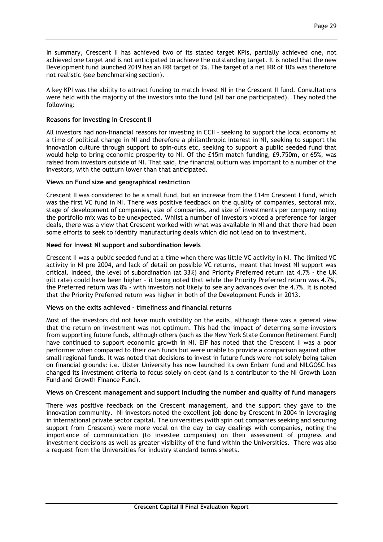In summary, Crescent II has achieved two of its stated target KPIs, partially achieved one, not achieved one target and is not anticipated to achieve the outstanding target. It is noted that the new Development fund launched 2019 has an IRR target of 3%. The target of a net IRR of 10% was therefore not realistic (see benchmarking section).

A key KPI was the ability to attract funding to match Invest NI in the Crescent II fund. Consultations were held with the majority of the investors into the fund (all bar one participated). They noted the following:

## **Reasons for investing in Crescent II**

All investors had non-financial reasons for investing in CCII – seeking to support the local economy at a time of political change in NI and therefore a philanthropic interest in NI, seeking to support the innovation culture through support to spin-outs etc, seeking to support a public seeded fund that would help to bring economic prosperity to NI. Of the £15m match funding, £9.750m, or 65%, was raised from investors outside of NI. That said, the financial outturn was important to a number of the investors, with the outturn lower than that anticipated.

## **Views on Fund size and geographical restriction**

Crescent II was considered to be a small fund, but an increase from the £14m Crescent I fund, which was the first VC fund in NI. There was positive feedback on the quality of companies, sectoral mix, stage of development of companies, size of companies, and size of investments per company noting the portfolio mix was to be unexpected. Whilst a number of investors voiced a preference for larger deals, there was a view that Crescent worked with what was available in NI and that there had been some efforts to seek to identify manufacturing deals which did not lead on to investment.

## **Need for Invest NI support and subordination levels**

Crescent II was a public seeded fund at a time when there was little VC activity in NI. The limited VC activity in NI pre 2004, and lack of detail on possible VC returns, meant that Invest NI support was critical. Indeed, the level of subordination (at 33%) and Priority Preferred return (at 4.7% - the UK gilt rate) could have been higher – it being noted that while the Priority Preferred return was 4.7%, the Preferred return was 8% - with investors not likely to see any advances over the 4.7%. It is noted that the Priority Preferred return was higher in both of the Development Funds in 2013.

## **Views on the exits achieved – timeliness and financial returns**

Most of the investors did not have much visibility on the exits, although there was a general view that the return on investment was not optimum. This had the impact of deterring some investors from supporting future funds, although others (such as the New York State Common Retirement Fund) have continued to support economic growth in NI. EIF has noted that the Crescent II was a poor performer when compared to their own funds but were unable to provide a comparison against other small regional funds. It was noted that decisions to invest in future funds were not solely being taken on financial grounds: i.e. Ulster University has now launched its own Enbarr fund and NILGOSC has changed its investment criteria to focus solely on debt (and is a contributor to the NI Growth Loan Fund and Growth Finance Fund).

## **Views on Crescent management and support including the number and quality of fund managers**

There was positive feedback on the Crescent management, and the support they gave to the innovation community. NI investors noted the excellent job done by Crescent in 2004 in leveraging in international private sector capital. The universities (with spin out companies seeking and securing support from Crescent) were more vocal on the day to day dealings with companies, noting the importance of communication (to investee companies) on their assessment of progress and investment decisions as well as greater visibility of the fund within the Universities. There was also a request from the Universities for industry standard terms sheets.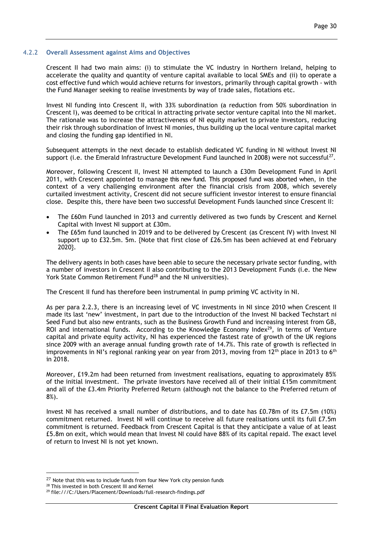### 4.2.2 **Overall Assessment against Aims and Objectives**

Crescent II had two main aims: (i) to stimulate the VC industry in Northern Ireland, helping to accelerate the quality and quantity of venture capital available to local SMEs and (ii) to operate a cost effective fund which would achieve returns for investors, primarily through capital growth - with the Fund Manager seeking to realise investments by way of trade sales, flotations etc.

Invest NI funding into Crescent II, with 33% subordination (a reduction from 50% subordination in Crescent I), was deemed to be critical in attracting private sector venture capital into the NI market. The rationale was to increase the attractiveness of NI equity market to private investors, reducing their risk through subordination of Invest NI monies, thus building up the local venture capital market and closing the funding gap identified in NI.

Subsequent attempts in the next decade to establish dedicated VC funding in NI without Invest NI support (i.e. the Emerald Infrastructure Development Fund launched in 2008) were not successful<sup>27</sup>.

Moreover, following Crescent II, Invest NI attempted to launch a £30m Development Fund in April 2011, with Crescent appointed to manage this new fund. This proposed fund was aborted when, in the context of a very challenging environment after the financial crisis from 2008, which severely curtailed investment activity, Crescent did not secure sufficient investor interest to ensure financial close. Despite this, there have been two successful Development Funds launched since Crescent II:

- The £60m Fund launched in 2013 and currently delivered as two funds by Crescent and Kernel Capital with Invest NI support at £30m.
- The £65m fund launched in 2019 and to be delivered by Crescent (as Crescent IV) with Invest NI support up to £32.5m. 5m. {Note that first close of £26.5m has been achieved at end February 2020}.

The delivery agents in both cases have been able to secure the necessary private sector funding, with a number of investors in Crescent II also contributing to the 2013 Development Funds (i.e. the New York State Common Retirement Fund<sup>28</sup> and the NI universities).

The Crescent II fund has therefore been instrumental in pump priming VC activity in NI.

As per para 2.2.3, there is an increasing level of VC investments in NI since 2010 when Crescent II made its last 'new' investment, in part due to the introduction of the Invest NI backed Techstart ni Seed Fund but also new entrants, such as the Business Growth Fund and increasing interest from GB, ROI and international funds. According to the Knowledge Economy Index $^{29}$ , in terms of Venture capital and private equity activity, NI has experienced the fastest rate of growth of the UK regions since 2009 with an average annual funding growth rate of 14.7%. This rate of growth is reflected in improvements in NI's regional ranking year on year from 2013, moving from  $12<sup>th</sup>$  place in 2013 to 6<sup>th</sup> in 2018.

Moreover, £19.2m had been returned from investment realisations, equating to approximately 85% of the initial investment. The private investors have received all of their initial £15m commitment and all of the £3.4m Priority Preferred Return (although not the balance to the Preferred return of 8%).

Invest NI has received a small number of distributions, and to date has £0.78m of its £7.5m (10%) commitment returned. Invest NI will continue to receive all future realisations until its full £7.5m commitment is returned. Feedback from Crescent Capital is that they anticipate a value of at least £5.8m on exit, which would mean that Invest NI could have 88% of its capital repaid. The exact level of return to Invest NI is not yet known.

1

<sup>&</sup>lt;sup>27</sup> Note that this was to include funds from four New York city pension funds

<sup>&</sup>lt;sup>28</sup> This invested in both Crescent III and Kernel

<sup>29</sup> file:///C:/Users/Placement/Downloads/full-research-findings.pdf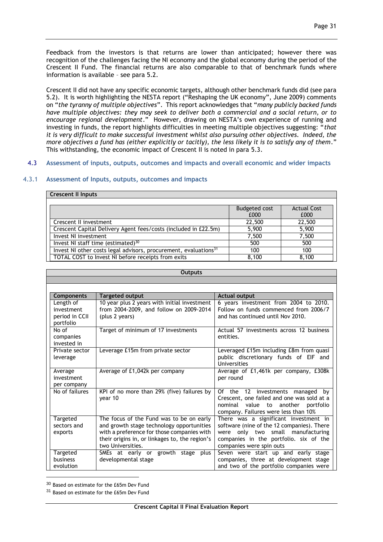Feedback from the investors is that returns are lower than anticipated; however there was recognition of the challenges facing the NI economy and the global economy during the period of the Crescent II Fund. The financial returns are also comparable to that of benchmark funds where information is available – see para 5.2.

Crescent II did not have any specific economic targets, although other benchmark funds did (see para 5.2). It is worth highlighting the NESTA report ("Reshaping the UK economy", June 2009) comments on "*the tyranny of multiple objectives*". This report acknowledges that "*many publicly backed funds have multiple objectives: they may seek to deliver both a commercial and a social return, or to encourage regional development*." However, drawing on NESTA's own experience of running and investing in funds, the report highlights difficulties in meeting multiple objectives suggesting: "*that it is very difficult to make successful investment whilst also pursuing other objectives. Indeed, the more objectives a fund has (either explicitly or tacitly), the less likely it is to satisfy any of them*." This withstanding, the economic impact of Crescent II is noted in para 5.3.

## 4.3 **Assessment of inputs, outputs, outcomes and impacts and overall economic and wider impacts**

## 4.3.1 **Assessment of Inputs, outputs, outcomes and impacts**

| <b>Crescent II Inputs</b>                                                    |               |                    |
|------------------------------------------------------------------------------|---------------|--------------------|
|                                                                              |               |                    |
|                                                                              | Budgeted cost | <b>Actual Cost</b> |
|                                                                              | £000          | £000               |
| Crescent II investment                                                       | 22,500        | 22,500             |
| Crescent Capital Delivery Agent fees/costs (included in £22.5m)              | 5,900         | 5,900              |
| Invest NI investment                                                         | 7,500         | 7,500              |
| Invest NI staff time (estimated) $30$                                        | 500           | 500                |
| Invest NI other costs legal advisors, procurement, evaluations <sup>31</sup> | 100           | 100                |
| TOTAL COST to Invest NI before receipts from exits                           | 8.100         | 8.100              |

| <b>Outputs</b>               |                                                                                       |                                                                                     |  |  |  |  |  |
|------------------------------|---------------------------------------------------------------------------------------|-------------------------------------------------------------------------------------|--|--|--|--|--|
|                              |                                                                                       |                                                                                     |  |  |  |  |  |
|                              |                                                                                       |                                                                                     |  |  |  |  |  |
| <b>Components</b>            | <b>Targeted output</b>                                                                | <b>Actual output</b>                                                                |  |  |  |  |  |
| Length of                    | 10 year plus 2 years with initial investment                                          | 6 years investment from 2004 to 2010.                                               |  |  |  |  |  |
| investment<br>period in CCII | from 2004-2009, and follow on 2009-2014<br>(plus 2 years)                             | Follow on funds commenced from 2006/7<br>and has continued until Nov 2010.          |  |  |  |  |  |
| portfolio                    |                                                                                       |                                                                                     |  |  |  |  |  |
| No of                        | Target of minimum of 17 investments                                                   | Actual 57 investments across 12 business                                            |  |  |  |  |  |
| companies<br>invested in     |                                                                                       | entities.                                                                           |  |  |  |  |  |
| Private sector               | Leverage £15m from private sector                                                     | Leveraged £15m including £8m from quasi                                             |  |  |  |  |  |
| leverage                     |                                                                                       | public discretionary funds of EIF and                                               |  |  |  |  |  |
|                              |                                                                                       | Universities                                                                        |  |  |  |  |  |
| Average                      | Average of £1,042k per company                                                        | Average of £1,461k per company, £308k                                               |  |  |  |  |  |
| investment<br>per company    |                                                                                       | per round                                                                           |  |  |  |  |  |
| No of failures               | KPI of no more than 29% (five) failures by                                            | Of the 12 investments managed by                                                    |  |  |  |  |  |
|                              | year 10                                                                               | Crescent, one failed and one was sold at a                                          |  |  |  |  |  |
|                              |                                                                                       | nominal<br>value<br>to<br>another<br>portfolio                                      |  |  |  |  |  |
|                              |                                                                                       | company. Failures were less than 10%                                                |  |  |  |  |  |
| Targeted<br>sectors and      | The focus of the Fund was to be on early<br>and growth stage technology opportunities | There was a significant investment in<br>software (nine of the 12 companies). There |  |  |  |  |  |
| exports                      | with a preference for those companies with                                            | only two small manufacturing<br>were                                                |  |  |  |  |  |
|                              | their origins in, or linkages to, the region's                                        | companies in the portfolio, six of the                                              |  |  |  |  |  |
|                              | two Universities.                                                                     | companies were spin outs                                                            |  |  |  |  |  |
| Targeted                     | SMEs at early or growth stage plus                                                    | Seven were start up and early stage                                                 |  |  |  |  |  |
| business<br>evolution        | developmental stage                                                                   | companies, three at development stage<br>and two of the portfolio companies were    |  |  |  |  |  |
|                              |                                                                                       |                                                                                     |  |  |  |  |  |
|                              |                                                                                       |                                                                                     |  |  |  |  |  |

<sup>30</sup> Based on estimate for the £65m Dev Fund

<sup>31</sup> Based on estimate for the £65m Dev Fund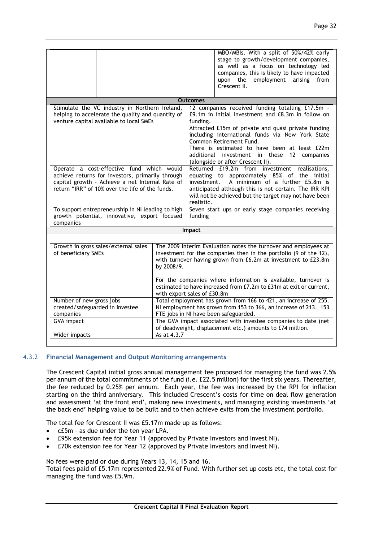|                                                                                                                                                                                                     |                                                                                                                                                                                                                     |                           | MBO/MBIs. With a split of 50%/42% early<br>stage to growth/development companies,<br>as well as a focus on technology led<br>companies, this is likely to have impacted<br>employment<br>upon the<br>arising from                                                                                                                                                                 |
|-----------------------------------------------------------------------------------------------------------------------------------------------------------------------------------------------------|---------------------------------------------------------------------------------------------------------------------------------------------------------------------------------------------------------------------|---------------------------|-----------------------------------------------------------------------------------------------------------------------------------------------------------------------------------------------------------------------------------------------------------------------------------------------------------------------------------------------------------------------------------|
|                                                                                                                                                                                                     |                                                                                                                                                                                                                     |                           | Crescent II.                                                                                                                                                                                                                                                                                                                                                                      |
|                                                                                                                                                                                                     |                                                                                                                                                                                                                     | <b>Outcomes</b>           |                                                                                                                                                                                                                                                                                                                                                                                   |
| Stimulate the VC industry in Northern Ireland,<br>helping to accelerate the quality and quantity of<br>venture capital available to local SMEs                                                      |                                                                                                                                                                                                                     | funding.                  | 12 companies received funding totalling £17.5m -<br>£9.1m in initial investment and £8.3m in follow on<br>Attracted £15m of private and quasi private funding<br>including international funds via New York State<br>Common Retirement Fund.<br>There is estimated to have been at least £22m<br>additional investment in these 12 companies<br>(alongside or after Crescent II). |
| Operate a cost-effective fund which would<br>achieve returns for investors, primarily through<br>capital growth - Achieve a net Internal Rate of<br>return "IRR" of 10% over the life of the funds. |                                                                                                                                                                                                                     | investment.<br>realistic. | Returned £19.2m from investment realisations,<br>equating to approximately 85% of the initial<br>A minimum of a further £5.8m is<br>anticipated although this is not certain. The IRR KPI<br>will not be achieved but the target may not have been                                                                                                                                |
| To support entrepreneurship in NI leading to high<br>growth potential, innovative, export focused<br>companies                                                                                      |                                                                                                                                                                                                                     | funding                   | Seven start ups or early stage companies receiving                                                                                                                                                                                                                                                                                                                                |
|                                                                                                                                                                                                     |                                                                                                                                                                                                                     | Impact                    |                                                                                                                                                                                                                                                                                                                                                                                   |
|                                                                                                                                                                                                     |                                                                                                                                                                                                                     |                           |                                                                                                                                                                                                                                                                                                                                                                                   |
| Growth in gross sales/external sales<br>of beneficiary SMEs                                                                                                                                         | The 2009 Interim Evaluation notes the turnover and employees at<br>investment for the companies then in the portfolio (9 of the 12),<br>with turnover having grown from £6.2m at investment to £23.8m<br>by 2008/9. |                           |                                                                                                                                                                                                                                                                                                                                                                                   |
|                                                                                                                                                                                                     | For the companies where information is available, turnover is<br>estimated to have increased from £7.2m to £31m at exit or current,<br>with export sales of £30.8m                                                  |                           |                                                                                                                                                                                                                                                                                                                                                                                   |
| Number of new gross jobs<br>created/safeguarded in investee<br>companies                                                                                                                            | Total employment has grown from 166 to 421, an increase of 255.<br>NI employment has grown from 153 to 366, an increase of 213. 153<br>FTE jobs in NI have been safeguarded.                                        |                           |                                                                                                                                                                                                                                                                                                                                                                                   |
| <b>GVA</b> impact                                                                                                                                                                                   | The GVA impact associated with investee companies to date (net<br>of deadweight, displacement etc.) amounts to £74 million.                                                                                         |                           |                                                                                                                                                                                                                                                                                                                                                                                   |
| Wider impacts                                                                                                                                                                                       | As at 4.3.7                                                                                                                                                                                                         |                           |                                                                                                                                                                                                                                                                                                                                                                                   |

## 4.3.2 **Financial Management and Output Monitoring arrangements**

The Crescent Capital initial gross annual management fee proposed for managing the fund was 2.5% per annum of the total commitments of the fund (i.e. £22.5 million) for the first six years. Thereafter, the fee reduced by 0.25% per annum. Each year, the fee was increased by the RPI for inflation starting on the third anniversary. This included Crescent's costs for time on deal flow generation and assessment 'at the front end', making new investments, and managing existing investments 'at the back end' helping value to be built and to then achieve exits from the investment portfolio.

The total fee for Crescent II was £5.17m made up as follows:

- c£5m as due under the ten year LPA.
- £95k extension fee for Year 11 (approved by Private Investors and Invest NI).
- £70k extension fee for Year 12 (approved by Private Investors and Invest NI).

No fees were paid or due during Years 13, 14, 15 and 16.

Total fees paid of £5.17m represented 22.9% of Fund. With further set up costs etc, the total cost for managing the fund was £5.9m.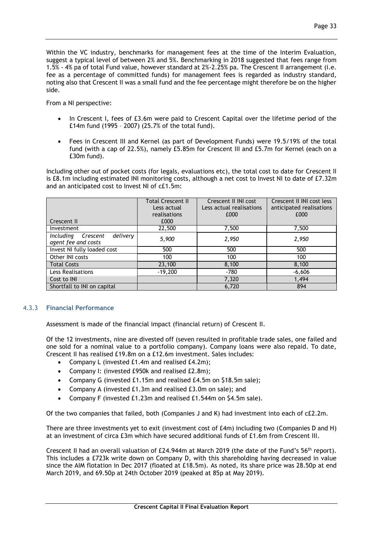Within the VC industry, benchmarks for management fees at the time of the Interim Evaluation, suggest a typical level of between 2% and 5%. Benchmarking in 2018 suggested that fees range from 1.5% - 4% pa of total Fund value, however standard at 2%-2.25% pa. The Crescent II arrangement (i.e. fee as a percentage of committed funds) for management fees is regarded as industry standard, noting also that Crescent II was a small fund and the fee percentage might therefore be on the higher side.

From a NI perspective:

- In Crescent I, fees of £3.6m were paid to Crescent Capital over the lifetime period of the £14m fund (1995 – 2007) (25.7% of the total fund).
- Fees in Crescent III and Kernel (as part of Development Funds) were 19.5/19% of the total fund (with a cap of 22.5%), namely £5.85m for Crescent III and £5.7m for Kernel (each on a £30m fund).

Including other out of pocket costs (for legals, evaluations etc), the total cost to date for Crescent II is £8.1m including estimated INI monitoring costs, although a net cost to Invest NI to date of £7.32m and an anticipated cost to Invest NI of c£1.5m:

|                                                          | <b>Total Crescent II</b><br>Less actual<br>realisations | Crescent II INI cost<br>Less actual realisations<br>£000 | Crescent II INI cost less<br>anticipated realisations<br>£000 |
|----------------------------------------------------------|---------------------------------------------------------|----------------------------------------------------------|---------------------------------------------------------------|
| Crescent II                                              | £000                                                    |                                                          |                                                               |
| Investment                                               | 22,500                                                  | 7,500                                                    | 7,500                                                         |
| delivery<br>Including<br>Crescent<br>agent fee and costs | 5,900                                                   | 2,950                                                    | 2,950                                                         |
| Invest NI fully loaded cost                              | 500                                                     | 500                                                      | 500                                                           |
| Other INI costs                                          | 100                                                     | 100                                                      | 100                                                           |
| <b>Total Costs</b>                                       | 23,100                                                  | 8,100                                                    | 8,100                                                         |
| Less Realisations                                        | $-19,200$                                               | -780                                                     | $-6,606$                                                      |
| Cost to INI                                              |                                                         | 7,320                                                    | 1,494                                                         |
| Shortfall to INI on capital                              |                                                         | 6,720                                                    | 894                                                           |

## 4.3.3 **Financial Performance**

Assessment is made of the financial impact (financial return) of Crescent II.

Of the 12 investments, nine are divested off (seven resulted in profitable trade sales, one failed and one sold for a nominal value to a portfolio company). Company loans were also repaid. To date, Crescent II has realised £19.8m on a £12.6m investment. Sales includes:

- Company L (invested £1.4m and realised £4.2m);
- Company I: (invested £950k and realised £2.8m);
- Company G (invested £1.15m and realised £4.5m on \$18.5m sale);
- Company A (invested £1.3m and realised £3.0m on sale); and
- Company F (invested £1.23m and realised £1.544m on \$4.5m sale).

Of the two companies that failed, both (Companies J and K) had investment into each of c£2.2m.

There are three investments yet to exit (investment cost of £4m) including two (Companies D and H) at an investment of circa £3m which have secured additional funds of £1.6m from Crescent III.

Crescent II had an overall valuation of £24.944m at March 2019 (the date of the Fund's 56<sup>th</sup> report). This includes a £723k write down on Company D, with this shareholding having decreased in value since the AIM flotation in Dec 2017 (floated at £18.5m). As noted, its share price was 28.50p at end March 2019, and 69.50p at 24th October 2019 (peaked at 85p at May 2019).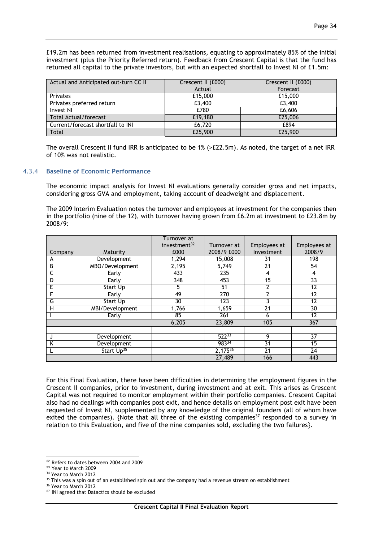| Actual and Anticipated out-turn CC II | Crescent II (£000)<br>Actual | Crescent II (£000)<br>Forecast |
|---------------------------------------|------------------------------|--------------------------------|
| Privates                              | £15,000                      | £15,000                        |
| Privates preferred return             | £3,400                       | £3,400                         |
| Invest NI                             | £780                         | £6,606                         |
| Total Actual/forecast                 | £19,180                      | £25,006                        |
| Current/forecast shortfall to INI     | £6,720                       | £894                           |
| Total                                 | £25,900                      | £25,900                        |

The overall Crescent II fund IRR is anticipated to be 1% (>£22.5m). As noted, the target of a net IRR of 10% was not realistic.

### 4.3.4 **Baseline of Economic Performance**

The economic impact analysis for Invest NI evaluations generally consider gross and net impacts, considering gross GVA and employment, taking account of deadweight and displacement.

The 2009 Interim Evaluation notes the turnover and employees at investment for the companies then in the portfolio (nine of the 12), with turnover having grown from £6.2m at investment to £23.8m by 2008/9:

|         |                        | Turnover at<br>investment $32$ | Turnover at  | Employees at | Employees at |
|---------|------------------------|--------------------------------|--------------|--------------|--------------|
| Company | Maturity               | £000                           | 2008/9 £000  | Investment   | 2008/9       |
| А       | Development            | 1,294                          | 15,008       | 31           | 198          |
| В       | MBO/Development        | 2,195                          | 5,749        | 21           | 54           |
| C       | Early                  | 433                            | 235          | 4            | 4            |
| D       | Early                  | 348                            | 453          | 15           | 33           |
| E       | Start Up               | 5                              | 51           | າ            | 12           |
| F       | Early                  | 49                             | 270          | ำ            | 12           |
| G       | Start Up               | 30                             | 123          |              | 12           |
| н       | MBI/Development        | 1,766                          | 1,659        | 21           | 30           |
|         | Early                  | 85                             | 261          | 6            | 12           |
|         |                        | 6,205                          | 23,809       | 105          | 367          |
|         |                        |                                |              |              |              |
|         | Development            |                                | $522^{33}$   | 9            | 37           |
| ĸ       | Development            |                                | 98334        | 31           | 15           |
|         | Start Up <sup>35</sup> |                                | $2,175^{36}$ | 21           | 24           |
|         |                        |                                | 27,489       | 166          | 443          |

For this Final Evaluation, there have been difficulties in determining the employment figures in the Crescent II companies, prior to investment, during investment and at exit. This arises as Crescent Capital was not required to monitor employment within their portfolio companies. Crescent Capital also had no dealings with companies post exit, and hence details on employment post exit have been requested of Invest NI, supplemented by any knowledge of the original founders (all of whom have exited the companies). {Note that all three of the existing companies<sup>37</sup> responded to a survey in relation to this Evaluation, and five of the nine companies sold, excluding the two failures}.

<sup>&</sup>lt;u>.</u> <sup>32</sup> Refers to dates between 2004 and 2009

<sup>&</sup>lt;sup>33</sup> Year to March 2009

<sup>&</sup>lt;sup>34</sup> Year to March 2012

<sup>&</sup>lt;sup>35</sup> This was a spin out of an established spin out and the company had a revenue stream on establishment

<sup>&</sup>lt;sup>36</sup> Year to March 2012

<sup>&</sup>lt;sup>37</sup> INI agreed that Datactics should be excluded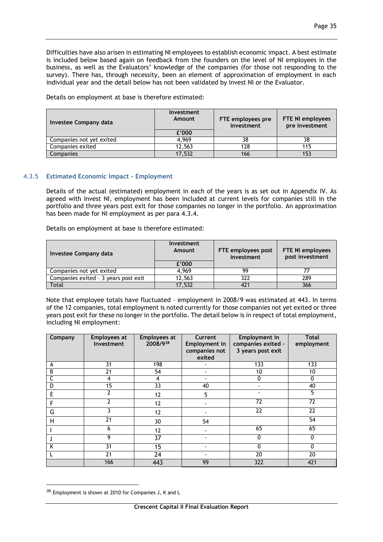Difficulties have also arisen in estimating NI employees to establish economic impact. A best estimate is included below based again on feedback from the founders on the level of NI employees in the business, as well as the Evaluators' knowledge of the companies (for those not responding to the survey). There has, through necessity, been an element of approximation of employment in each individual year and the detail below has not been validated by Invest NI or the Evaluator.

Details on employment at base is therefore estimated:

| Investee Company data    | Investment<br>Amount | FTE employees pre<br>investment | <b>FTE NI employees</b><br>pre investment |
|--------------------------|----------------------|---------------------------------|-------------------------------------------|
|                          | £'000                |                                 |                                           |
| Companies not yet exited | 4.969                |                                 |                                           |
| Companies exited         | 12.563               | 128                             | 115                                       |
| Companies                | 17,532               | 166                             |                                           |

## 4.3.5 **Estimated Economic Impact - Employment**

Details of the actual (estimated) employment in each of the years is as set out in Appendix IV. As agreed with Invest NI, employment has been included at current levels for companies still in the portfolio and three years post exit for those companies no longer in the portfolio. An approximation has been made for NI employment as per para 4.3.4.

Details on employment at base is therefore estimated:

| Investee Company data                | Investment<br>Amount | FTE employees post<br>investment | FTE NI employees<br>post investment |  |
|--------------------------------------|----------------------|----------------------------------|-------------------------------------|--|
|                                      | £'000                |                                  |                                     |  |
| Companies not yet exited             | 4.969                | 99                               |                                     |  |
| Companies exited - 3 years post exit | 12,563               | 322                              | 289                                 |  |
| Total                                | 17,532               |                                  | 366                                 |  |

Note that employee totals have fluctuated – employment in 2008/9 was estimated at 443. In terms of the 12 companies, total employment is noted currently for those companies not yet exited or three years post exit for these no longer in the portfolio. The detail below is in respect of total employment, including NI employment:

| Company | <b>Employees at</b><br>Investment | <b>Employees at</b><br>2008/938 | Current<br><b>Employment in</b><br>companies not<br>exited | <b>Employment in</b><br>companies exited -<br>3 years post exit | <b>Total</b><br>employment |
|---------|-----------------------------------|---------------------------------|------------------------------------------------------------|-----------------------------------------------------------------|----------------------------|
| A       | 31                                | 198                             |                                                            | 133                                                             | 133                        |
| В       | 21                                | 54                              |                                                            | 10                                                              | 10                         |
|         | 4                                 | 4                               |                                                            | 0                                                               | 0                          |
| D       | $\overline{15}$                   | $\overline{33}$                 | 40                                                         |                                                                 | 40                         |
| E       | $\mathbf{2}$                      | 12                              | 5                                                          |                                                                 | 5                          |
| F       | 2                                 | 12                              |                                                            | 72                                                              | 72                         |
| G       | ٦                                 | 12                              |                                                            | $\overline{22}$                                                 | $\overline{22}$            |
| Н       | 21                                | 30                              | 54                                                         |                                                                 | 54                         |
|         | 6                                 | 12                              |                                                            | 65                                                              | 65                         |
|         | 9                                 | $\overline{37}$                 |                                                            | $\Omega$                                                        | $\mathbf 0$                |
| K       | 31                                | 15                              |                                                            |                                                                 | 0                          |
|         | 21                                | 24                              |                                                            | 20                                                              | 20                         |
|         | 166                               | 443                             | 99                                                         | 322                                                             | 421                        |

<sup>38</sup> Employment is shown at 2010 for Companies J, K and L

<u>.</u>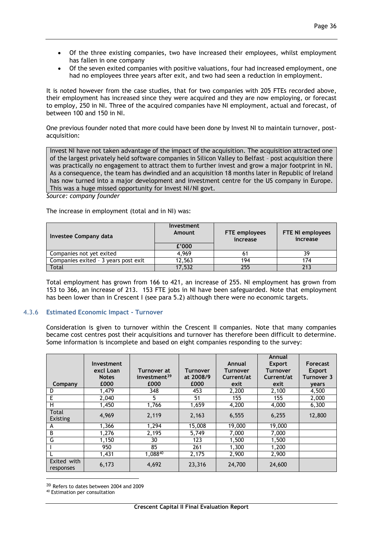- Of the three existing companies, two have increased their employees, whilst employment has fallen in one company
- Of the seven exited companies with positive valuations, four had increased employment, one had no employees three years after exit, and two had seen a reduction in employment.

It is noted however from the case studies, that for two companies with 205 FTEs recorded above, their employment has increased since they were acquired and they are now employing, or forecast to employ, 250 in NI. Three of the acquired companies have NI employment, actual and forecast, of between 100 and 150 in NI.

One previous founder noted that more could have been done by Invest NI to maintain turnover, postacquisition:

Invest NI have not taken advantage of the impact of the acquisition. The acquisition attracted one of the largest privately held software companies in Silicon Valley to Belfast – post acquisition there was practically no engagement to attract them to further invest and grow a major footprint in NI. As a consequence, the team has dwindled and an acquisition 18 months later in Republic of Ireland has now turned into a major development and investment centre for the US company in Europe. This was a huge missed opportunity for Invest NI/NI govt.

*Source: company founder*

The increase in employment (total and in NI) was:

| Investee Company data                | <b>Investment</b><br>Amount | <b>FTE</b> employees<br>increase | FTE NI employees<br>increase |
|--------------------------------------|-----------------------------|----------------------------------|------------------------------|
|                                      | f'000                       |                                  |                              |
| Companies not yet exited             | 4.969                       |                                  |                              |
| Companies exited - 3 years post exit | 12,563                      | 194                              | 174                          |
| <b>Total</b>                         | 17,532                      | 255                              | 213                          |

Total employment has grown from 166 to 421, an increase of 255. NI employment has grown from 153 to 366, an increase of 213. 153 FTE jobs in NI have been safeguarded. Note that employment has been lower than in Crescent I (see para 5.2) although there were no economic targets.

## 4.3.6 **Estimated Economic Impact - Turnover**

Consideration is given to turnover within the Crescent II companies. Note that many companies became cost centres post their acquisitions and turnover has therefore been difficult to determine. Some information is incomplete and based on eight companies responding to the survey:

| Company                  | Investment<br>excl Loan<br><b>Notes</b><br>£000 | Turnover at<br>investment <sup>39</sup><br>£000 | <b>Turnover</b><br>at 2008/9<br>£000 | Annual<br><b>Turnover</b><br>Current/at<br>exit | Annual<br><b>Export</b><br><b>Turnover</b><br>Current/at<br>exit | Forecast<br><b>Export</b><br>Turnover 3<br>years |
|--------------------------|-------------------------------------------------|-------------------------------------------------|--------------------------------------|-------------------------------------------------|------------------------------------------------------------------|--------------------------------------------------|
| D                        | 1,479                                           | 348                                             | 453                                  | 2,200                                           | 2,100                                                            | 4,500                                            |
| E                        | 2,040                                           | 5                                               | 51                                   | 155                                             | 155                                                              | 2,000                                            |
| н                        | 1,450                                           | 1,766                                           | 1,659                                | 4,200                                           | 4,000                                                            | 6,300                                            |
| Total<br>Existing        | 4,969                                           | 2,119                                           | 2,163                                | 6,555                                           | 6,255                                                            | 12,800                                           |
| A                        | 1.366                                           | 1,294                                           | 15,008                               | 19,000                                          | 19,000                                                           |                                                  |
| B                        | 1,276                                           | 2,195                                           | 5,749                                | 7,000                                           | 7,000                                                            |                                                  |
| G                        | 1,150                                           | 30                                              | 123                                  | 1,500                                           | 1,500                                                            |                                                  |
|                          | 950                                             | 85                                              | 261                                  | 1,300                                           | 1,200                                                            |                                                  |
|                          | 1,431                                           | $1,088^{40}$                                    | 2,175                                | 2,900                                           | 2,900                                                            |                                                  |
| Exited with<br>responses | 6,173                                           | 4,692                                           | 23,316                               | 24,700                                          | 24,600                                                           |                                                  |

<sup>&</sup>lt;sup>39</sup> Refers to dates between 2004 and 2009

<u>.</u>

<sup>40</sup> Estimation per consultation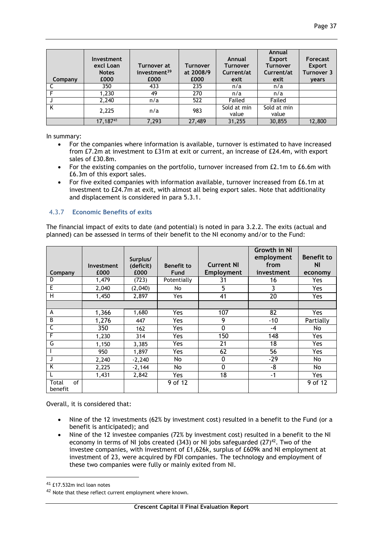| Company | Investment<br>excl Loan<br><b>Notes</b><br>£000 | Turnover at<br>investment <sup>39</sup><br>£000 | <b>Turnover</b><br>at 2008/9<br>£000 | Annual<br><b>Turnover</b><br>Current/at<br>exit | Annual<br><b>Export</b><br><b>Turnover</b><br>Current/at<br>exit | Forecast<br><b>Export</b><br>Turnover 3<br><b>vears</b> |
|---------|-------------------------------------------------|-------------------------------------------------|--------------------------------------|-------------------------------------------------|------------------------------------------------------------------|---------------------------------------------------------|
|         | 350                                             | 433                                             | 235                                  | n/a                                             | n/a                                                              |                                                         |
|         | 1,230                                           | 49                                              | 270                                  | n/a                                             | n/a                                                              |                                                         |
|         | 2,240                                           | n/a                                             | 522                                  | Failed                                          | Failed                                                           |                                                         |
| K       | 2,225                                           | n/a                                             | 983                                  | Sold at min                                     | Sold at min                                                      |                                                         |
|         |                                                 |                                                 |                                      | value                                           | value                                                            |                                                         |
|         | 17, 18741                                       | 7,293                                           | 27,489                               | 31,255                                          | 30,855                                                           | 12,800                                                  |

In summary:

- For the companies where information is available, turnover is estimated to have increased from £7.2m at investment to £31m at exit or current, an increase of £24.4m, with export sales of £30.8m.
- For the existing companies on the portfolio, turnover increased from £2.1m to £6.6m with £6.3m of this export sales.
- For five exited companies with information available, turnover increased from £6.1m at investment to £24.7m at exit, with almost all being export sales. Note that additionality and displacement is considered in para 5.3.1.

## 4.3.7 **Economic Benefits of exits**

The financial impact of exits to date (and potential) is noted in para 3.2.2. The exits (actual and planned) can be assessed in terms of their benefit to the NI economy and/or to the Fund:

|                        | Investment | Surplus/<br>(deficit) | <b>Benefit to</b> | <b>Current NI</b> | <b>Growth in NI</b><br>employment<br>from | <b>Benefit to</b><br><b>NI</b> |
|------------------------|------------|-----------------------|-------------------|-------------------|-------------------------------------------|--------------------------------|
| Company                | £000       | £000                  | Fund              | Employment        | investment                                | economy                        |
| D                      | 1,479      | (723)                 | Potentially       | 31                | 16                                        | Yes                            |
| E                      | 2,040      | (2,040)               | No                | 5                 | 3                                         | Yes                            |
| Н                      | 1,450      | 2,897                 | Yes               | 41                | 20                                        | Yes                            |
|                        |            |                       |                   |                   |                                           |                                |
| A                      | 1,366      | 1,680                 | Yes               | 107               | 82                                        | Yes                            |
| B                      | 1,276      | 447                   | Yes               | 9                 | $-10$                                     | Partially                      |
| С                      | 350        | 162                   | Yes               | 0                 | -4                                        | No                             |
| F                      | 1,230      | 314                   | Yes               | 150               | 148                                       | Yes                            |
| G                      | 1,150      | 3,385                 | Yes               | 21                | 18                                        | Yes                            |
|                        | 950        | 1,897                 | Yes               | 62                | 56                                        | Yes                            |
| J                      | 2,240      | $-2,240$              | No.               | 0                 | -29                                       | No                             |
| K                      | 2,225      | $-2,144$              | No.               | 0                 | -8                                        | No                             |
|                        | 1,431      | 2,842                 | Yes               | 18                | $-1$                                      | Yes                            |
| of<br>Total<br>benefit |            |                       | 9 of 12           |                   |                                           | 9 of 12                        |

Overall, it is considered that:

- Nine of the 12 investments (62% by investment cost) resulted in a benefit to the Fund (or a benefit is anticipated); and
- Nine of the 12 investee companies (72% by investment cost) resulted in a benefit to the NI economy in terms of NI jobs created (343) or NI jobs safeguarded  $(27)^{42}$ . Two of the investee companies, with investment of £1,626k, surplus of £609k and NI employment at investment of 23, were acquired by FDI companies. The technology and employment of these two companies were fully or mainly exited from NI.

1

<sup>41</sup> £17.532m incl loan notes

<sup>42</sup> Note that these reflect current employment where known.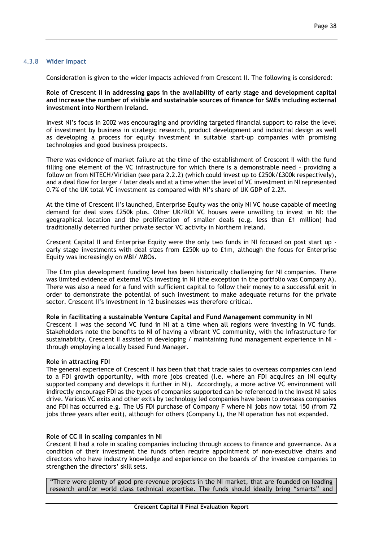### 4.3.8 **Wider Impact**

Consideration is given to the wider impacts achieved from Crescent II. The following is considered:

**Role of Crescent II in addressing gaps in the availability of early stage and development capital and increase the number of visible and sustainable sources of finance for SMEs including external investment into Northern Ireland.** 

Invest NI's focus in 2002 was encouraging and providing targeted financial support to raise the level of investment by business in strategic research, product development and industrial design as well as developing a process for equity investment in suitable start-up companies with promising technologies and good business prospects.

There was evidence of market failure at the time of the establishment of Crescent II with the fund filling one element of the VC infrastructure for which there is a demonstrable need – providing a follow on from NITECH/Viridian (see para 2.2.2) (which could invest up to £250k/£300k respectively), and a deal flow for larger / later deals and at a time when the level of VC investment in NI represented 0.7% of the UK total VC investment as compared with NI's share of UK GDP of 2.2%.

At the time of Crescent II's launched, Enterprise Equity was the only NI VC house capable of meeting demand for deal sizes £250k plus. Other UK/ROI VC houses were unwilling to invest in NI: the geographical location and the proliferation of smaller deals (e.g. less than £1 million) had traditionally deterred further private sector VC activity in Northern Ireland.

Crescent Capital II and Enterprise Equity were the only two funds in NI focused on post start up early stage investments with deal sizes from £250k up to £1m, although the focus for Enterprise Equity was increasingly on MBI/ MBOs.

The £1m plus development funding level has been historically challenging for NI companies. There was limited evidence of external VCs investing in NI (the exception in the portfolio was Company A). There was also a need for a fund with sufficient capital to follow their money to a successful exit in order to demonstrate the potential of such investment to make adequate returns for the private sector. Crescent II's investment in 12 businesses was therefore critical.

**Role in facilitating a sustainable Venture Capital and Fund Management community in NI**

Crescent II was the second VC fund in NI at a time when all regions were investing in VC funds. Stakeholders note the benefits to NI of having a vibrant VC community, with the infrastructure for sustainability. Crescent II assisted in developing / maintaining fund management experience in NI – through employing a locally based Fund Manager.

#### **Role in attracting FDI**

The general experience of Crescent II has been that that trade sales to overseas companies can lead to a FDI growth opportunity, with more jobs created (i.e. where an FDI acquires an INI equity supported company and develops it further in NI). Accordingly, a more active VC environment will indirectly encourage FDI as the types of companies supported can be referenced in the Invest NI sales drive. Various VC exits and other exits by technology led companies have been to overseas companies and FDI has occurred e.g. The US FDI purchase of Company F where NI jobs now total 150 (from 72 jobs three years after exit), although for others (Company L), the NI operation has not expanded.

#### **Role of CC II in scaling companies in NI**

Crescent II had a role in scaling companies including through access to finance and governance. As a condition of their investment the funds often require appointment of non-executive chairs and directors who have industry knowledge and experience on the boards of the investee companies to strengthen the directors' skill sets.

"There were plenty of good pre-revenue projects in the NI market, that are founded on leading research and/or world class technical expertise. The funds should ideally bring "smarts" and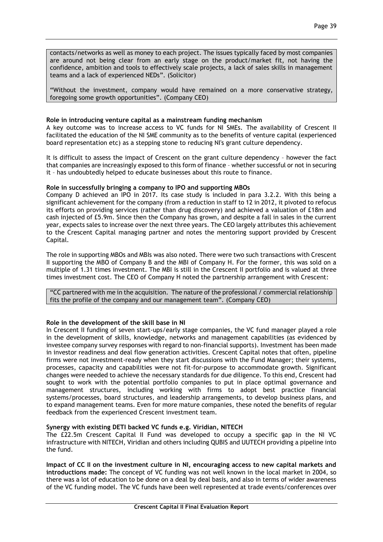contacts/networks as well as money to each project. The issues typically faced by most companies are around not being clear from an early stage on the product/market fit, not having the confidence, ambition and tools to effectively scale projects, a lack of sales skills in management teams and a lack of experienced NEDs". (Solicitor)

"Without the investment, company would have remained on a more conservative strategy, foregoing some growth opportunities". (Company CEO)

## **Role in introducing venture capital as a mainstream funding mechanism**

A key outcome was to increase access to VC funds for NI SMEs. The availability of Crescent II facilitated the education of the NI SME community as to the benefits of venture capital (experienced board representation etc) as a stepping stone to reducing NI's grant culture dependency.

It is difficult to assess the impact of Crescent on the grant culture dependency – however the fact that companies are increasingly exposed to this form of finance – whether successful or not in securing it – has undoubtedly helped to educate businesses about this route to finance.

### **Role in successfully bringing a company to IPO and supporting MBOs**

Company D achieved an IPO in 2017. Its case study is included in para 3.2.2. With this being a significant achievement for the company (from a reduction in staff to 12 in 2012, it pivoted to refocus its efforts on providing services (rather than drug discovery) and achieved a valuation of £18m and cash injected of £5.9m. Since then the Company has grown, and despite a fall in sales in the current year, expects sales to increase over the next three years. The CEO largely attributes this achievement to the Crescent Capital managing partner and notes the mentoring support provided by Crescent Capital.

The role in supporting MBOs and MBIs was also noted. There were two such transactions with Crescent II supporting the MBO of Company B and the MBI of Company H. For the former, this was sold on a multiple of 1.31 times investment. The MBI is still in the Crescent II portfolio and is valued at three times investment cost. The CEO of Company H noted the partnership arrangement with Crescent:

"CC partnered with me in the acquisition. The nature of the professional / commercial relationship fits the profile of the company and our management team". (Company CEO)

## **Role in the development of the skill base in NI**

In Crescent II funding of seven start-ups/early stage companies, the VC fund manager played a role in the development of skills, knowledge, networks and management capabilities (as evidenced by investee company survey responses with regard to non-financial supports). Investment has been made in investor readiness and deal flow generation activities. Crescent Capital notes that often, pipeline firms were not investment-ready when they start discussions with the Fund Manager; their systems, processes, capacity and capabilities were not fit-for-purpose to accommodate growth. Significant changes were needed to achieve the necessary standards for due diligence. To this end, Crescent had sought to work with the potential portfolio companies to put in place optimal governance and management structures, including working with firms to adopt best practice financial systems/processes, board structures, and leadership arrangements, to develop business plans, and to expand management teams. Even for more mature companies, these noted the benefits of regular feedback from the experienced Crescent investment team.

#### **Synergy with existing DETI backed VC funds e.g. Viridian, NITECH**

The £22.5m Crescent Capital II Fund was developed to occupy a specific gap in the NI VC infrastructure with NITECH, Viridian and others including QUBIS and UUTECH providing a pipeline into the fund.

**Impact of CC II on the investment culture in NI, encouraging access to new capital markets and introductions made:** The concept of VC funding was not well known in the local market in 2004, so there was a lot of education to be done on a deal by deal basis, and also in terms of wider awareness of the VC funding model. The VC funds have been well represented at trade events/conferences over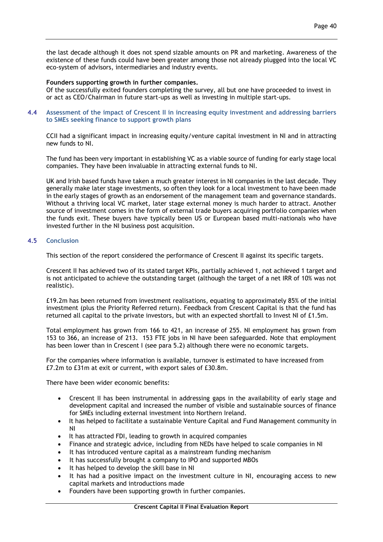the last decade although it does not spend sizable amounts on PR and marketing. Awareness of the existence of these funds could have been greater among those not already plugged into the local VC eco-system of advisors, intermediaries and industry events.

### **Founders supporting growth in further companies.**

Of the successfully exited founders completing the survey, all but one have proceeded to invest in or act as CEO/Chairman in future start-ups as well as investing in multiple start-ups.

### 4.4 **Assessment of the impact of Crescent II in increasing equity investment and addressing barriers to SMEs seeking finance to support growth plans**

CCII had a significant impact in increasing equity/venture capital investment in NI and in attracting new funds to NI.

The fund has been very important in establishing VC as a viable source of funding for early stage local companies. They have been invaluable in attracting external funds to NI.

UK and Irish based funds have taken a much greater interest in NI companies in the last decade. They generally make later stage investments, so often they look for a local investment to have been made in the early stages of growth as an endorsement of the management team and governance standards. Without a thriving local VC market, later stage external money is much harder to attract. Another source of investment comes in the form of external trade buyers acquiring portfolio companies when the funds exit. These buyers have typically been US or European based multi-nationals who have invested further in the NI business post acquisition.

### 4.5 **Conclusion**

This section of the report considered the performance of Crescent II against its specific targets.

Crescent II has achieved two of its stated target KPIs, partially achieved 1, not achieved 1 target and is not anticipated to achieve the outstanding target (although the target of a net IRR of 10% was not realistic).

£19.2m has been returned from investment realisations, equating to approximately 85% of the initial investment (plus the Priority Referred return). Feedback from Crescent Capital is that the fund has returned all capital to the private investors, but with an expected shortfall to Invest NI of £1.5m.

Total employment has grown from 166 to 421, an increase of 255. NI employment has grown from 153 to 366, an increase of 213. 153 FTE jobs in NI have been safeguarded. Note that employment has been lower than in Crescent I (see para 5.2) although there were no economic targets.

For the companies where information is available, turnover is estimated to have increased from £7.2m to £31m at exit or current, with export sales of £30.8m.

There have been wider economic benefits:

- Crescent II has been instrumental in addressing gaps in the availability of early stage and development capital and increased the number of visible and sustainable sources of finance for SMEs including external investment into Northern Ireland.
- It has helped to facilitate a sustainable Venture Capital and Fund Management community in NI
- It has attracted FDI, leading to growth in acquired companies
- Finance and strategic advice, including from NEDs have helped to scale companies in NI
- It has introduced venture capital as a mainstream funding mechanism
- It has successfully brought a company to IPO and supported MBOs
- It has helped to develop the skill base in NI
- It has had a positive impact on the investment culture in NI, encouraging access to new capital markets and introductions made
- Founders have been supporting growth in further companies.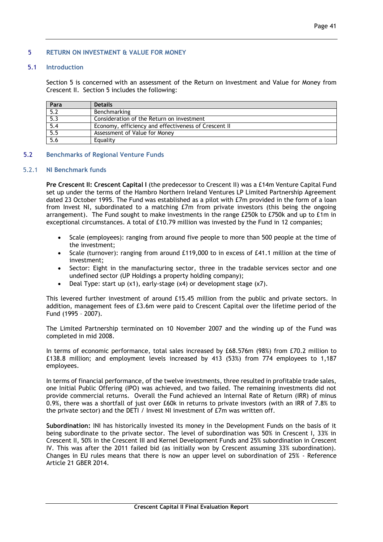## 5 **RETURN ON INVESTMENT & VALUE FOR MONEY**

## 5.1 **Introduction**

Section 5 is concerned with an assessment of the Return on Investment and Value for Money from Crescent II. Section 5 includes the following:

| Para             | <b>Details</b>                                       |
|------------------|------------------------------------------------------|
| $\overline{5.2}$ | Benchmarking                                         |
| 5.3              | Consideration of the Return on investment            |
| 5.4              | Economy, efficiency and effectiveness of Crescent II |
| 5.5              | Assessment of Value for Money                        |
| 5.6              | Equality                                             |

### 5.2 **Benchmarks of Regional Venture Funds**

### 5.2.1 **NI Benchmark funds**

**Pre Crescent II: Crescent Capital I** (the predecessor to Crescent II) was a £14m Venture Capital Fund set up under the terms of the Hambro Northern Ireland Ventures LP Limited Partnership Agreement dated 23 October 1995. The Fund was established as a pilot with £7m provided in the form of a loan from Invest NI, subordinated to a matching £7m from private investors (this being the ongoing arrangement). The Fund sought to make investments in the range £250k to £750k and up to £1m in exceptional circumstances. A total of £10.79 million was invested by the Fund in 12 companies;

- Scale (employees): ranging from around five people to more than 500 people at the time of the investment;
- Scale (turnover): ranging from around £119,000 to in excess of £41.1 million at the time of investment;
- Sector: Eight in the manufacturing sector, three in the tradable services sector and one undefined sector (UP Holdings a property holding company);
- Deal Type: start up (x1), early-stage (x4) or development stage (x7).

This levered further investment of around £15.45 million from the public and private sectors. In addition, management fees of £3.6m were paid to Crescent Capital over the lifetime period of the Fund (1995 – 2007).

The Limited Partnership terminated on 10 November 2007 and the winding up of the Fund was completed in mid 2008.

In terms of economic performance, total sales increased by £68.576m (98%) from £70.2 million to £138.8 million; and employment levels increased by 413 (53%) from 774 employees to 1,187 employees.

In terms of financial performance, of the twelve investments, three resulted in profitable trade sales, one Initial Public Offering (IPO) was achieved, and two failed. The remaining investments did not provide commercial returns. Overall the Fund achieved an Internal Rate of Return (IRR) of minus 0.9%, there was a shortfall of just over £60k in returns to private investors (with an IRR of 7.8% to the private sector) and the DETI / Invest NI investment of £7m was written off.

**Subordination:** INI has historically invested its money in the Development Funds on the basis of it being subordinate to the private sector. The level of subordination was 50% in Crescent I, 33% in Crescent II, 50% in the Crescent III and Kernel Development Funds and 25% subordination in Crescent IV. This was after the 2011 failed bid (as initially won by Crescent assuming 33% subordination). Changes in EU rules means that there is now an upper level on subordination of 25% - Reference Article 21 GBER 2014.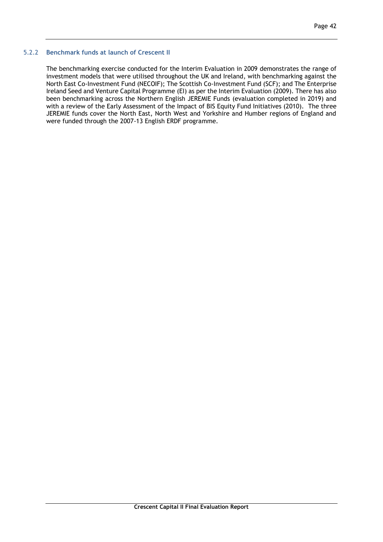#### 5.2.2 **Benchmark funds at launch of Crescent II**

The benchmarking exercise conducted for the Interim Evaluation in 2009 demonstrates the range of investment models that were utilised throughout the UK and Ireland, with benchmarking against the North East Co-Investment Fund (NECOIF); The Scottish Co-Investment Fund (SCF); and The Enterprise Ireland Seed and Venture Capital Programme (EI) as per the Interim Evaluation (2009). There has also been benchmarking across the Northern English JEREMIE Funds (evaluation completed in 2019) and with a review of the Early Assessment of the Impact of BIS Equity Fund Initiatives (2010). The three JEREMIE funds cover the North East, North West and Yorkshire and Humber regions of England and were funded through the 2007-13 English ERDF programme.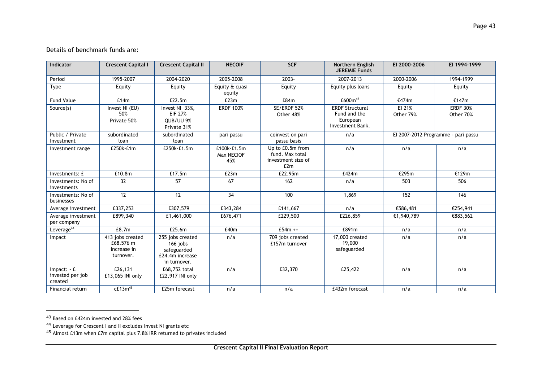Details of benchmark funds are:

| Indicator                                   | <b>Crescent Capital I</b>                                 | <b>Crescent Capital II</b>                                                     | <b>NECOIF</b>                    | <b>SCF</b>                                                       | Northern English<br><b>JEREMIE Funds</b>                               | EI 2000-2006        | EI 1994-1999                        |
|---------------------------------------------|-----------------------------------------------------------|--------------------------------------------------------------------------------|----------------------------------|------------------------------------------------------------------|------------------------------------------------------------------------|---------------------|-------------------------------------|
| Period                                      | 1995-2007                                                 | 2004-2020                                                                      | 2005-2008                        | 2003-                                                            | 2007-2013                                                              | 2000-2006           | 1994-1999                           |
| Type                                        | Equity                                                    | Equity                                                                         | Equity & quasi<br>equity         | Equity                                                           | Equity plus loans                                                      | Equity              | Equity                              |
| <b>Fund Value</b>                           | £14m                                                      | £22.5m                                                                         | E23m                             | £84m                                                             | £600m <sup>43</sup>                                                    | €474m               | €147m                               |
| Source(s)                                   | Invest NI (EU)<br>50%<br>Private 50%                      | Invest NI 33%.<br><b>EIF 27%</b><br>OUB/UU 9%<br>Private 31%                   | <b>ERDF 100%</b>                 | SE/ERDF 52%<br>Other 48%                                         | <b>ERDF Structural</b><br>Fund and the<br>European<br>Investment Bank. | EI 21%<br>Other 79% | <b>ERDF 30%</b><br>Other 70%        |
| Public / Private<br>Investment              | subordinated<br>loan                                      | subordinated<br>loan                                                           | pari passu                       | coinvest on pari<br>passu basis                                  | n/a                                                                    |                     | El 2007-2012 Programme - pari passu |
| Investment range                            | £250k-£1m                                                 | £250k-£1.5m                                                                    | £100k-£1.5m<br>Max NECIOF<br>45% | Up to £0.5m from<br>fund. Max total<br>investment size of<br>E2m | n/a                                                                    | n/a                 | n/a                                 |
| Investments: £                              | £10.8m                                                    | £17.5m                                                                         | E23m                             | £22.95m                                                          | £424m                                                                  | €295m               | €129m                               |
| Investments: No of<br>investments           | 32                                                        | 57                                                                             | 67                               | 162                                                              | n/a                                                                    | 503                 | 506                                 |
| Investments: No of<br>businesses            | 12                                                        | 12                                                                             | 34                               | 100                                                              | 1,869                                                                  | 152                 | 146                                 |
| Average investment                          | £337,253                                                  | £307,579                                                                       | £343,284                         | £141,667                                                         | n/a                                                                    | €586,481            | €254,941                            |
| Average investment<br>per company           | £899,340                                                  | £1,461,000                                                                     | £676,471                         | £229,500                                                         | £226,859                                                               | €1,940,789          | €883,562                            |
| Leverage <sup>44</sup>                      | £8.7m                                                     | £25.6m                                                                         | £40m                             | £54 $m +$                                                        | £891m                                                                  | n/a                 | n/a                                 |
| Impact                                      | 413 jobs created<br>£68.576 m<br>increase in<br>turnover. | 255 jobs created<br>166 iobs<br>safeguarded<br>£24.4m increase<br>in turnover. | n/a                              | 709 jobs created<br>£157m turnover                               | 17,000 created<br>19,000<br>safeguarded                                | n/a                 | n/a                                 |
| $Impact: -E$<br>invested per job<br>created | £26,131<br>£13,065 INI only                               | £68,752 total<br>£22,917 INI only                                              | n/a                              | £32,370                                                          | £25,422                                                                | n/a                 | n/a                                 |
| Financial return                            | $cE13m^{45}$                                              | £25m forecast                                                                  | n/a                              | n/a                                                              | £432m forecast                                                         | n/a                 | n/a                                 |

<sup>43</sup> Based on £424m invested and 28% fees

<u>.</u>

<sup>44</sup> Leverage for Crescent I and II excludes Invest NI grants etc

 $45$  Almost £13m when £7m capital plus 7.8% IRR returned to privates included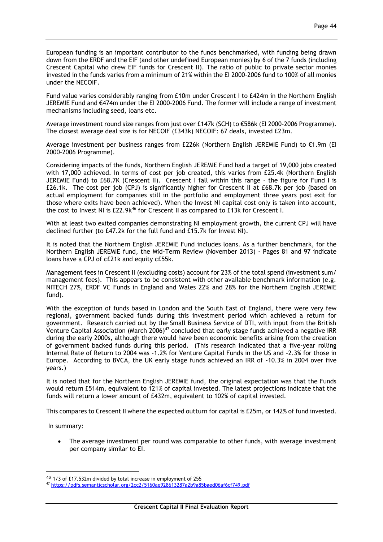European funding is an important contributor to the funds benchmarked, with funding being drawn down from the ERDF and the EIF (and other undefined European monies) by 6 of the 7 funds (including Crescent Capital who drew EIF funds for Crescent II). The ratio of public to private sector monies invested in the funds varies from a minimum of 21% within the EI 2000-2006 fund to 100% of all monies under the NECOIF.

Fund value varies considerably ranging from £10m under Crescent I to £424m in the Northern English JEREMIE Fund and €474m under the EI 2000-2006 Fund. The former will include a range of investment mechanisms including seed, loans etc.

Average investment round size ranges from just over £147k (SCH) to €586k (EI 2000-2006 Programme). The closest average deal size is for NECOIF (£343k) NECOIF: 67 deals, invested £23m.

Average investment per business ranges from £226k (Northern English JEREMIE Fund) to €1.9m (EI 2000-2006 Programme).

Considering impacts of the funds, Northern English JEREMIE Fund had a target of 19,000 jobs created with 17,000 achieved. In terms of cost per job created, this varies from £25.4k (Northern English JEREMIE Fund) to £68.7K (Crescent II). Crescent I fall within this range – the figure for Fund I is £26.1k. The cost per job (CPJ) is significantly higher for Crescent II at £68.7k per job (based on actual employment for companies still in the portfolio and employment three years post exit for those where exits have been achieved). When the Invest NI capital cost only is taken into account, the cost to Invest NI is £22.9k<sup>46</sup> for Crescent II as compared to £13k for Crescent I.

With at least two exited companies demonstrating NI employment growth, the current CPJ will have declined further (to £47.2k for the full fund and £15.7k for Invest NI).

It is noted that the Northern English JEREMIE Fund includes loans. As a further benchmark, for the Northern English JEREMIE fund, the Mid-Term Review (November 2013) - Pages 81 and 97 indicate loans have a CPJ of c£21k and equity c£55k.

Management fees in Crescent II (excluding costs) account for 23% of the total spend (investment sum/ management fees). This appears to be consistent with other available benchmark information (e.g. NITECH 27%, ERDF VC Funds in England and Wales 22% and 28% for the Northern English JEREMIE fund).

With the exception of funds based in London and the South East of England, there were very few regional, government backed funds during this investment period which achieved a return for government. Research carried out by the Small Business Service of DTI, with input from the British Venture Capital Association (March 2006)<sup>47</sup> concluded that early stage funds achieved a negative IRR during the early 2000s, although there would have been economic benefits arising from the creation of government backed funds during this period. (This research indicated that a five-year rolling Internal Rate of Return to 2004 was -1.2% for Venture Capital Funds in the US and -2.3% for those in Europe. According to BVCA, the UK early stage funds achieved an IRR of -10.3% in 2004 over five years.)

It is noted that for the Northern English JEREMIE fund, the original expectation was that the Funds would return £514m, equivalent to 121% of capital invested. The latest projections indicate that the funds will return a lower amount of £432m, equivalent to 102% of capital invested.

This compares to Crescent II where the expected outturn for capital is £25m, or 142% of fund invested.

In summary:

-

• The average investment per round was comparable to other funds, with average investment per company similar to EI.

<sup>46</sup> 1/3 of £17.532m divided by total increase in employment of 255

<sup>47</sup> <https://pdfs.semanticscholar.org/2cc2/5160ae928613287a2b9a85baed06af6cf749.pdf>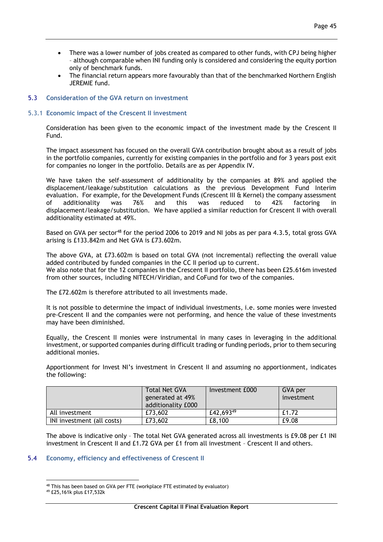- There was a lower number of jobs created as compared to other funds, with CPJ being higher – although comparable when INI funding only is considered and considering the equity portion only of benchmark funds.
- The financial return appears more favourably than that of the benchmarked Northern English JEREMIE fund.

## 5.3 **Consideration of the GVA return on investment**

## 5.3.1 **Economic impact of the Crescent II investment**

Consideration has been given to the economic impact of the investment made by the Crescent II Fund.

The impact assessment has focused on the overall GVA contribution brought about as a result of jobs in the portfolio companies, currently for existing companies in the portfolio and for 3 years post exit for companies no longer in the portfolio. Details are as per Appendix IV.

We have taken the self-assessment of additionality by the companies at 89% and applied the displacement/leakage/substitution calculations as the previous Development Fund Interim evaluation. For example, for the Development Funds (Crescent III & Kernel) the company assessment of additionality was 76% and this was reduced to 42% factoring in displacement/leakage/substitution. We have applied a similar reduction for Crescent II with overall additionality estimated at 49%.

Based on GVA per sector<sup>48</sup> for the period 2006 to 2019 and NI jobs as per para 4.3.5, total gross GVA arising is £133.842m and Net GVA is £73.602m.

The above GVA, at £73.602m is based on total GVA (not incremental) reflecting the overall value added contributed by funded companies in the CC II period up to current. We also note that for the 12 companies in the Crescent II portfolio, there has been £25.616m invested from other sources, including NITECH/Viridian, and CoFund for two of the companies.

The £72.602m is therefore attributed to all investments made.

It is not possible to determine the impact of individual investments, i.e. some monies were invested pre-Crescent II and the companies were not performing, and hence the value of these investments may have been diminished.

Equally, the Crescent II monies were instrumental in many cases in leveraging in the additional investment, or supported companies during difficult trading or funding periods, prior to them securing additional monies.

Apportionment for Invest NI's investment in Crescent II and assuming no apportionment, indicates the following:

|                            | <b>Total Net GVA</b><br>generated at 49%<br>additionality £000 | Investment £000 | GVA per<br>investment |
|----------------------------|----------------------------------------------------------------|-----------------|-----------------------|
| All investment             | £73,602                                                        | £42,69349       | £1.72                 |
| INI investment (all costs) | £73,602                                                        | £8,100          | £9.08                 |

The above is indicative only – The total Net GVA generated across all investments is £9.08 per £1 INI investment in Crescent II and £1.72 GVA per £1 from all investment – Crescent II and others.

## 5.4 **Economy, efficiency and effectiveness of Crescent II**

<sup>&</sup>lt;u>.</u> <sup>48</sup> This has been based on GVA per FTE (workplace FTE estimated by evaluator)

<sup>49</sup> £25,161k plus £17,532k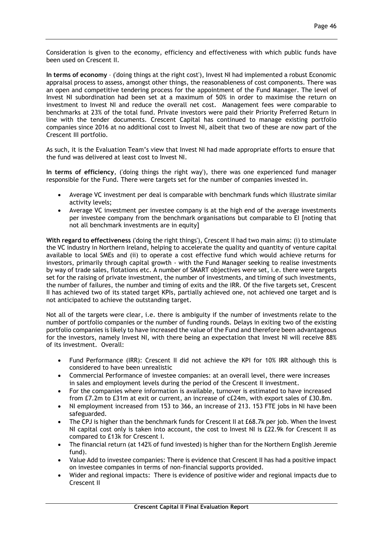Consideration is given to the economy, efficiency and effectiveness with which public funds have been used on Crescent II.

**In terms of economy** – ('doing things at the right cost'), Invest NI had implemented a robust Economic appraisal process to assess, amongst other things, the reasonableness of cost components. There was an open and competitive tendering process for the appointment of the Fund Manager. The level of Invest NI subordination had been set at a maximum of 50% in order to maximise the return on investment to Invest NI and reduce the overall net cost. Management fees were comparable to benchmarks at 23% of the total fund. Private investors were paid their Priority Preferred Return in line with the tender documents. Crescent Capital has continued to manage existing portfolio companies since 2016 at no additional cost to Invest NI, albeit that two of these are now part of the Crescent III portfolio.

As such, it is the Evaluation Team's view that Invest NI had made appropriate efforts to ensure that the fund was delivered at least cost to Invest NI.

**In terms of efficiency**, ('doing things the right way'), there was one experienced fund manager responsible for the Fund. There were targets set for the number of companies invested in.

- Average VC investment per deal is comparable with benchmark funds which illustrate similar activity levels;
- Average VC investment per investee company is at the high end of the average investments per investee company from the benchmark organisations but comparable to EI [noting that not all benchmark investments are in equity]

**With regard to effectiveness** ('doing the right things'), Crescent II had two main aims: (i) to stimulate the VC industry in Northern Ireland, helping to accelerate the quality and quantity of venture capital available to local SMEs and (ii) to operate a cost effective fund which would achieve returns for investors, primarily through capital growth - with the Fund Manager seeking to realise investments by way of trade sales, flotations etc. A number of SMART objectives were set, i.e. there were targets set for the raising of private investment, the number of investments, and timing of such investments, the number of failures, the number and timing of exits and the IRR. Of the five targets set, Crescent II has achieved two of its stated target KPIs, partially achieved one, not achieved one target and is not anticipated to achieve the outstanding target.

Not all of the targets were clear, i.e. there is ambiguity if the number of investments relate to the number of portfolio companies or the number of funding rounds. Delays in exiting two of the existing portfolio companies is likely to have increased the value of the Fund and therefore been advantageous for the investors, namely Invest NI, with there being an expectation that Invest NI will receive 88% of its investment. Overall:

- Fund Performance (IRR): Crescent II did not achieve the KPI for 10% IRR although this is considered to have been unrealistic
- Commercial Performance of investee companies: at an overall level, there were increases in sales and employment levels during the period of the Crescent II investment.
- For the companies where information is available, turnover is estimated to have increased from £7.2m to £31m at exit or current, an increase of c£24m, with export sales of £30.8m.
- NI employment increased from 153 to 366, an increase of 213. 153 FTE jobs in NI have been safeguarded.
- The CPJ is higher than the benchmark funds for Crescent II at £68.7k per job. When the Invest NI capital cost only is taken into account, the cost to Invest NI is £22.9k for Crescent II as compared to £13k for Crescent I.
- The financial return (at 142% of fund invested) is higher than for the Northern English Jeremie fund).
- Value Add to investee companies: There is evidence that Crescent II has had a positive impact on investee companies in terms of non-financial supports provided.
- Wider and regional impacts: There is evidence of positive wider and regional impacts due to Crescent II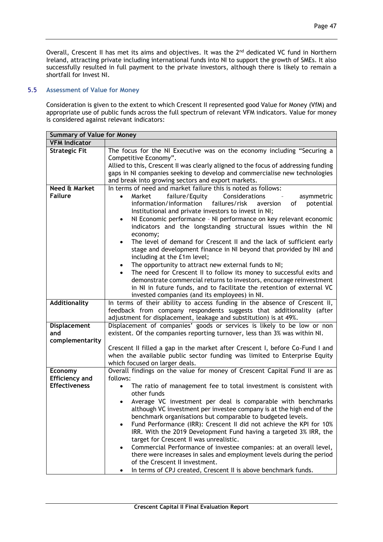Overall, Crescent II has met its aims and objectives. It was the 2<sup>nd</sup> dedicated VC fund in Northern Ireland, attracting private including international funds into NI to support the growth of SMEs. It also successfully resulted in full payment to the private investors, although there is likely to remain a shortfall for Invest NI.

# 5.5 **Assessment of Value for Money**

Consideration is given to the extent to which Crescent II represented good Value for Money (VfM) and appropriate use of public funds across the full spectrum of relevant VFM indicators. Value for money is considered against relevant indicators:

| <b>Summary of Value for Money</b> |                                                                                                                                              |
|-----------------------------------|----------------------------------------------------------------------------------------------------------------------------------------------|
| <b>VFM Indicator</b>              |                                                                                                                                              |
| <b>Strategic Fit</b>              | The focus for the NI Executive was on the economy including "Securing a                                                                      |
|                                   | Competitive Economy".                                                                                                                        |
|                                   | Allied to this, Crescent II was clearly aligned to the focus of addressing funding                                                           |
|                                   | gaps in NI companies seeking to develop and commercialise new technologies<br>and break into growing sectors and export markets.             |
| Need & Market                     | In terms of need and market failure this is noted as follows:                                                                                |
| <b>Failure</b>                    | failure/Equity<br>Considerations<br>$\bullet$                                                                                                |
|                                   | asymmetric<br>Market<br>information/information<br>failures/risk<br>of<br>potential<br>aversion                                              |
|                                   | Institutional and private investors to invest in NI;                                                                                         |
|                                   | NI Economic performance - NI performance on key relevant economic<br>$\bullet$                                                               |
|                                   | indicators and the longstanding structural issues within the NI                                                                              |
|                                   | economy;                                                                                                                                     |
|                                   | The level of demand for Crescent II and the lack of sufficient early<br>$\bullet$                                                            |
|                                   | stage and development finance in NI beyond that provided by INI and                                                                          |
|                                   | including at the £1m level;                                                                                                                  |
|                                   | The opportunity to attract new external funds to NI;<br>$\bullet$                                                                            |
|                                   | The need for Crescent II to follow its money to successful exits and                                                                         |
|                                   | demonstrate commercial returns to investors, encourage reinvestment                                                                          |
|                                   | in NI in future funds, and to facilitate the retention of external VC                                                                        |
|                                   | invested companies (and its employees) in NI.                                                                                                |
| <b>Additionality</b>              | In terms of their ability to access funding in the absence of Crescent II,                                                                   |
|                                   | feedback from company respondents suggests that additionality (after                                                                         |
|                                   | adjustment for displacement, leakage and substitution) is at 49%.<br>Displacement of companies' goods or services is likely to be low or non |
| Displacement<br>and               | existent. Of the companies reporting turnover, less than 3% was within NI.                                                                   |
| complementarity                   |                                                                                                                                              |
|                                   | Crescent II filled a gap in the market after Crescent I, before Co-Fund I and                                                                |
|                                   | when the available public sector funding was limited to Enterprise Equity                                                                    |
|                                   | which focused on larger deals.                                                                                                               |
| Economy                           | Overall findings on the value for money of Crescent Capital Fund II are as                                                                   |
| <b>Efficiency and</b>             | follows:                                                                                                                                     |
| <b>Effectiveness</b>              | The ratio of management fee to total investment is consistent with<br>$\bullet$                                                              |
|                                   | other funds                                                                                                                                  |
|                                   | Average VC investment per deal is comparable with benchmarks                                                                                 |
|                                   | although VC investment per investee company is at the high end of the                                                                        |
|                                   | benchmark organisations but comparable to budgeted levels.                                                                                   |
|                                   | Fund Performance (IRR): Crescent II did not achieve the KPI for 10%                                                                          |
|                                   | IRR. With the 2019 Development Fund having a targeted 3% IRR, the                                                                            |
|                                   | target for Crescent II was unrealistic.                                                                                                      |
|                                   | Commercial Performance of investee companies: at an overall level,<br>$\bullet$                                                              |
|                                   | there were increases in sales and employment levels during the period<br>of the Crescent II investment.                                      |
|                                   | In terms of CPJ created, Crescent II is above benchmark funds.                                                                               |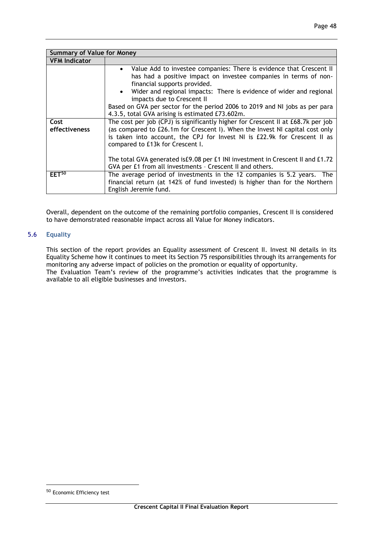| <b>Summary of Value for Money</b> |                                                                                                                                                                                                                                                                                                                                                                                                                                  |
|-----------------------------------|----------------------------------------------------------------------------------------------------------------------------------------------------------------------------------------------------------------------------------------------------------------------------------------------------------------------------------------------------------------------------------------------------------------------------------|
| <b>VFM Indicator</b>              |                                                                                                                                                                                                                                                                                                                                                                                                                                  |
|                                   | Value Add to investee companies: There is evidence that Crescent II<br>has had a positive impact on investee companies in terms of non-<br>financial supports provided.<br>• Wider and regional impacts: There is evidence of wider and regional<br>impacts due to Crescent II<br>Based on GVA per sector for the period 2006 to 2019 and NI jobs as per para<br>4.3.5, total GVA arising is estimated £73.602m.                 |
| Cost<br>effectiveness             | The cost per job (CPJ) is significantly higher for Crescent II at £68.7k per job<br>(as compared to £26.1m for Crescent I). When the Invest NI capital cost only<br>is taken into account, the CPJ for Invest NI is £22.9k for Crescent II as<br>compared to £13k for Crescent I.<br>The total GVA generated is£9.08 per £1 INI investment in Crescent II and £1.72<br>GVA per £1 from all investments - Crescent II and others. |
| EET <sup>50</sup>                 | The average period of investments in the 12 companies is 5.2 years. The<br>financial return (at 142% of fund invested) is higher than for the Northern<br>English Jeremie fund.                                                                                                                                                                                                                                                  |

Overall, dependent on the outcome of the remaining portfolio companies, Crescent II is considered to have demonstrated reasonable impact across all Value for Money indicators.

## 5.6 **Equality**

This section of the report provides an Equality assessment of Crescent II. Invest NI details in its Equality Scheme how it continues to meet its Section 75 responsibilities through its arrangements for monitoring any adverse impact of policies on the promotion or equality of opportunity. The Evaluation Team's review of the programme's activities indicates that the programme is available to all eligible businesses and investors.

<u>.</u>

<sup>50</sup> Economic Efficiency test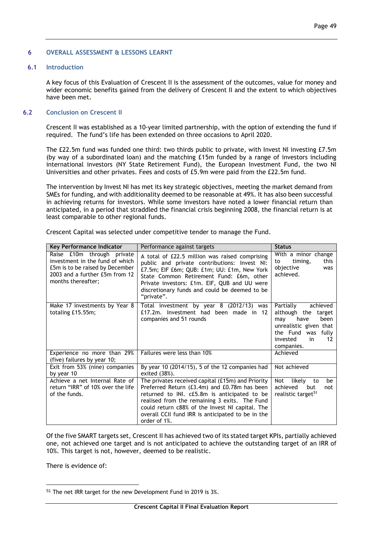#### 6 **OVERALL ASSESSMENT & LESSONS LEARNT**

## 6.1 **Introduction**

A key focus of this Evaluation of Crescent II is the assessment of the outcomes, value for money and wider economic benefits gained from the delivery of Crescent II and the extent to which objectives have been met.

### 6.2 **Conclusion on Crescent II**

Crescent II was established as a 10-year limited partnership, with the option of extending the fund if required. The fund's life has been extended on three occasions to April 2020.

The £22.5m fund was funded one third: two thirds public to private, with Invest NI investing £7.5m (by way of a subordinated loan) and the matching £15m funded by a range of investors including international investors (NY State Retirement Fund), the European Investment Fund, the two NI Universities and other privates. Fees and costs of £5.9m were paid from the £22.5m fund.

The intervention by Invest NI has met its key strategic objectives, meeting the market demand from SMEs for funding, and with additionality deemed to be reasonable at 49%. It has also been successful in achieving returns for investors. While some investors have noted a lower financial return than anticipated, in a period that straddled the financial crisis beginning 2008, the financial return is at least comparable to other regional funds.

| Key Performance Indicator                                                                                                                                | Performance against targets                                                                                                                                                                                                                                                                                                | <b>Status</b>                                                                                                                                                |
|----------------------------------------------------------------------------------------------------------------------------------------------------------|----------------------------------------------------------------------------------------------------------------------------------------------------------------------------------------------------------------------------------------------------------------------------------------------------------------------------|--------------------------------------------------------------------------------------------------------------------------------------------------------------|
| Raise £10m through private<br>investment in the fund of which<br>£5m is to be raised by December<br>2003 and a further £5m from 12<br>months thereafter; | A total of £22.5 million was raised comprising<br>public and private contributions: Invest NI:<br>£7.5m; EIF £6m; QUB: £1m; UU: £1m, New York<br>State Common Retirement Fund: £6m, other<br>Private investors: £1m. EIF, QUB and UU were<br>discretionary funds and could be deemed to be<br>"private".                   | With a minor change<br>timing,<br>this<br>to<br>objective<br>was<br>achieved.                                                                                |
| Make 17 investments by Year 8<br>totaling £15.55m;                                                                                                       | Total investment by year 8 (2012/13) was<br>£17.2m. Investment had been made in 12<br>companies and 51 rounds                                                                                                                                                                                                              | Partially<br>achieved<br>although the<br>target<br>been<br>have<br>may<br>unrealistic given that<br>the Fund was fully<br>invested<br>in<br>12<br>companies. |
| Experience no more than 29%<br>(five) failures by year 10;                                                                                               | Failures were less than 10%                                                                                                                                                                                                                                                                                                | Achieved                                                                                                                                                     |
| Exit from 53% (nine) companies<br>by year 10                                                                                                             | By year 10 (2014/15), 5 of the 12 companies had<br>exited (38%).                                                                                                                                                                                                                                                           | Not achieved                                                                                                                                                 |
| Achieve a net Internal Rate of<br>return "IRR" of 10% over the life<br>of the funds.                                                                     | The privates received capital (£15m) and Priority<br>Preferred Return (£3.4m) and £0.78m has been<br>returned to INI. c£5.8m is anticipated to be<br>realised from the remaining 3 exits. The Fund<br>could return c88% of the Invest NI capital. The<br>overall CCII fund IRR is anticipated to be in the<br>order of 1%. | likely<br>Not<br>to<br>be<br>achieved<br>but<br>not<br>realistic target <sup>51</sup>                                                                        |

Crescent Capital was selected under competitive tender to manage the Fund.

Of the five SMART targets set, Crescent II has achieved two of its stated target KPIs, partially achieved one, not achieved one target and is not anticipated to achieve the outstanding target of an IRR of 10%. This target is not, however, deemed to be realistic.

There is evidence of:

<u>.</u>

<sup>51</sup> The net IRR target for the new Development Fund in 2019 is 3%.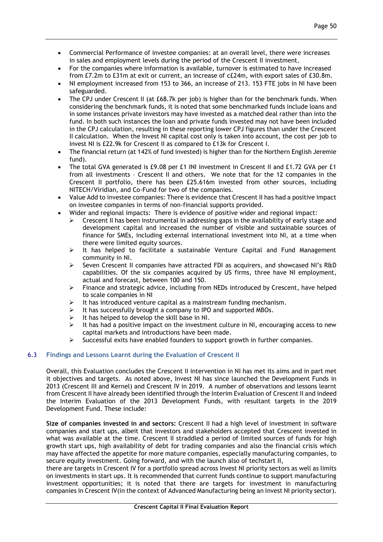- Commercial Performance of investee companies: at an overall level, there were increases in sales and employment levels during the period of the Crescent II investment.
- For the companies where information is available, turnover is estimated to have increased from £7.2m to £31m at exit or current, an increase of c£24m, with export sales of £30.8m.
- NI employment increased from 153 to 366, an increase of 213. 153 FTE jobs in NI have been safeguarded.
- The CPJ under Crescent II (at £68.7k per job) is higher than for the benchmark funds. When considering the benchmark funds, it is noted that some benchmarked funds include loans and in some instances private investors may have invested as a matched deal rather than into the fund. In both such instances the loan and private funds invested may not have been included in the CPJ calculation, resulting in these reporting lower CPJ figures than under the Crescent II calculation. When the Invest NI capital cost only is taken into account, the cost per job to Invest NI is £22.9k for Crescent II as compared to £13k for Crescent I.
- The financial return (at 142% of fund invested) is higher than for the Northern English Jeremie fund).
- The total GVA generated is £9.08 per £1 INI investment in Crescent II and £1.72 GVA per £1 from all investments – Crescent II and others. We note that for the 12 companies in the Crescent II portfolio, there has been £25.616m invested from other sources, including NITECH/Viridian, and Co-Fund for two of the companies.
- Value Add to investee companies: There is evidence that Crescent II has had a positive impact on investee companies in terms of non-financial supports provided.
- Wider and regional impacts: There is evidence of positive wider and regional impact:
	- Crescent II has been instrumental in addressing gaps in the availability of early stage and development capital and increased the number of visible and sustainable sources of finance for SMEs, including external international investment into NI, at a time when there were limited equity sources.
	- $\triangleright$  It has helped to facilitate a sustainable Venture Capital and Fund Management community in NI.
	- $\triangleright$  Seven Crescent II companies have attracted FDI as acquirers, and showcased NI's R&D capabilities. Of the six companies acquired by US firms, three have NI employment, actual and forecast, between 100 and 150.
	- $\triangleright$  Finance and strategic advice, including from NEDs introduced by Crescent, have helped to scale companies in NI
	- $\triangleright$  It has introduced venture capital as a mainstream funding mechanism.
	- $\triangleright$  It has successfully brought a company to IPO and supported MBOs.
	- $\triangleright$  It has helped to develop the skill base in NI.
	- $\triangleright$  It has had a positive impact on the investment culture in NI, encouraging access to new capital markets and introductions have been made.
	- Successful exits have enabled founders to support growth in further companies.

## 6.3 **Findings and Lessons Learnt during the Evaluation of Crescent II**

Overall, this Evaluation concludes the Crescent II intervention in NI has met its aims and in part met it objectives and targets. As noted above, Invest NI has since launched the Development Funds in 2013 (Crescent III and Kernel) and Crescent IV in 2019. A number of observations and lessons learnt from Crescent II have already been identified through the Interim Evaluation of Crescent II and indeed the Interim Evaluation of the 2013 Development Funds, with resultant targets in the 2019 Development Fund. These include:

**Size of companies invested in and sectors:** Crescent II had a high level of investment in software companies and start ups, albeit that investors and stakeholders accepted that Crescent invested in what was available at the time. Crescent II straddled a period of limited sources of funds for high growth start ups, high availability of debt for trading companies and also the financial crisis which may have affected the appetite for more mature companies, especially manufacturing companies, to secure equity investment. Going forward, and with the launch also of techstart II,

there are targets in Crescent IV for a portfolio spread across Invest NI priority sectors as well as limits on investments in start ups. It is recommended that current funds continue to support manufacturing investment opportunities; it is noted that there are targets for investment in manufacturing companies in Crescent IV(in the context of Advanced Manufacturing being an Invest NI priority sector).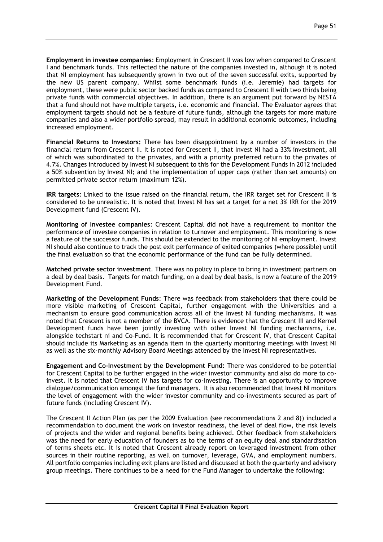**Employment in investee companies**: Employment in Crescent II was low when compared to Crescent I and benchmark funds. This reflected the nature of the companies invested in, although it is noted that NI employment has subsequently grown in two out of the seven successful exits, supported by the new US parent company. Whilst some benchmark funds (i.e. Jeremie) had targets for employment, these were public sector backed funds as compared to Crescent II with two thirds being private funds with commercial objectives. In addition, there is an argument put forward by NESTA that a fund should not have multiple targets, i.e. economic and financial. The Evaluator agrees that employment targets should not be a feature of future funds, although the targets for more mature companies and also a wider portfolio spread, may result in additional economic outcomes, including increased employment.

**Financial Returns to Investors:** There has been disappointment by a number of investors in the financial return from Crescent II. It is noted for Crescent II, that Invest NI had a 33% investment, all of which was subordinated to the privates, and with a priority preferred return to the privates of 4.7%. Changes introduced by Invest NI subsequent to this for the Development Funds in 2012 included a 50% subvention by Invest NI; and the implementation of upper caps (rather than set amounts) on permitted private sector return (maximum 12%).

**IRR targets**: Linked to the issue raised on the financial return, the IRR target set for Crescent II is considered to be unrealistic. It is noted that Invest NI has set a target for a net 3% IRR for the 2019 Development fund (Crescent IV).

**Monitoring of Investee companies**: Crescent Capital did not have a requirement to monitor the performance of investee companies in relation to turnover and employment. This monitoring is now a feature of the successor funds. This should be extended to the monitoring of NI employment. Invest NI should also continue to track the post exit performance of exited companies (where possible) until the final evaluation so that the economic performance of the fund can be fully determined.

**Matched private sector investment**. There was no policy in place to bring in investment partners on a deal by deal basis. Targets for match funding, on a deal by deal basis, is now a feature of the 2019 Development Fund.

**Marketing of the Development Funds**: There was feedback from stakeholders that there could be more visible marketing of Crescent Capital, further engagement with the Universities and a mechanism to ensure good communication across all of the Invest NI funding mechanisms. It was noted that Crescent is not a member of the BVCA. There is evidence that the Crescent III and Kernel Development funds have been jointly investing with other Invest NI funding mechanisms, i.e. alongside techstart ni and Co-Fund. It is recommended that for Crescent IV, that Crescent Capital should include its Marketing as an agenda item in the quarterly monitoring meetings with Invest NI as well as the six-monthly Advisory Board Meetings attended by the Invest NI representatives.

**Engagement and Co-Investment by the Development Fund:** There was considered to be potential for Crescent Capital to be further engaged in the wider investor community and also do more to coinvest. It is noted that Crescent IV has targets for co-investing. There is an opportunity to improve dialogue/communication amongst the fund managers. It is also recommended that Invest NI monitors the level of engagement with the wider investor community and co-investments secured as part of future funds (including Crescent IV).

The Crescent II Action Plan (as per the 2009 Evaluation (see recommendations 2 and 8)) included a recommendation to document the work on investor readiness, the level of deal flow, the risk levels of projects and the wider and regional benefits being achieved. Other feedback from stakeholders was the need for early education of founders as to the terms of an equity deal and standardisation of terms sheets etc. It is noted that Crescent already report on leveraged investment from other sources in their routine reporting, as well on turnover, leverage, GVA, and employment numbers. All portfolio companies including exit plans are listed and discussed at both the quarterly and advisory group meetings. There continues to be a need for the Fund Manager to undertake the following: